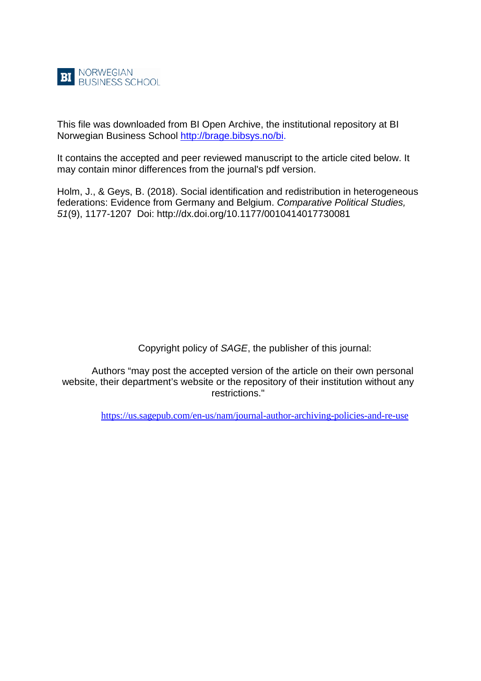

This file was downloaded from BI Open Archive, the institutional repository at BI Norwegian Business School [http://brage.bibsys.no/bi.](http://brage.bibsys.no/bi)

It contains the accepted and peer reviewed manuscript to the article cited below. It may contain minor differences from the journal's pdf version.

Holm, J., & Geys, B. (2018). Social identification and redistribution in heterogeneous federations: Evidence from Germany and Belgium. *Comparative Political Studies, 51*(9), 1177-1207 Doi: http://dx.doi.org[/10.1177/0010414017730081](https://doi-org/10.1177/0010414017730081)

Copyright policy of *SAGE*, the publisher of this journal:

Authors "may post the accepted version of the article on their own personal website, their department's website or the repository of their institution without any restrictions."

<https://us.sagepub.com/en-us/nam/journal-author-archiving-policies-and-re-use>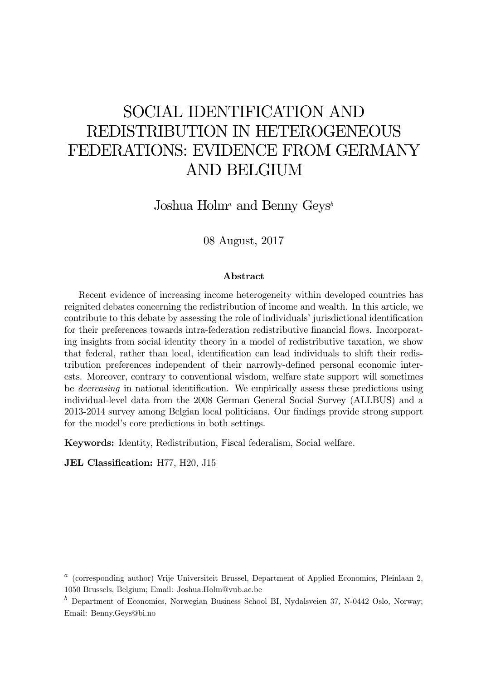# SOCIAL IDENTIFICATION AND REDISTRIBUTION IN HETEROGENEOUS FEDERATIONS: EVIDENCE FROM GERMANY AND BELGIUM

Joshua Holm<sup>a</sup> and Benny Geys<sup>b</sup>

08 August, 2017

#### Abstract

Recent evidence of increasing income heterogeneity within developed countries has reignited debates concerning the redistribution of income and wealth. In this article, we contribute to this debate by assessing the role of individuals' jurisdictional identification for their preferences towards intra-federation redistributive financial flows. Incorporating insights from social identity theory in a model of redistributive taxation, we show that federal, rather than local, identification can lead individuals to shift their redistribution preferences independent of their narrowly-defined personal economic interests. Moreover, contrary to conventional wisdom, welfare state support will sometimes be *decreasing* in national identification. We empirically assess these predictions using individual-level data from the 2008 German General Social Survey (ALLBUS) and a 2013-2014 survey among Belgian local politicians. Our findings provide strong support for the model's core predictions in both settings.

Keywords: Identity, Redistribution, Fiscal federalism, Social welfare.

JEL Classification: H77, H20, J15

<sup>&</sup>lt;sup>a</sup> (corresponding author) Vrije Universiteit Brussel, Department of Applied Economics, Pleinlaan 2, 1050 Brussels, Belgium; Email: Joshua.Holm@vub.ac.be

 $<sup>b</sup>$  Department of Economics, Norwegian Business School BI, Nydalsveien 37, N-0442 Oslo, Norway;</sup> Email: Benny.Geys@bi.no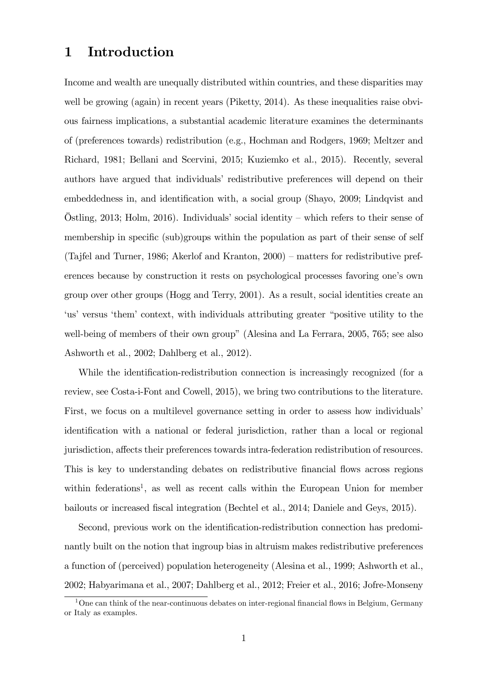# 1 Introduction

Income and wealth are unequally distributed within countries, and these disparities may well be growing (again) in recent years (Piketty, 2014). As these inequalities raise obvious fairness implications, a substantial academic literature examines the determinants of (preferences towards) redistribution (e.g., Hochman and Rodgers, 1969; Meltzer and Richard, 1981; Bellani and Scervini, 2015; Kuziemko et al., 2015). Recently, several authors have argued that individuals' redistributive preferences will depend on their embeddedness in, and identification with, a social group (Shayo, 2009; Lindqvist and Östling, 2013; Holm, 2016). Individuals' social identity – which refers to their sense of membership in specific (sub)groups within the population as part of their sense of self (Tajfel and Turner, 1986; Akerlof and Kranton,  $2000$ ) – matters for redistributive preferences because by construction it rests on psychological processes favoring one's own group over other groups (Hogg and Terry, 2001). As a result, social identities create an 'us' versus 'them' context, with individuals attributing greater "positive utility to the well-being of members of their own group" (Alesina and La Ferrara, 2005, 765; see also Ashworth et al., 2002; Dahlberg et al., 2012).

While the identification-redistribution connection is increasingly recognized (for a review, see Costa-i-Font and Cowell, 2015), we bring two contributions to the literature. First, we focus on a multilevel governance setting in order to assess how individuals' identification with a national or federal jurisdiction, rather than a local or regional jurisdiction, affects their preferences towards intra-federation redistribution of resources. This is key to understanding debates on redistributive financial flows across regions within federations<sup>1</sup>, as well as recent calls within the European Union for member bailouts or increased fiscal integration (Bechtel et al., 2014; Daniele and Geys, 2015).

Second, previous work on the identification-redistribution connection has predominantly built on the notion that ingroup bias in altruism makes redistributive preferences a function of (perceived) population heterogeneity (Alesina et al., 1999; Ashworth et al., 2002; Habyarimana et al., 2007; Dahlberg et al., 2012; Freier et al., 2016; Jofre-Monseny

 $1$ One can think of the near-continuous debates on inter-regional financial flows in Belgium, Germany or Italy as examples.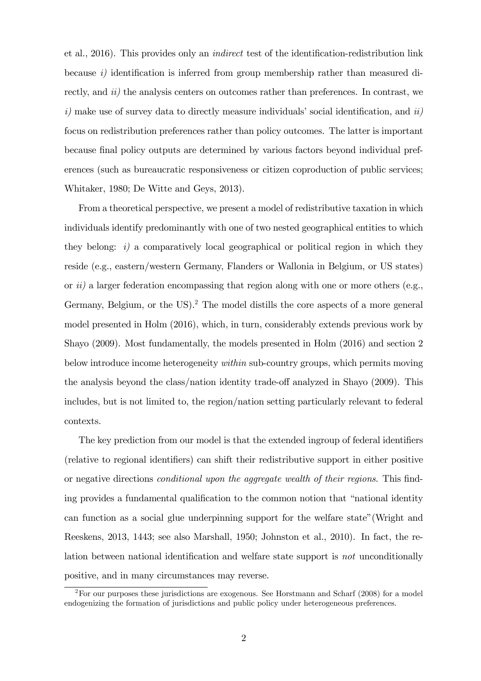et al., 2016). This provides only an *indirect* test of the identification-redistribution link because  $i$ ) identification is inferred from group membership rather than measured directly, and *ii*) the analysis centers on outcomes rather than preferences. In contrast, we  $i)$  make use of survey data to directly measure individuals' social identification, and  $ii)$ focus on redistribution preferences rather than policy outcomes. The latter is important because Önal policy outputs are determined by various factors beyond individual preferences (such as bureaucratic responsiveness or citizen coproduction of public services; Whitaker, 1980; De Witte and Geys, 2013).

From a theoretical perspective, we present a model of redistributive taxation in which individuals identify predominantly with one of two nested geographical entities to which they belong:  $i)$  a comparatively local geographical or political region in which they reside (e.g., eastern/western Germany, Flanders or Wallonia in Belgium, or US states) or  $ii)$  a larger federation encompassing that region along with one or more others (e.g., Germany, Belgium, or the US).<sup>2</sup> The model distills the core aspects of a more general model presented in Holm (2016), which, in turn, considerably extends previous work by Shayo (2009). Most fundamentally, the models presented in Holm (2016) and section 2 below introduce income heterogeneity within sub-country groups, which permits moving the analysis beyond the class/nation identity trade-off analyzed in Shayo (2009). This includes, but is not limited to, the region/nation setting particularly relevant to federal contexts.

The key prediction from our model is that the extended ingroup of federal identifiers (relative to regional identifiers) can shift their redistributive support in either positive or negative directions *conditional upon the aggregate wealth of their regions*. This finding provides a fundamental qualification to the common notion that "national identity" can function as a social glue underpinning support for the welfare state" (Wright and Reeskens, 2013, 1443; see also Marshall, 1950; Johnston et al., 2010). In fact, the relation between national identification and welfare state support is not unconditionally positive, and in many circumstances may reverse.

<sup>2</sup>For our purposes these jurisdictions are exogenous. See Horstmann and Scharf (2008) for a model endogenizing the formation of jurisdictions and public policy under heterogeneous preferences.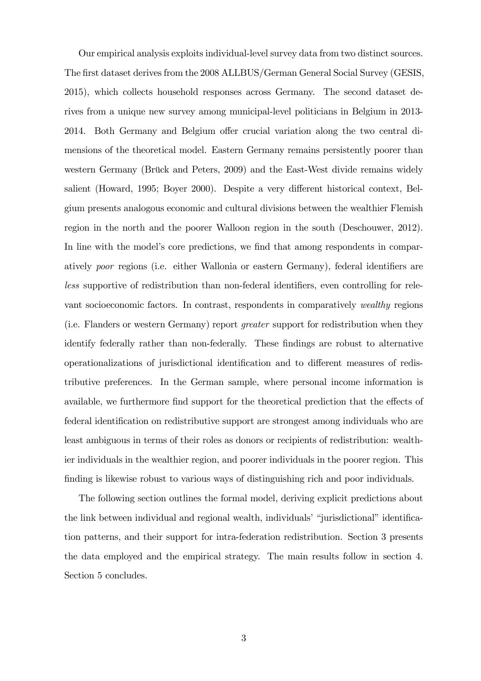Our empirical analysis exploits individual-level survey data from two distinct sources. The Örst dataset derives from the 2008 ALLBUS/German General Social Survey (GESIS, 2015), which collects household responses across Germany. The second dataset derives from a unique new survey among municipal-level politicians in Belgium in 2013- 2014. Both Germany and Belgium offer crucial variation along the two central dimensions of the theoretical model. Eastern Germany remains persistently poorer than western Germany (Brück and Peters, 2009) and the East-West divide remains widely salient (Howard, 1995; Boyer 2000). Despite a very different historical context, Belgium presents analogous economic and cultural divisions between the wealthier Flemish region in the north and the poorer Walloon region in the south (Deschouwer, 2012). In line with the model's core predictions, we find that among respondents in comparatively *poor* regions (i.e. either Wallonia or eastern Germany), federal identifiers are less supportive of redistribution than non-federal identifiers, even controlling for relevant socioeconomic factors. In contrast, respondents in comparatively wealthy regions (i.e. Flanders or western Germany) report greater support for redistribution when they identify federally rather than non-federally. These findings are robust to alternative operationalizations of jurisdictional identification and to different measures of redistributive preferences. In the German sample, where personal income information is available, we furthermore find support for the theoretical prediction that the effects of federal identification on redistributive support are strongest among individuals who are least ambiguous in terms of their roles as donors or recipients of redistribution: wealthier individuals in the wealthier region, and poorer individuals in the poorer region. This finding is likewise robust to various ways of distinguishing rich and poor individuals.

The following section outlines the formal model, deriving explicit predictions about the link between individual and regional wealth, individuals' "jurisdictional" identification patterns, and their support for intra-federation redistribution. Section 3 presents the data employed and the empirical strategy. The main results follow in section 4. Section 5 concludes.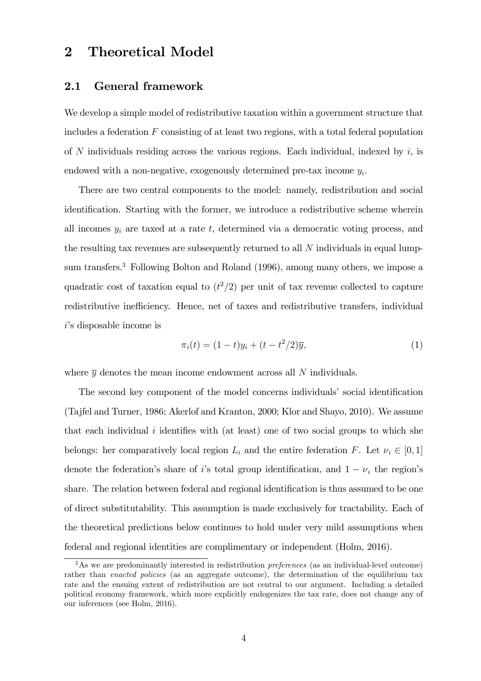# 2 Theoretical Model

### 2.1 General framework

We develop a simple model of redistributive taxation within a government structure that includes a federation  $F$  consisting of at least two regions, with a total federal population of N individuals residing across the various regions. Each individual, indexed by  $i$ , is endowed with a non-negative, exogenously determined pre-tax income  $y_i$ .

There are two central components to the model: namely, redistribution and social identification. Starting with the former, we introduce a redistributive scheme wherein all incomes  $y_i$  are taxed at a rate t, determined via a democratic voting process, and the resulting tax revenues are subsequently returned to all  $N$  individuals in equal lumpsum transfers.<sup>3</sup> Following Bolton and Roland (1996), among many others, we impose a quadratic cost of taxation equal to  $(t^2/2)$  per unit of tax revenue collected to capture redistributive inefficiency. Hence, net of taxes and redistributive transfers, individual  $i$ 's disposable income is

$$
\pi_i(t) = (1 - t)y_i + (t - t^2/2)\overline{y},
$$
\n(1)

where  $\bar{y}$  denotes the mean income endowment across all N individuals.

The second key component of the model concerns individuals' social identification (Tajfel and Turner, 1986; Akerlof and Kranton, 2000; Klor and Shayo, 2010). We assume that each individual  $i$  identifies with (at least) one of two social groups to which she belongs: her comparatively local region  $L_i$  and the entire federation F. Let  $\nu_i \in [0, 1]$ denote the federation's share of i's total group identification, and  $1 - \nu_i$  the region's share. The relation between federal and regional identification is thus assumed to be one of direct substitutability. This assumption is made exclusively for tractability. Each of the theoretical predictions below continues to hold under very mild assumptions when federal and regional identities are complimentary or independent (Holm, 2016).

<sup>&</sup>lt;sup>3</sup>As we are predominantly interested in redistribution *preferences* (as an individual-level outcome) rather than *enacted policies* (as an aggregate outcome), the determination of the equilibrium tax rate and the ensuing extent of redistribution are not central to our argument. Including a detailed political economy framework, which more explicitly endogenizes the tax rate, does not change any of our inferences (see Holm, 2016).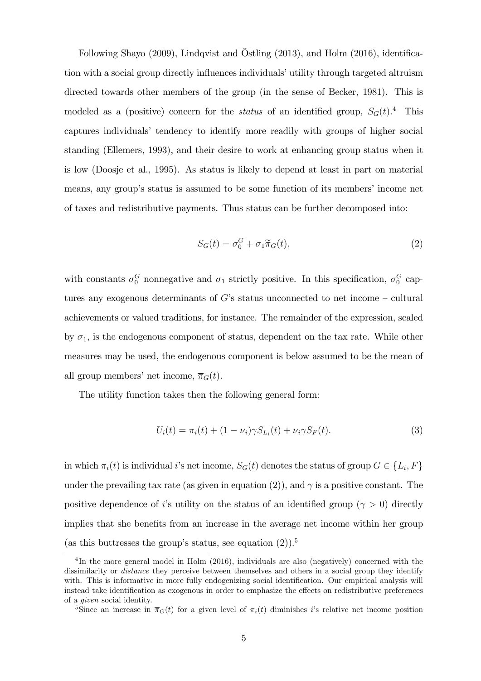Following Shayo (2009), Lindqvist and Östling (2013), and Holm (2016), identification with a social group directly influences individuals' utility through targeted altruism directed towards other members of the group (in the sense of Becker, 1981). This is modeled as a (positive) concern for the *status* of an identified group,  $S_G(t)$ .<sup>4</sup> This captures individuals' tendency to identify more readily with groups of higher social standing (Ellemers, 1993), and their desire to work at enhancing group status when it is low (Doosje et al., 1995). As status is likely to depend at least in part on material means, any group's status is assumed to be some function of its members' income net of taxes and redistributive payments. Thus status can be further decomposed into:

$$
S_G(t) = \sigma_0^G + \sigma_1 \widetilde{\pi}_G(t), \tag{2}
$$

with constants  $\sigma_0^G$  nonnegative and  $\sigma_1$  strictly positive. In this specification,  $\sigma_0^G$  captures any exogenous determinants of G's status unconnected to net income  $-$  cultural achievements or valued traditions, for instance. The remainder of the expression, scaled by  $\sigma_1$ , is the endogenous component of status, dependent on the tax rate. While other measures may be used, the endogenous component is below assumed to be the mean of all group members' net income,  $\overline{\pi}_G(t)$ .

The utility function takes then the following general form:

$$
U_i(t) = \pi_i(t) + (1 - \nu_i)\gamma S_{L_i}(t) + \nu_i \gamma S_F(t). \tag{3}
$$

in which  $\pi_i(t)$  is individual *i*'s net income,  $S_G(t)$  denotes the status of group  $G \in \{L_i, F\}$ under the prevailing tax rate (as given in equation (2)), and  $\gamma$  is a positive constant. The positive dependence of i's utility on the status of an identified group ( $\gamma > 0$ ) directly implies that she benefits from an increase in the average net income within her group (as this buttresses the group's status, see equation  $(2)$ ).<sup>5</sup>

<sup>&</sup>lt;sup>4</sup>In the more general model in Holm (2016), individuals are also (negatively) concerned with the dissimilarity or *distance* they perceive between themselves and others in a social group they identify with. This is informative in more fully endogenizing social identification. Our empirical analysis will instead take identification as exogenous in order to emphasize the effects on redistributive preferences of a given social identity.

<sup>&</sup>lt;sup>5</sup>Since an increase in  $\overline{\pi}_G(t)$  for a given level of  $\pi_i(t)$  diminishes is relative net income position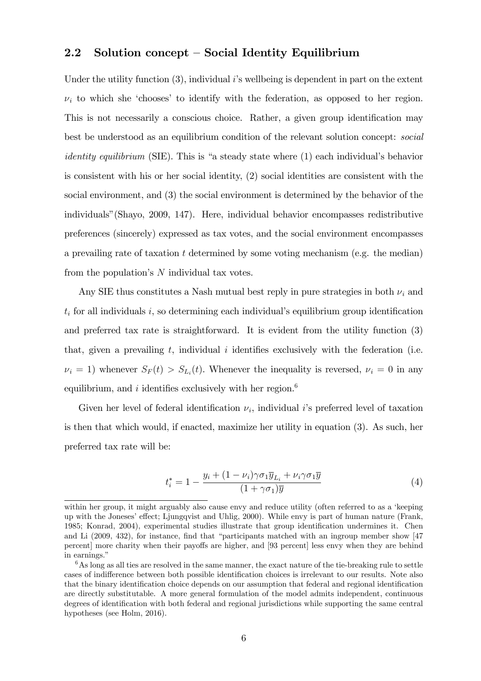### 2.2 Solution concept  $-$  Social Identity Equilibrium

Under the utility function  $(3)$ , individual i's wellbeing is dependent in part on the extent  $\nu_i$  to which she 'chooses' to identify with the federation, as opposed to her region. This is not necessarily a conscious choice. Rather, a given group identification may best be understood as an equilibrium condition of the relevant solution concept: social *identity equilibrium* (SIE). This is "a steady state where  $(1)$  each individual's behavior is consistent with his or her social identity, (2) social identities are consistent with the social environment, and (3) the social environment is determined by the behavior of the individualsî(Shayo, 2009, 147). Here, individual behavior encompasses redistributive preferences (sincerely) expressed as tax votes, and the social environment encompasses a prevailing rate of taxation  $t$  determined by some voting mechanism (e.g. the median) from the population's  $N$  individual tax votes.

Any SIE thus constitutes a Nash mutual best reply in pure strategies in both  $\nu_i$  and  $t_i$  for all individuals i, so determining each individual's equilibrium group identification and preferred tax rate is straightforward. It is evident from the utility function (3) that, given a prevailing  $t$ , individual i identifies exclusively with the federation (i.e.  $\nu_i = 1$ ) whenever  $S_F(t) > S_{L_i}(t)$ . Whenever the inequality is reversed,  $\nu_i = 0$  in any equilibrium, and i identifies exclusively with her region.<sup>6</sup>

Given her level of federal identification  $\nu_i$ , individual i's preferred level of taxation is then that which would, if enacted, maximize her utility in equation (3). As such, her preferred tax rate will be:

$$
t_i^* = 1 - \frac{y_i + (1 - \nu_i)\gamma \sigma_1 \overline{y}_{L_i} + \nu_i \gamma \sigma_1 \overline{y}}{(1 + \gamma \sigma_1)\overline{y}}
$$
(4)

within her group, it might arguably also cause envy and reduce utility (often referred to as a 'keeping up with the Joneses' effect; Ljungqvist and Uhlig, 2000). While envy is part of human nature (Frank, 1985; Konrad, 2004), experimental studies illustrate that group identification undermines it. Chen and Li  $(2009, 432)$ , for instance, find that "participants matched with an ingroup member show [47] percent] more charity when their payoffs are higher, and [93 percent] less envy when they are behind in earnings."

 $6$ As long as all ties are resolved in the same manner, the exact nature of the tie-breaking rule to settle cases of indifference between both possible identification choices is irrelevant to our results. Note also that the binary identification choice depends on our assumption that federal and regional identification are directly substitutable. A more general formulation of the model admits independent, continuous degrees of identification with both federal and regional jurisdictions while supporting the same central hypotheses (see Holm, 2016).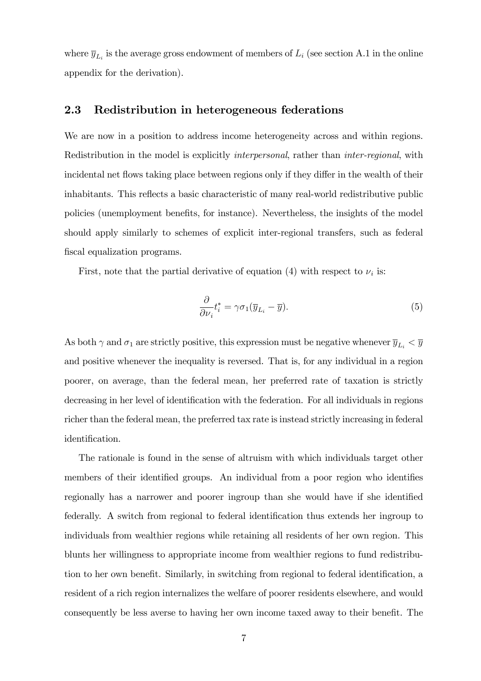where  $\overline{y}_{L_i}$  is the average gross endowment of members of  $L_i$  (see section A.1 in the online appendix for the derivation).

### 2.3 Redistribution in heterogeneous federations

We are now in a position to address income heterogeneity across and within regions. Redistribution in the model is explicitly *interpersonal*, rather than *inter-regional*, with incidental net flows taking place between regions only if they differ in the wealth of their inhabitants. This reflects a basic characteristic of many real-world redistributive public policies (unemployment benefits, for instance). Nevertheless, the insights of the model should apply similarly to schemes of explicit inter-regional transfers, such as federal fiscal equalization programs.

First, note that the partial derivative of equation (4) with respect to  $\nu_i$  is:

$$
\frac{\partial}{\partial \nu_i} t_i^* = \gamma \sigma_1 (\overline{y}_{L_i} - \overline{y}). \tag{5}
$$

As both  $\gamma$  and  $\sigma_1$  are strictly positive, this expression must be negative whenever  $\overline{y}_{L_i} < \overline{y}$ and positive whenever the inequality is reversed. That is, for any individual in a region poorer, on average, than the federal mean, her preferred rate of taxation is strictly decreasing in her level of identification with the federation. For all individuals in regions richer than the federal mean, the preferred tax rate is instead strictly increasing in federal identification.

The rationale is found in the sense of altruism with which individuals target other members of their identified groups. An individual from a poor region who identifies regionally has a narrower and poorer ingroup than she would have if she identified federally. A switch from regional to federal identification thus extends her ingroup to individuals from wealthier regions while retaining all residents of her own region. This blunts her willingness to appropriate income from wealthier regions to fund redistribution to her own benefit. Similarly, in switching from regional to federal identification, a resident of a rich region internalizes the welfare of poorer residents elsewhere, and would consequently be less averse to having her own income taxed away to their benefit. The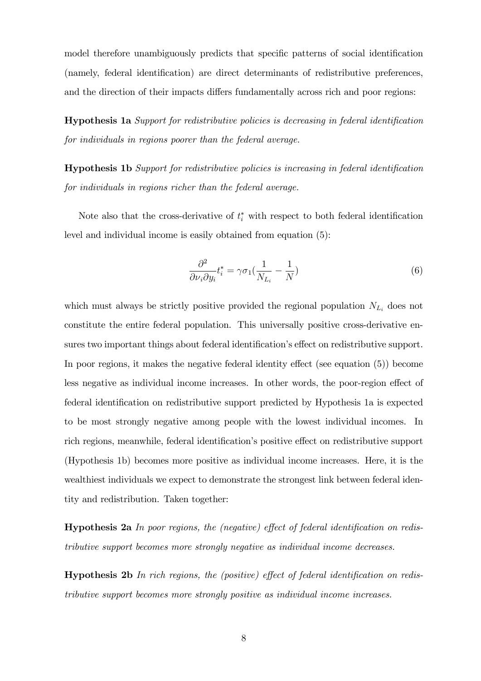model therefore unambiguously predicts that specific patterns of social identification (namely, federal identification) are direct determinants of redistributive preferences, and the direction of their impacts differs fundamentally across rich and poor regions:

**Hypothesis 1a** Support for redistributive policies is decreasing in federal identification for individuals in regions poorer than the federal average.

Hypothesis 1b Support for redistributive policies is increasing in federal identification for individuals in regions richer than the federal average.

Note also that the cross-derivative of  $t_i^*$  with respect to both federal identification level and individual income is easily obtained from equation (5):

$$
\frac{\partial^2}{\partial \nu_i \partial y_i} t_i^* = \gamma \sigma_1 \left( \frac{1}{N_{L_i}} - \frac{1}{N} \right) \tag{6}
$$

which must always be strictly positive provided the regional population  $N_{L_i}$  does not constitute the entire federal population. This universally positive cross-derivative ensures two important things about federal identification's effect on redistributive support. In poor regions, it makes the negative federal identity effect (see equation  $(5)$ ) become less negative as individual income increases. In other words, the poor-region effect of federal identification on redistributive support predicted by Hypothesis 1a is expected to be most strongly negative among people with the lowest individual incomes. In rich regions, meanwhile, federal identification's positive effect on redistributive support (Hypothesis 1b) becomes more positive as individual income increases. Here, it is the wealthiest individuals we expect to demonstrate the strongest link between federal identity and redistribution. Taken together:

**Hypothesis 2a** In poor regions, the (negative) effect of federal identification on redistributive support becomes more strongly negative as individual income decreases.

**Hypothesis 2b** In rich regions, the (positive) effect of federal identification on redistributive support becomes more strongly positive as individual income increases.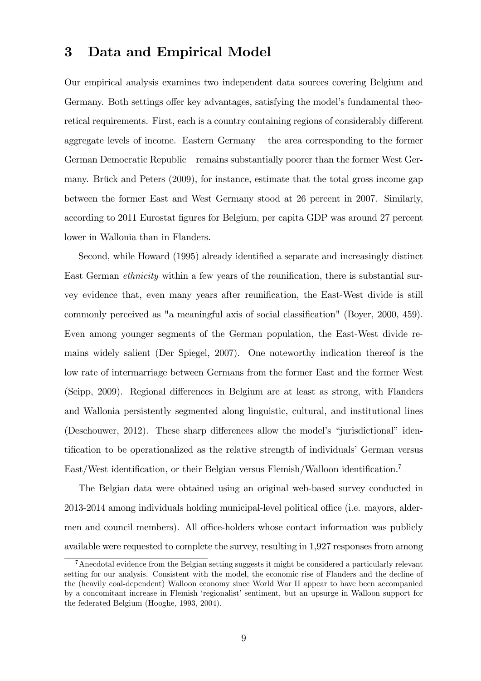# 3 Data and Empirical Model

Our empirical analysis examines two independent data sources covering Belgium and Germany. Both settings offer key advantages, satisfying the model's fundamental theoretical requirements. First, each is a country containing regions of considerably different aggregate levels of income. Eastern Germany  $-$  the area corresponding to the former German Democratic Republic – remains substantially poorer than the former West Germany. Brück and Peters  $(2009)$ , for instance, estimate that the total gross income gap between the former East and West Germany stood at 26 percent in 2007. Similarly, according to 2011 Eurostat figures for Belgium, per capita GDP was around 27 percent lower in Wallonia than in Flanders.

Second, while Howard (1995) already identified a separate and increasingly distinct East German *ethnicity* within a few years of the reunification, there is substantial survey evidence that, even many years after reunification, the East-West divide is still commonly perceived as "a meaningful axis of social classification" (Boyer, 2000, 459). Even among younger segments of the German population, the East-West divide remains widely salient (Der Spiegel, 2007). One noteworthy indication thereof is the low rate of intermarriage between Germans from the former East and the former West (Seipp, 2009). Regional differences in Belgium are at least as strong, with Flanders and Wallonia persistently segmented along linguistic, cultural, and institutional lines (Deschouwer, 2012). These sharp differences allow the model's "jurisdictional" identification to be operationalized as the relative strength of individuals' German versus East/West identification, or their Belgian versus Flemish/Walloon identification.<sup>7</sup>

The Belgian data were obtained using an original web-based survey conducted in 2013-2014 among individuals holding municipal-level political office (i.e. mayors, aldermen and council members). All office-holders whose contact information was publicly available were requested to complete the survey, resulting in 1,927 responses from among

<sup>7</sup>Anecdotal evidence from the Belgian setting suggests it might be considered a particularly relevant setting for our analysis. Consistent with the model, the economic rise of Flanders and the decline of the (heavily coal-dependent) Walloon economy since World War II appear to have been accompanied by a concomitant increase in Flemish 'regionalist' sentiment, but an upsurge in Walloon support for the federated Belgium (Hooghe, 1993, 2004).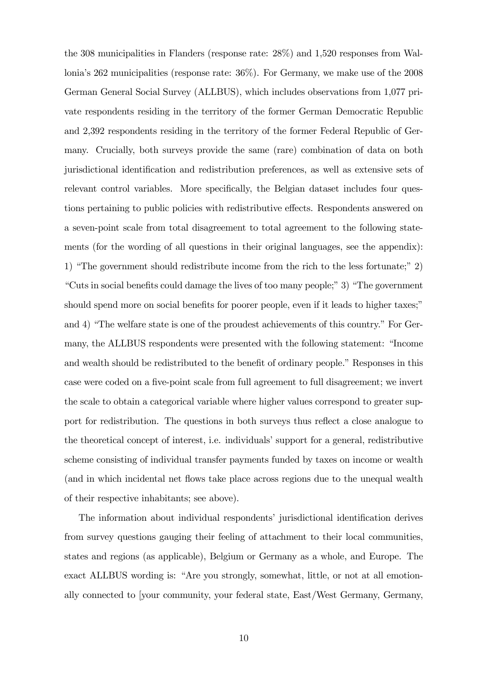the 308 municipalities in Flanders (response rate: 28%) and 1,520 responses from Walloniaís 262 municipalities (response rate: 36%). For Germany, we make use of the 2008 German General Social Survey (ALLBUS), which includes observations from 1,077 private respondents residing in the territory of the former German Democratic Republic and 2,392 respondents residing in the territory of the former Federal Republic of Germany. Crucially, both surveys provide the same (rare) combination of data on both jurisdictional identification and redistribution preferences, as well as extensive sets of relevant control variables. More specifically, the Belgian dataset includes four questions pertaining to public policies with redistributive effects. Respondents answered on a seven-point scale from total disagreement to total agreement to the following statements (for the wording of all questions in their original languages, see the appendix): 1) "The government should redistribute income from the rich to the less fortunate;" 2)  $\degree$ Cuts in social benefits could damage the lives of too many people; $\degree$ 3)  $\degree$ The government should spend more on social benefits for poorer people, even if it leads to higher taxes;" and 4) "The welfare state is one of the proudest achievements of this country." For Germany, the ALLBUS respondents were presented with the following statement: "Income and wealth should be redistributed to the benefit of ordinary people." Responses in this case were coded on a five-point scale from full agreement to full disagreement; we invert the scale to obtain a categorical variable where higher values correspond to greater support for redistribution. The questions in both surveys thus reflect a close analogue to the theoretical concept of interest, i.e. individualsísupport for a general, redistributive scheme consisting of individual transfer payments funded by taxes on income or wealth (and in which incidental net flows take place across regions due to the unequal wealth of their respective inhabitants; see above).

The information about individual respondents' jurisdictional identification derives from survey questions gauging their feeling of attachment to their local communities, states and regions (as applicable), Belgium or Germany as a whole, and Europe. The exact ALLBUS wording is: "Are you strongly, somewhat, little, or not at all emotionally connected to [your community, your federal state, East/West Germany, Germany,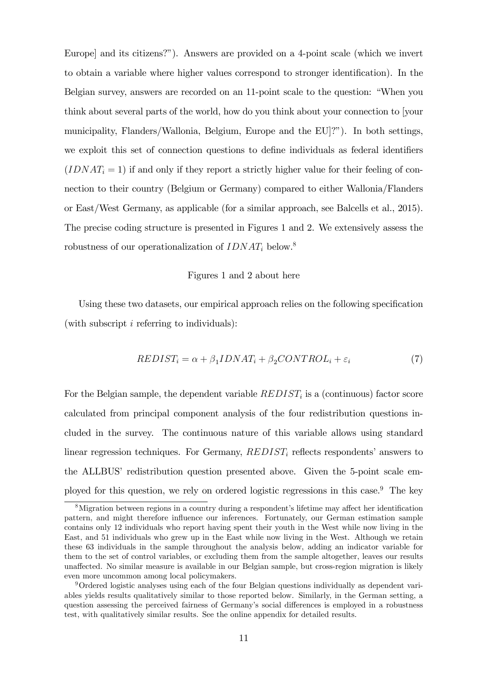Europe] and its citizens?"). Answers are provided on a 4-point scale (which we invert to obtain a variable where higher values correspond to stronger identification). In the Belgian survey, answers are recorded on an 11-point scale to the question: "When you think about several parts of the world, how do you think about your connection to [your municipality, Flanders/Wallonia, Belgium, Europe and the EU]?"). In both settings, we exploit this set of connection questions to define individuals as federal identifiers  $(IDNAT<sub>i</sub> = 1)$  if and only if they report a strictly higher value for their feeling of connection to their country (Belgium or Germany) compared to either Wallonia/Flanders or East/West Germany, as applicable (for a similar approach, see Balcells et al., 2015). The precise coding structure is presented in Figures 1 and 2. We extensively assess the robustness of our operationalization of  $IDNAT_i$  below.<sup>8</sup>

#### Figures 1 and 2 about here

Using these two datasets, our empirical approach relies on the following specification (with subscript  $i$  referring to individuals):

$$
REDIST_i = \alpha + \beta_1 IDNAT_i + \beta_2 CONTROL_i + \varepsilon_i \tag{7}
$$

For the Belgian sample, the dependent variable  $REDIST_i$  is a (continuous) factor score calculated from principal component analysis of the four redistribution questions included in the survey. The continuous nature of this variable allows using standard linear regression techniques. For Germany,  $REDIST_i$  reflects respondents' answers to the ALLBUS' redistribution question presented above. Given the 5-point scale employed for this question, we rely on ordered logistic regressions in this case.<sup>9</sup> The key

 ${}^{8}$ Migration between regions in a country during a respondent's lifetime may affect her identification pattern, and might therefore influence our inferences. Fortunately, our German estimation sample contains only 12 individuals who report having spent their youth in the West while now living in the East, and 51 individuals who grew up in the East while now living in the West. Although we retain these 63 individuals in the sample throughout the analysis below, adding an indicator variable for them to the set of control variables, or excluding them from the sample altogether, leaves our results unaffected. No similar measure is available in our Belgian sample, but cross-region migration is likely even more uncommon among local policymakers.

<sup>9</sup>Ordered logistic analyses using each of the four Belgian questions individually as dependent variables yields results qualitatively similar to those reported below. Similarly, in the German setting, a question assessing the perceived fairness of Germany's social differences is employed in a robustness test, with qualitatively similar results. See the online appendix for detailed results.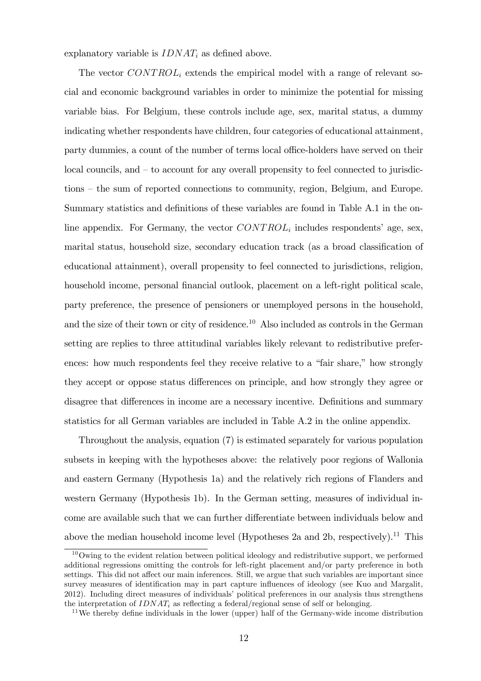explanatory variable is  $IDNAT_i$  as defined above.

The vector  $CONTROL_i$  extends the empirical model with a range of relevant social and economic background variables in order to minimize the potential for missing variable bias. For Belgium, these controls include age, sex, marital status, a dummy indicating whether respondents have children, four categories of educational attainment, party dummies, a count of the number of terms local office-holders have served on their  $local \text{ count}$ , and  $-$  to account for any overall propensity to feel connected to jurisdictions – the sum of reported connections to community, region, Belgium, and Europe. Summary statistics and definitions of these variables are found in Table A.1 in the online appendix. For Germany, the vector  $CONTROL_i$  includes respondents' age, sex, marital status, household size, secondary education track (as a broad classification of educational attainment), overall propensity to feel connected to jurisdictions, religion, household income, personal financial outlook, placement on a left-right political scale, party preference, the presence of pensioners or unemployed persons in the household, and the size of their town or city of residence.<sup>10</sup> Also included as controls in the German setting are replies to three attitudinal variables likely relevant to redistributive preferences: how much respondents feel they receive relative to a "fair share," how strongly they accept or oppose status differences on principle, and how strongly they agree or disagree that differences in income are a necessary incentive. Definitions and summary statistics for all German variables are included in Table A.2 in the online appendix.

Throughout the analysis, equation (7) is estimated separately for various population subsets in keeping with the hypotheses above: the relatively poor regions of Wallonia and eastern Germany (Hypothesis 1a) and the relatively rich regions of Flanders and western Germany (Hypothesis 1b). In the German setting, measures of individual income are available such that we can further differentiate between individuals below and above the median household income level (Hypotheses 2a and 2b, respectively).<sup>11</sup> This

<sup>&</sup>lt;sup>10</sup>Owing to the evident relation between political ideology and redistributive support, we performed additional regressions omitting the controls for left-right placement and/or party preference in both settings. This did not affect our main inferences. Still, we argue that such variables are important since survey measures of identification may in part capture influences of ideology (see Kuo and Margalit, 2012). Including direct measures of individuals' political preferences in our analysis thus strengthens the interpretation of  $IDNAT_i$  as reflecting a federal/regional sense of self or belonging.

 $11$ We thereby define individuals in the lower (upper) half of the Germany-wide income distribution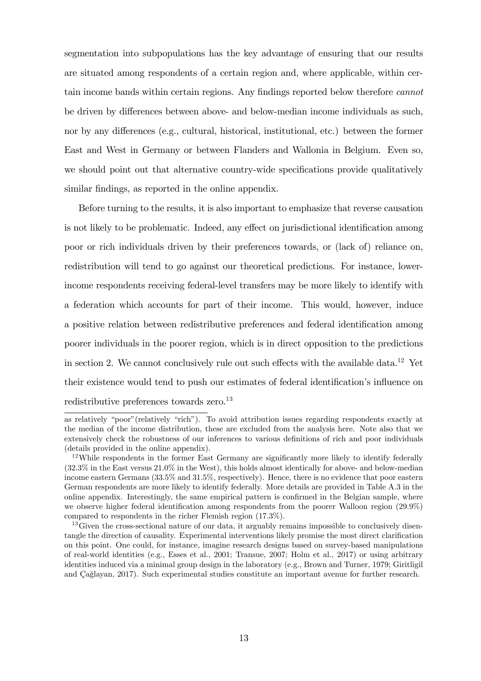segmentation into subpopulations has the key advantage of ensuring that our results are situated among respondents of a certain region and, where applicable, within certain income bands within certain regions. Any findings reported below therefore *cannot* be driven by differences between above- and below-median income individuals as such, nor by any differences (e.g., cultural, historical, institutional, etc.) between the former East and West in Germany or between Flanders and Wallonia in Belgium. Even so, we should point out that alternative country-wide specifications provide qualitatively similar findings, as reported in the online appendix.

Before turning to the results, it is also important to emphasize that reverse causation is not likely to be problematic. Indeed, any effect on jurisdictional identification among poor or rich individuals driven by their preferences towards, or (lack of) reliance on, redistribution will tend to go against our theoretical predictions. For instance, lowerincome respondents receiving federal-level transfers may be more likely to identify with a federation which accounts for part of their income. This would, however, induce a positive relation between redistributive preferences and federal identification among poorer individuals in the poorer region, which is in direct opposition to the predictions in section 2. We cannot conclusively rule out such effects with the available data.<sup>12</sup> Yet their existence would tend to push our estimates of federal identification's influence on redistributive preferences towards zero.<sup>13</sup>

as relatively "poor"(relatively "rich"). To avoid attribution issues regarding respondents exactly at the median of the income distribution, these are excluded from the analysis here. Note also that we extensively check the robustness of our inferences to various definitions of rich and poor individuals (details provided in the online appendix).

 $12$ While respondents in the former East Germany are significantly more likely to identify federally (32.3% in the East versus 21.0% in the West), this holds almost identically for above- and below-median income eastern Germans (33.5% and 31.5%, respectively). Hence, there is no evidence that poor eastern German respondents are more likely to identify federally. More details are provided in Table A.3 in the online appendix. Interestingly, the same empirical pattern is confirmed in the Belgian sample, where we observe higher federal identification among respondents from the poorer Walloon region (29.9%) compared to respondents in the richer Flemish region (17.3%).

<sup>&</sup>lt;sup>13</sup>Given the cross-sectional nature of our data, it arguably remains impossible to conclusively disentangle the direction of causality. Experimental interventions likely promise the most direct clarification on this point. One could, for instance, imagine research designs based on survey-based manipulations of real-world identities (e.g., Esses et al., 2001; Transue, 2007; Holm et al., 2017) or using arbitrary identities induced via a minimal group design in the laboratory (e.g., Brown and Turner, 1979; Giritligil and Cağlayan, 2017). Such experimental studies constitute an important avenue for further research.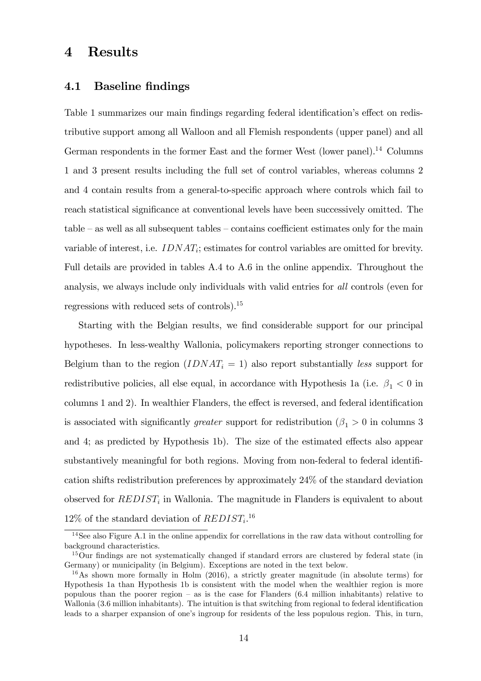# 4 Results

### 4.1 Baseline findings

Table 1 summarizes our main findings regarding federal identification's effect on redistributive support among all Walloon and all Flemish respondents (upper panel) and all German respondents in the former East and the former West (lower panel).<sup>14</sup> Columns 1 and 3 present results including the full set of control variables, whereas columns 2 and 4 contain results from a general-to-specific approach where controls which fail to reach statistical significance at conventional levels have been successively omitted. The  $table - as$  well as all subsequent tables  $-$  contains coefficient estimates only for the main variable of interest, i.e.  $IDNAT_i$ ; estimates for control variables are omitted for brevity. Full details are provided in tables A.4 to A.6 in the online appendix. Throughout the analysis, we always include only individuals with valid entries for all controls (even for regressions with reduced sets of controls).<sup>15</sup>

Starting with the Belgian results, we find considerable support for our principal hypotheses. In less-wealthy Wallonia, policymakers reporting stronger connections to Belgium than to the region  $(IDNAT<sub>i</sub> = 1)$  also report substantially less support for redistributive policies, all else equal, in accordance with Hypothesis 1a (i.e.  $\beta_1 < 0$  in columns 1 and 2). In wealthier Flanders, the effect is reversed, and federal identification is associated with significantly *greater* support for redistribution ( $\beta_1 > 0$  in columns 3 and 4; as predicted by Hypothesis 1b). The size of the estimated effects also appear substantively meaningful for both regions. Moving from non-federal to federal identification shifts redistribution preferences by approximately 24% of the standard deviation observed for  $REDIST_i$  in Wallonia. The magnitude in Flanders is equivalent to about  $12\%$  of the standard deviation of  $REDIST_i$ <sup>16</sup>

<sup>14</sup>See also Figure A.1 in the online appendix for correllations in the raw data without controlling for background characteristics.

<sup>&</sup>lt;sup>15</sup>Our findings are not systematically changed if standard errors are clustered by federal state (in Germany) or municipality (in Belgium). Exceptions are noted in the text below.

<sup>&</sup>lt;sup>16</sup>As shown more formally in Holm  $(2016)$ , a strictly greater magnitude (in absolute terms) for Hypothesis 1a than Hypothesis 1b is consistent with the model when the wealthier region is more populous than the poorer region  $-$  as is the case for Flanders (6.4 million inhabitants) relative to Wallonia (3.6 million inhabitants). The intuition is that switching from regional to federal identification leads to a sharper expansion of one's ingroup for residents of the less populous region. This, in turn,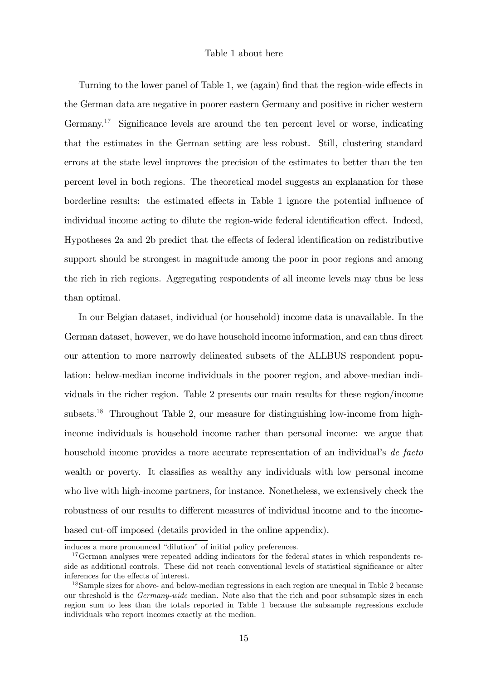#### Table 1 about here

Turning to the lower panel of Table 1, we (again) find that the region-wide effects in the German data are negative in poorer eastern Germany and positive in richer western Germany.<sup>17</sup> Significance levels are around the ten percent level or worse, indicating that the estimates in the German setting are less robust. Still, clustering standard errors at the state level improves the precision of the estimates to better than the ten percent level in both regions. The theoretical model suggests an explanation for these borderline results: the estimated effects in Table 1 ignore the potential influence of individual income acting to dilute the region-wide federal identification effect. Indeed, Hypotheses 2a and 2b predict that the effects of federal identification on redistributive support should be strongest in magnitude among the poor in poor regions and among the rich in rich regions. Aggregating respondents of all income levels may thus be less than optimal.

In our Belgian dataset, individual (or household) income data is unavailable. In the German dataset, however, we do have household income information, and can thus direct our attention to more narrowly delineated subsets of the ALLBUS respondent population: below-median income individuals in the poorer region, and above-median individuals in the richer region. Table 2 presents our main results for these region/income subsets.<sup>18</sup> Throughout Table 2, our measure for distinguishing low-income from highincome individuals is household income rather than personal income: we argue that household income provides a more accurate representation of an individual's de facto wealth or poverty. It classifies as wealthy any individuals with low personal income who live with high-income partners, for instance. Nonetheless, we extensively check the robustness of our results to different measures of individual income and to the incomebased cut-off imposed (details provided in the online appendix).

induces a more pronounced "dilution" of initial policy preferences.

<sup>&</sup>lt;sup>17</sup>German analyses were repeated adding indicators for the federal states in which respondents reside as additional controls. These did not reach conventional levels of statistical significance or alter inferences for the effects of interest.

<sup>&</sup>lt;sup>18</sup>Sample sizes for above- and below-median regressions in each region are unequal in Table 2 because our threshold is the *Germany-wide* median. Note also that the rich and poor subsample sizes in each region sum to less than the totals reported in Table 1 because the subsample regressions exclude individuals who report incomes exactly at the median.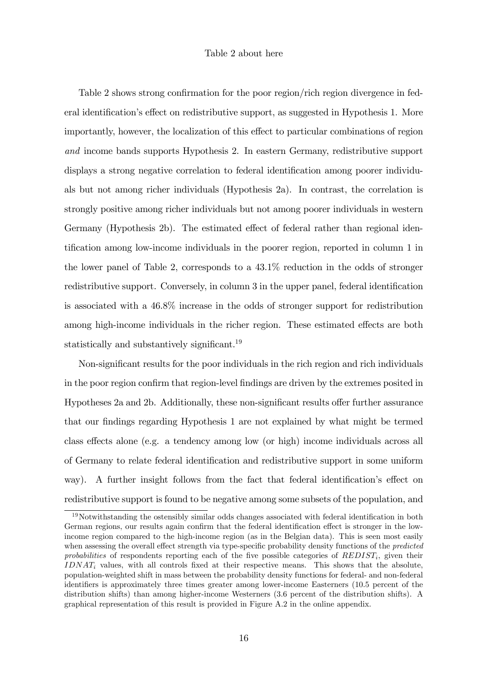#### Table 2 about here

Table 2 shows strong confirmation for the poor region/rich region divergence in federal identification's effect on redistributive support, as suggested in Hypothesis 1. More importantly, however, the localization of this effect to particular combinations of region and income bands supports Hypothesis 2. In eastern Germany, redistributive support displays a strong negative correlation to federal identification among poorer individuals but not among richer individuals (Hypothesis 2a). In contrast, the correlation is strongly positive among richer individuals but not among poorer individuals in western Germany (Hypothesis 2b). The estimated effect of federal rather than regional identification among low-income individuals in the poorer region, reported in column 1 in the lower panel of Table 2, corresponds to a 43.1% reduction in the odds of stronger redistributive support. Conversely, in column 3 in the upper panel, federal identification is associated with a 46.8% increase in the odds of stronger support for redistribution among high-income individuals in the richer region. These estimated effects are both statistically and substantively significant.<sup>19</sup>

Non-significant results for the poor individuals in the rich region and rich individuals in the poor region confirm that region-level findings are driven by the extremes posited in Hypotheses 2a and 2b. Additionally, these non-significant results offer further assurance that our findings regarding Hypothesis 1 are not explained by what might be termed class effects alone (e.g. a tendency among low (or high) income individuals across all of Germany to relate federal identification and redistributive support in some uniform way). A further insight follows from the fact that federal identification's effect on redistributive support is found to be negative among some subsets of the population, and

 $19$ Notwithstanding the ostensibly similar odds changes associated with federal identification in both German regions, our results again confirm that the federal identification effect is stronger in the lowincome region compared to the high-income region (as in the Belgian data). This is seen most easily when assessing the overall effect strength via type-specific probability density functions of the *predicted* probabilities of respondents reporting each of the five possible categories of  $REDIST_i$ , given their  $IDNAT_i$  values, with all controls fixed at their respective means. This shows that the absolute, population-weighted shift in mass between the probability density functions for federal- and non-federal identifiers is approximately three times greater among lower-income Easterners (10.5 percent of the distribution shifts) than among higher-income Westerners (3.6 percent of the distribution shifts). A graphical representation of this result is provided in Figure A.2 in the online appendix.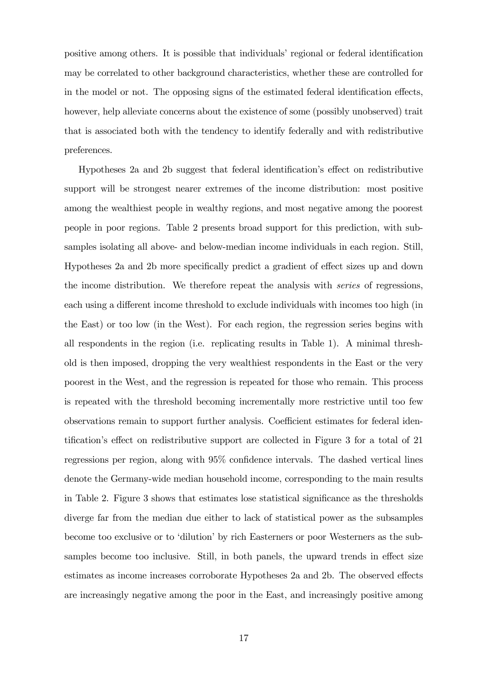positive among others. It is possible that individuals' regional or federal identification may be correlated to other background characteristics, whether these are controlled for in the model or not. The opposing signs of the estimated federal identification effects, however, help alleviate concerns about the existence of some (possibly unobserved) trait that is associated both with the tendency to identify federally and with redistributive preferences.

Hypotheses 2a and 2b suggest that federal identification's effect on redistributive support will be strongest nearer extremes of the income distribution: most positive among the wealthiest people in wealthy regions, and most negative among the poorest people in poor regions. Table 2 presents broad support for this prediction, with subsamples isolating all above- and below-median income individuals in each region. Still, Hypotheses 2a and 2b more specifically predict a gradient of effect sizes up and down the income distribution. We therefore repeat the analysis with series of regressions, each using a different income threshold to exclude individuals with incomes too high (in the East) or too low (in the West). For each region, the regression series begins with all respondents in the region (i.e. replicating results in Table 1). A minimal threshold is then imposed, dropping the very wealthiest respondents in the East or the very poorest in the West, and the regression is repeated for those who remain. This process is repeated with the threshold becoming incrementally more restrictive until too few observations remain to support further analysis. Coefficient estimates for federal identification's effect on redistributive support are collected in Figure 3 for a total of  $21$ regressions per region, along with  $95\%$  confidence intervals. The dashed vertical lines denote the Germany-wide median household income, corresponding to the main results in Table 2. Figure 3 shows that estimates lose statistical significance as the thresholds diverge far from the median due either to lack of statistical power as the subsamples become too exclusive or to 'dilution' by rich Easterners or poor Westerners as the subsamples become too inclusive. Still, in both panels, the upward trends in effect size estimates as income increases corroborate Hypotheses 2a and 2b. The observed effects are increasingly negative among the poor in the East, and increasingly positive among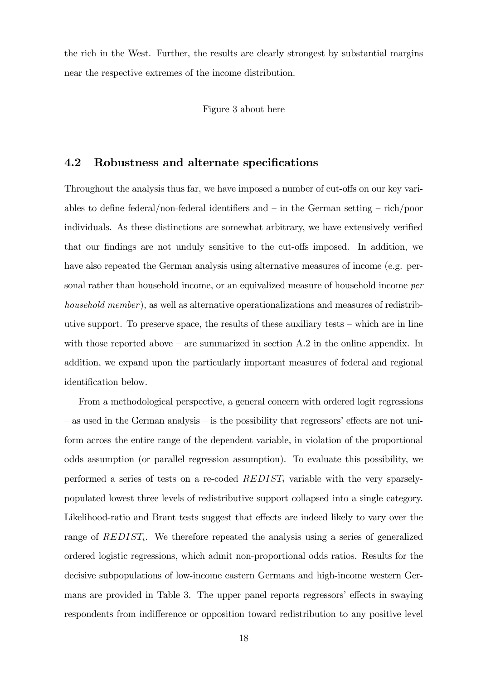the rich in the West. Further, the results are clearly strongest by substantial margins near the respective extremes of the income distribution.

Figure 3 about here

### 4.2 Robustness and alternate specifications

Throughout the analysis thus far, we have imposed a number of cut-offs on our key variables to define federal/non-federal identifiers and  $-\text{ in the German setting } -\text{ rich/poor}$ individuals. As these distinctions are somewhat arbitrary, we have extensively verified that our findings are not unduly sensitive to the cut-offs imposed. In addition, we have also repeated the German analysis using alternative measures of income (e.g. personal rather than household income, or an equivalized measure of household income per household member), as well as alternative operationalizations and measures of redistributive support. To preserve space, the results of these auxiliary tests  $-$  which are in line with those reported above  $-$  are summarized in section A.2 in the online appendix. In addition, we expand upon the particularly important measures of federal and regional identification below.

From a methodological perspective, a general concern with ordered logit regressions – as used in the German analysis – is the possibility that regressors' effects are not uniform across the entire range of the dependent variable, in violation of the proportional odds assumption (or parallel regression assumption). To evaluate this possibility, we performed a series of tests on a re-coded  $REDIST_i$  variable with the very sparselypopulated lowest three levels of redistributive support collapsed into a single category. Likelihood-ratio and Brant tests suggest that effects are indeed likely to vary over the range of  $REDIST_i$ . We therefore repeated the analysis using a series of generalized ordered logistic regressions, which admit non-proportional odds ratios. Results for the decisive subpopulations of low-income eastern Germans and high-income western Germans are provided in Table 3. The upper panel reports regressors' effects in swaying respondents from indifference or opposition toward redistribution to any positive level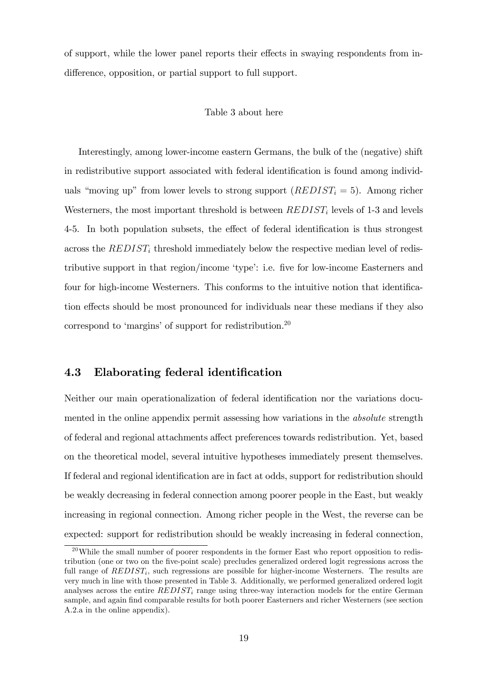of support, while the lower panel reports their effects in swaying respondents from indifference, opposition, or partial support to full support.

#### Table 3 about here

Interestingly, among lower-income eastern Germans, the bulk of the (negative) shift in redistributive support associated with federal identification is found among individuals "moving up" from lower levels to strong support  $(REDIST_i = 5)$ . Among richer Westerners, the most important threshold is between  $REDIST_i$  levels of 1-3 and levels 4-5. In both population subsets, the effect of federal identification is thus strongest across the  $REDIST_i$  threshold immediately below the respective median level of redistributive support in that region/income 'type': i.e. five for low-income Easterners and four for high-income Westerners. This conforms to the intuitive notion that identification effects should be most pronounced for individuals near these medians if they also correspond to 'margins' of support for redistribution.<sup>20</sup>

### 4.3 Elaborating federal identification

Neither our main operationalization of federal identification nor the variations documented in the online appendix permit assessing how variations in the *absolute* strength of federal and regional attachments affect preferences towards redistribution. Yet, based on the theoretical model, several intuitive hypotheses immediately present themselves. If federal and regional identification are in fact at odds, support for redistribution should be weakly decreasing in federal connection among poorer people in the East, but weakly increasing in regional connection. Among richer people in the West, the reverse can be expected: support for redistribution should be weakly increasing in federal connection,

 $^{20}$ While the small number of poorer respondents in the former East who report opposition to redistribution (one or two on the five-point scale) precludes generalized ordered logit regressions across the full range of  $REDIST_i$ , such regressions are possible for higher-income Westerners. The results are very much in line with those presented in Table 3. Additionally, we performed generalized ordered logit analyses across the entire  $REDIST_i$  range using three-way interaction models for the entire German sample, and again find comparable results for both poorer Easterners and richer Westerners (see section A.2.a in the online appendix).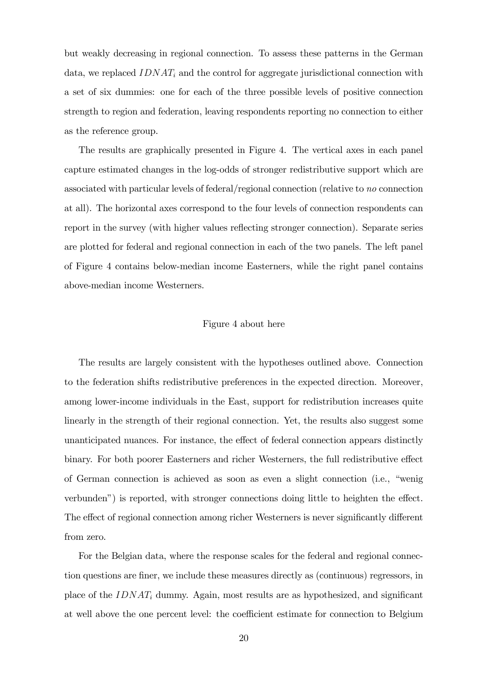but weakly decreasing in regional connection. To assess these patterns in the German data, we replaced  $IDNAT_i$  and the control for aggregate jurisdictional connection with a set of six dummies: one for each of the three possible levels of positive connection strength to region and federation, leaving respondents reporting no connection to either as the reference group.

The results are graphically presented in Figure 4. The vertical axes in each panel capture estimated changes in the log-odds of stronger redistributive support which are associated with particular levels of federal/regional connection (relative to no connection at all). The horizontal axes correspond to the four levels of connection respondents can report in the survey (with higher values reflecting stronger connection). Separate series are plotted for federal and regional connection in each of the two panels. The left panel of Figure 4 contains below-median income Easterners, while the right panel contains above-median income Westerners.

#### Figure 4 about here

The results are largely consistent with the hypotheses outlined above. Connection to the federation shifts redistributive preferences in the expected direction. Moreover, among lower-income individuals in the East, support for redistribution increases quite linearly in the strength of their regional connection. Yet, the results also suggest some unanticipated nuances. For instance, the effect of federal connection appears distinctly binary. For both poorer Easterners and richer Westerners, the full redistributive effect of German connection is achieved as soon as even a slight connection (i.e., "wenig verbunden") is reported, with stronger connections doing little to heighten the effect. The effect of regional connection among richer Westerners is never significantly different from zero.

For the Belgian data, where the response scales for the federal and regional connection questions are Öner, we include these measures directly as (continuous) regressors, in place of the  $IDNAT_i$  dummy. Again, most results are as hypothesized, and significant at well above the one percent level: the coefficient estimate for connection to Belgium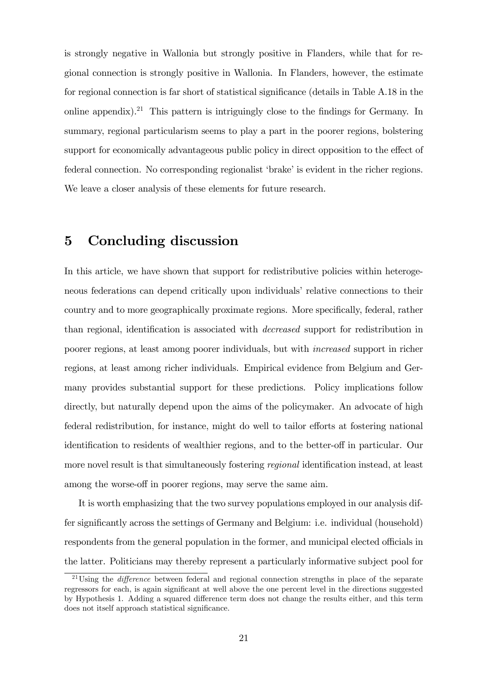is strongly negative in Wallonia but strongly positive in Flanders, while that for regional connection is strongly positive in Wallonia. In Flanders, however, the estimate for regional connection is far short of statistical significance (details in Table A.18 in the online appendix).<sup>21</sup> This pattern is intriguingly close to the findings for Germany. In summary, regional particularism seems to play a part in the poorer regions, bolstering support for economically advantageous public policy in direct opposition to the effect of federal connection. No corresponding regionalist 'brake' is evident in the richer regions. We leave a closer analysis of these elements for future research.

# 5 Concluding discussion

In this article, we have shown that support for redistributive policies within heterogeneous federations can depend critically upon individuals' relative connections to their country and to more geographically proximate regions. More specifically, federal, rather than regional, identification is associated with *decreased* support for redistribution in poorer regions, at least among poorer individuals, but with increased support in richer regions, at least among richer individuals. Empirical evidence from Belgium and Germany provides substantial support for these predictions. Policy implications follow directly, but naturally depend upon the aims of the policymaker. An advocate of high federal redistribution, for instance, might do well to tailor efforts at fostering national identification to residents of wealthier regions, and to the better-off in particular. Our more novel result is that simultaneously fostering *regional* identification instead, at least among the worse-off in poorer regions, may serve the same aim.

It is worth emphasizing that the two survey populations employed in our analysis differ significantly across the settings of Germany and Belgium: i.e. individual (household) respondents from the general population in the former, and municipal elected officials in the latter. Politicians may thereby represent a particularly informative subject pool for

 $21$ Using the *difference* between federal and regional connection strengths in place of the separate regressors for each, is again significant at well above the one percent level in the directions suggested by Hypothesis 1. Adding a squared difference term does not change the results either, and this term does not itself approach statistical significance.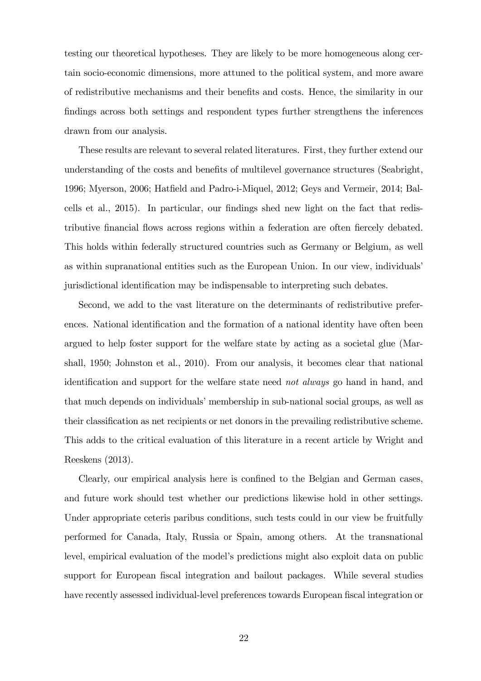testing our theoretical hypotheses. They are likely to be more homogeneous along certain socio-economic dimensions, more attuned to the political system, and more aware of redistributive mechanisms and their beneÖts and costs. Hence, the similarity in our Öndings across both settings and respondent types further strengthens the inferences drawn from our analysis.

These results are relevant to several related literatures. First, they further extend our understanding of the costs and benefits of multilevel governance structures (Seabright, 1996; Myerson, 2006; Hatfield and Padro-i-Miquel, 2012; Geys and Vermeir, 2014; Balcells et al., 2015). In particular, our findings shed new light on the fact that redistributive financial flows across regions within a federation are often fiercely debated. This holds within federally structured countries such as Germany or Belgium, as well as within supranational entities such as the European Union. In our view, individuals jurisdictional identification may be indispensable to interpreting such debates.

Second, we add to the vast literature on the determinants of redistributive preferences. National identification and the formation of a national identity have often been argued to help foster support for the welfare state by acting as a societal glue (Marshall, 1950; Johnston et al., 2010). From our analysis, it becomes clear that national identification and support for the welfare state need *not always* go hand in hand, and that much depends on individuals' membership in sub-national social groups, as well as their classification as net recipients or net donors in the prevailing redistributive scheme. This adds to the critical evaluation of this literature in a recent article by Wright and Reeskens (2013).

Clearly, our empirical analysis here is confined to the Belgian and German cases, and future work should test whether our predictions likewise hold in other settings. Under appropriate ceteris paribus conditions, such tests could in our view be fruitfully performed for Canada, Italy, Russia or Spain, among others. At the transnational level, empirical evaluation of the model's predictions might also exploit data on public support for European fiscal integration and bailout packages. While several studies have recently assessed individual-level preferences towards European fiscal integration or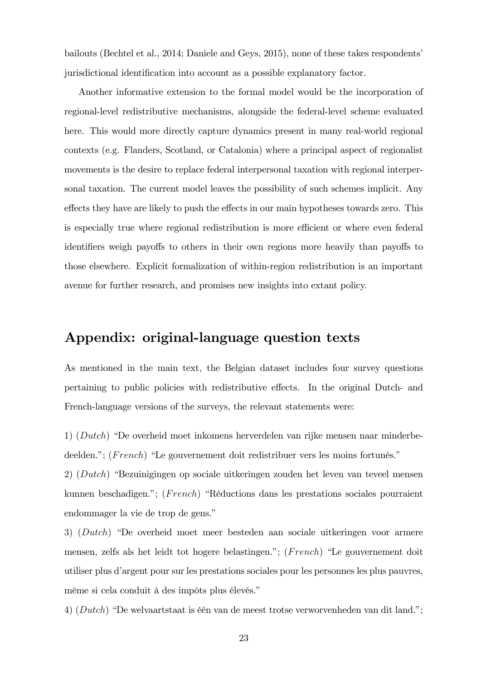bailouts (Bechtel et al., 2014; Daniele and Geys, 2015), none of these takes respondentsí jurisdictional identification into account as a possible explanatory factor.

Another informative extension to the formal model would be the incorporation of regional-level redistributive mechanisms, alongside the federal-level scheme evaluated here. This would more directly capture dynamics present in many real-world regional contexts (e.g. Flanders, Scotland, or Catalonia) where a principal aspect of regionalist movements is the desire to replace federal interpersonal taxation with regional interpersonal taxation. The current model leaves the possibility of such schemes implicit. Any effects they have are likely to push the effects in our main hypotheses towards zero. This is especially true where regional redistribution is more efficient or where even federal identifiers weigh payoffs to others in their own regions more heavily than payoffs to those elsewhere. Explicit formalization of within-region redistribution is an important avenue for further research, and promises new insights into extant policy.

# Appendix: original-language question texts

As mentioned in the main text, the Belgian dataset includes four survey questions pertaining to public policies with redistributive effects. In the original Dutch- and French-language versions of the surveys, the relevant statements were:

1)  $(Dutch)$  "De overheid moet inkomens herverdelen van rijke mensen naar minderbedeelden."; ( $French$ ) "Le gouvernement doit redistribuer vers les moins fortunés."

2)  $(Dutch)$  "Bezuinigingen op sociale uitkeringen zouden het leven van teveel mensen kunnen beschadigen."; (French) "Réductions dans les prestations sociales pourraient endommager la vie de trop de gens."

3)  $(Dutch)$  "De overheid moet meer besteden aan sociale uitkeringen voor armere mensen, zelfs als het leidt tot hogere belastingen."; ( $French$ ) "Le gouvernement doit utiliser plus díargent pour sur les prestations sociales pour les personnes les plus pauvres, même si cela conduit à des impôts plus élevés."

4)  $(Dutch)$  "De welvaartstaat is één van de meest trotse verworvenheden van dit land.";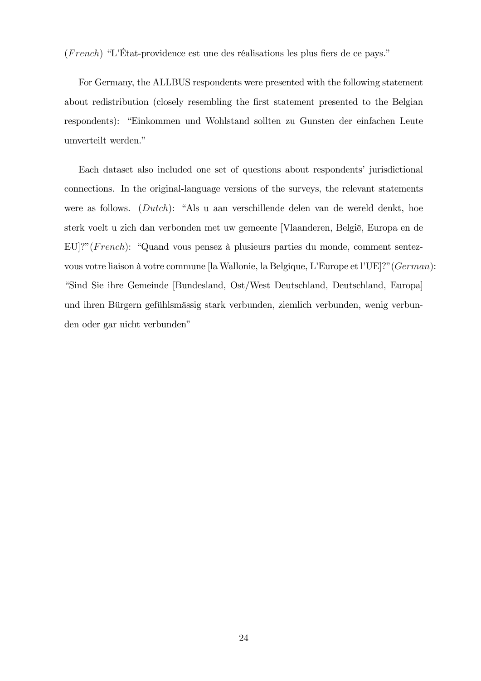$(French)$  "L'État-providence est une des réalisations les plus fiers de ce pays."

For Germany, the ALLBUS respondents were presented with the following statement about redistribution (closely resembling the first statement presented to the Belgian respondents): "Einkommen und Wohlstand sollten zu Gunsten der einfachen Leute umverteilt werden."

Each dataset also included one set of questions about respondents' jurisdictional connections. In the original-language versions of the surveys, the relevant statements were as follows.  $(Dutch):$  "Als u aan verschillende delen van de wereld denkt, hoe sterk voelt u zich dan verbonden met uw gemeente [Vlaanderen, België, Europa en de  $EU$ ?"(French): "Quand vous pensez à plusieurs parties du monde, comment sentezvous votre liaison à votre commune [la Wallonie, la Belgique, L'Europe et l'UE]?" (German): ìSind Sie ihre Gemeinde [Bundesland, Ost/West Deutschland, Deutschland, Europa] und ihren Bürgern gefühlsmässig stark verbunden, ziemlich verbunden, wenig verbunden oder gar nicht verbunden"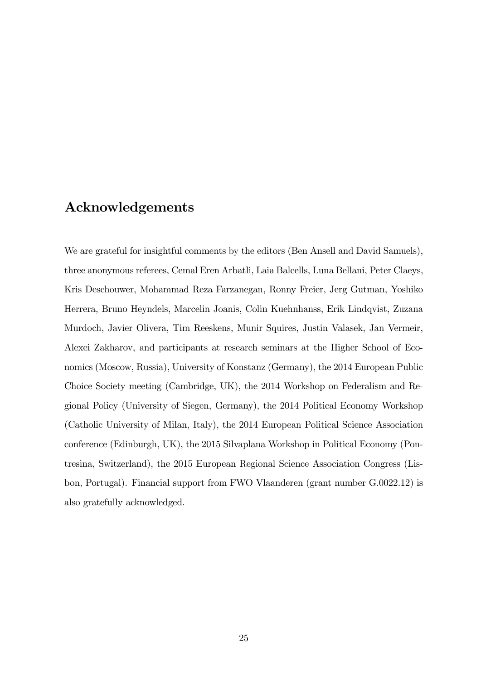# Acknowledgements

We are grateful for insightful comments by the editors (Ben Ansell and David Samuels), three anonymous referees, Cemal Eren Arbatli, Laia Balcells, Luna Bellani, Peter Claeys, Kris Deschouwer, Mohammad Reza Farzanegan, Ronny Freier, Jerg Gutman, Yoshiko Herrera, Bruno Heyndels, Marcelin Joanis, Colin Kuehnhanss, Erik Lindqvist, Zuzana Murdoch, Javier Olivera, Tim Reeskens, Munir Squires, Justin Valasek, Jan Vermeir, Alexei Zakharov, and participants at research seminars at the Higher School of Economics (Moscow, Russia), University of Konstanz (Germany), the 2014 European Public Choice Society meeting (Cambridge, UK), the 2014 Workshop on Federalism and Regional Policy (University of Siegen, Germany), the 2014 Political Economy Workshop (Catholic University of Milan, Italy), the 2014 European Political Science Association conference (Edinburgh, UK), the 2015 Silvaplana Workshop in Political Economy (Pontresina, Switzerland), the 2015 European Regional Science Association Congress (Lisbon, Portugal). Financial support from FWO Vlaanderen (grant number G.0022.12) is also gratefully acknowledged.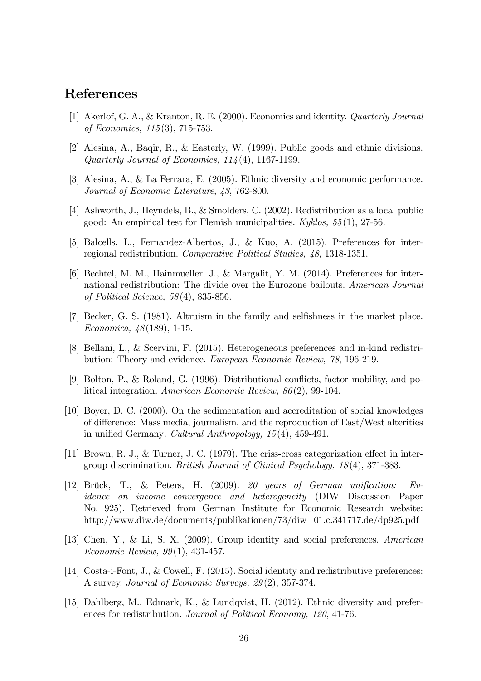# References

- [1] Akerlof, G. A., & Kranton, R. E. (2000). Economics and identity. Quarterly Journal of Economics, 115 (3), 715-753.
- [2] Alesina, A., Baqir, R., & Easterly, W. (1999). Public goods and ethnic divisions. Quarterly Journal of Economics, 114 (4), 1167-1199.
- [3] Alesina, A., & La Ferrara, E. (2005). Ethnic diversity and economic performance. Journal of Economic Literature, 43, 762-800.
- [4] Ashworth, J., Heyndels, B., & Smolders, C. (2002). Redistribution as a local public good: An empirical test for Flemish municipalities.  $Kyklos, 55(1), 27-56.$
- [5] Balcells, L., Fernandez-Albertos, J., & Kuo, A. (2015). Preferences for interregional redistribution. Comparative Political Studies, 48, 1318-1351.
- [6] Bechtel, M. M., Hainmueller, J., & Margalit, Y. M. (2014). Preferences for international redistribution: The divide over the Eurozone bailouts. American Journal of Political Science, 58 (4), 835-856.
- [7] Becker, G. S. (1981). Altruism in the family and selfishness in the market place. Economica, 48 (189), 1-15.
- [8] Bellani, L., & Scervini, F. (2015). Heterogeneous preferences and in-kind redistribution: Theory and evidence. European Economic Review, 78, 196-219.
- [9] Bolton, P., & Roland, G. (1996). Distributional conflicts, factor mobility, and political integration. American Economic Review, 86 (2), 99-104.
- [10] Boyer, D. C. (2000). On the sedimentation and accreditation of social knowledges of difference: Mass media, journalism, and the reproduction of East/West alterities in unified Germany. Cultural Anthropology,  $15(4)$ ,  $459-491$ .
- [11] Brown, R. J., & Turner, J. C. (1979). The criss-cross categorization effect in intergroup discrimination. British Journal of Clinical Psychology, 18 (4), 371-383.
- [12] Brück, T., & Peters, H. (2009). 20 years of German unification: Evidence on income convergence and heterogeneity (DIW Discussion Paper No. 925). Retrieved from German Institute for Economic Research website: http://www.diw.de/documents/publikationen/73/diw\_01.c.341717.de/dp925.pdf
- [13] Chen, Y., & Li, S. X. (2009). Group identity and social preferences. American Economic Review, 99 (1), 431-457.
- [14] Costa-i-Font, J., & Cowell, F. (2015). Social identity and redistributive preferences: A survey. Journal of Economic Surveys, 29 (2), 357-374.
- [15] Dahlberg, M., Edmark, K., & Lundqvist, H. (2012). Ethnic diversity and preferences for redistribution. Journal of Political Economy, 120, 41-76.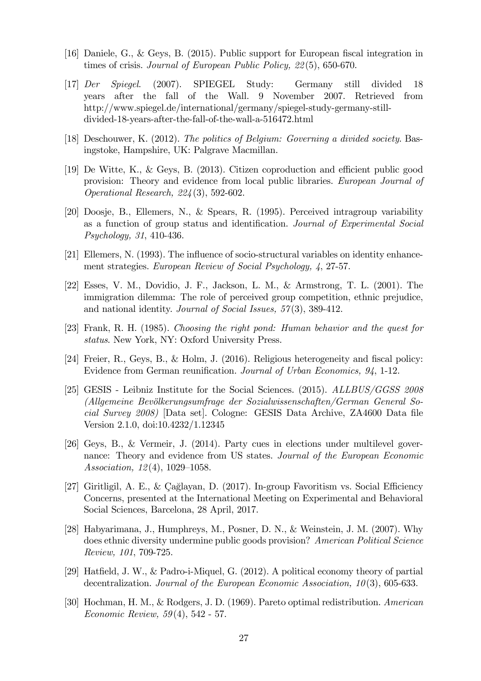- [16] Daniele, G., & Geys, B. (2015). Public support for European Öscal integration in times of crisis. Journal of European Public Policy, 22 (5), 650-670.
- [17] Der Spiegel. (2007). SPIEGEL Study: Germany still divided 18 years after the fall of the Wall. 9 November 2007. Retrieved from http://www.spiegel.de/international/germany/spiegel-study-germany-stilldivided-18-years-after-the-fall-of-the-wall-a-516472.html
- [18] Deschouwer, K. (2012). The politics of Belgium: Governing a divided society. Basingstoke, Hampshire, UK: Palgrave Macmillan.
- [19] De Witte, K., & Geys, B.  $(2013)$ . Citizen coproduction and efficient public good provision: Theory and evidence from local public libraries. European Journal of Operational Research, 224 (3), 592-602.
- [20] Doosje, B., Ellemers, N., & Spears, R. (1995). Perceived intragroup variability as a function of group status and identification. Journal of Experimental Social Psychology, 31, 410-436.
- [21] Ellemers, N. (1993). The ináuence of socio-structural variables on identity enhancement strategies. European Review of Social Psychology, 4, 27-57.
- [22] Esses, V. M., Dovidio, J. F., Jackson, L. M., & Armstrong, T. L. (2001). The immigration dilemma: The role of perceived group competition, ethnic prejudice, and national identity. Journal of Social Issues, 57(3), 389-412.
- [23] Frank, R. H. (1985). Choosing the right pond: Human behavior and the quest for status. New York, NY: Oxford University Press.
- [24] Freier, R., Geys, B., & Holm, J. (2016). Religious heterogeneity and fiscal policy: Evidence from German reunification. Journal of Urban Economics, 94, 1-12.
- [25] GESIS Leibniz Institute for the Social Sciences. (2015). ALLBUS/GGSS 2008 (Allgemeine Bevölkerungsumfrage der Sozialwissenschaften/German General Social Survey  $2008$ ) [Data set]. Cologne: GESIS Data Archive, ZA4600 Data file Version 2.1.0, doi:10.4232/1.12345
- [26] Geys, B., & Vermeir, J. (2014). Party cues in elections under multilevel governance: Theory and evidence from US states. Journal of the European Economic Association,  $12(4)$ ,  $1029-1058$ .
- [27] Giritligil, A. E., & Çağlayan, D. (2017). In-group Favoritism vs. Social Efficiency Concerns, presented at the International Meeting on Experimental and Behavioral Social Sciences, Barcelona, 28 April, 2017.
- [28] Habyarimana, J., Humphreys, M., Posner, D. N., & Weinstein, J. M. (2007). Why does ethnic diversity undermine public goods provision? American Political Science Review, 101, 709-725.
- [29] Hatfield, J. W., & Padro-i-Miquel, G.  $(2012)$ . A political economy theory of partial decentralization. Journal of the European Economic Association,  $10(3)$ , 605-633.
- [30] Hochman, H. M., & Rodgers, J. D. (1969). Pareto optimal redistribution. American Economic Review, 59 (4), 542 - 57.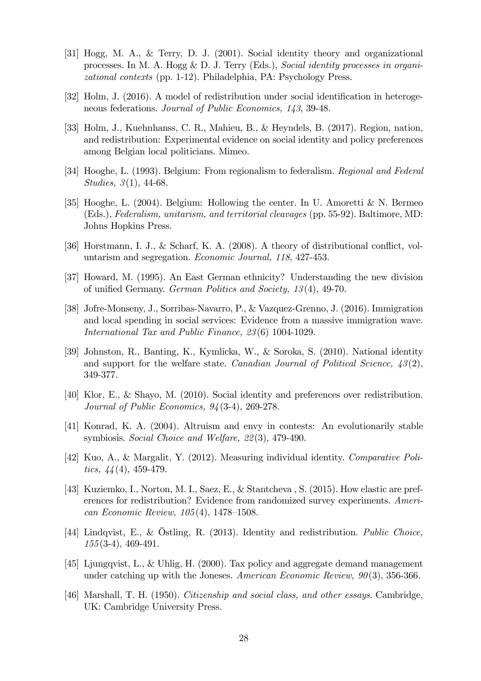- [31] Hogg, M. A., & Terry, D. J. (2001). Social identity theory and organizational processes. In M. A. Hogg & D. J. Terry (Eds.), Social identity processes in organizational contexts (pp. 1-12). Philadelphia, PA: Psychology Press.
- [32] Holm, J. (2016). A model of redistribution under social identification in heterogeneous federations. Journal of Public Economics, 143, 39-48.
- [33] Holm, J., Kuehnhanss, C. R., Mahieu, B., & Heyndels, B. (2017). Region, nation, and redistribution: Experimental evidence on social identity and policy preferences among Belgian local politicians. Mimeo.
- [34] Hooghe, L. (1993). Belgium: From regionalism to federalism. Regional and Federal *Studies*,  $3(1)$ , 44-68.
- [35] Hooghe, L. (2004). Belgium: Hollowing the center. In U. Amoretti & N. Bermeo (Eds.), Federalism, unitarism, and territorial cleavages (pp. 55-92). Baltimore, MD: Johns Hopkins Press.
- [36] Horstmann, I. J., & Scharf, K. A. (2008). A theory of distributional conflict, voluntarism and segregation. Economic Journal, 118, 427-453.
- [37] Howard, M. (1995). An East German ethnicity? Understanding the new division of unified Germany. German Politics and Society, 13(4), 49-70.
- [38] Jofre-Monseny, J., Sorribas-Navarro, P., & Vazquez-Grenno, J. (2016). Immigration and local spending in social services: Evidence from a massive immigration wave. International Tax and Public Finance, 23 (6) 1004-1029.
- [39] Johnston, R., Banting, K., Kymlicka, W., & Soroka, S. (2010). National identity and support for the welfare state. Canadian Journal of Political Science,  $\mathcal{A}3(2)$ , 349-377.
- [40] Klor, E., & Shayo, M. (2010). Social identity and preferences over redistribution. Journal of Public Economics, 94 (3-4), 269-278.
- [41] Konrad, K. A. (2004). Altruism and envy in contests: An evolutionarily stable symbiosis. Social Choice and Welfare, 22(3), 479-490.
- [42] Kuo, A., & Margalit, Y. (2012). Measuring individual identity. Comparative Politics,  $44(4)$ , 459-479.
- [43] Kuziemko, I., Norton, M. I., Saez, E., & Stantcheva , S. (2015). How elastic are preferences for redistribution? Evidence from randomized survey experiments. American Economic Review,  $105(4)$ , 1478–1508.
- [44] Lindqvist, E., & Östling, R. (2013). Identity and redistribution. Public Choice, 155(3-4), 469-491.
- [45] Ljungqvist, L., & Uhlig, H. (2000). Tax policy and aggregate demand management under catching up with the Joneses. American Economic Review,  $90(3)$ , 356-366.
- [46] Marshall, T. H. (1950). Citizenship and social class, and other essays. Cambridge, UK: Cambridge University Press.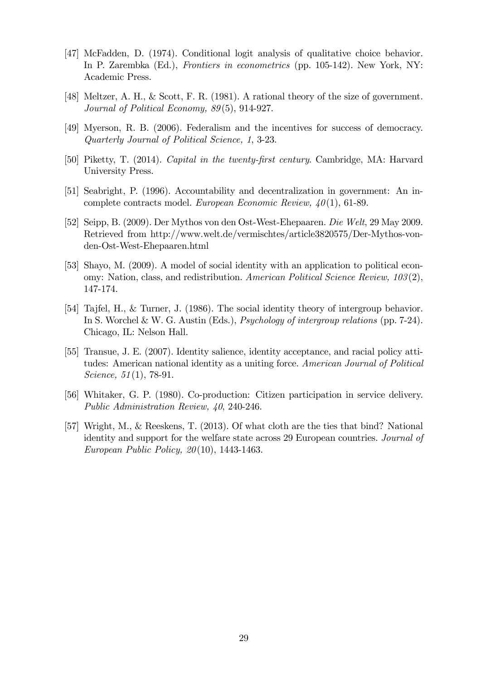- [47] McFadden, D. (1974). Conditional logit analysis of qualitative choice behavior. In P. Zarembka (Ed.), Frontiers in econometrics (pp. 105-142). New York, NY: Academic Press.
- [48] Meltzer, A. H., & Scott, F. R. (1981). A rational theory of the size of government. Journal of Political Economy, 89(5), 914-927.
- [49] Myerson, R. B. (2006). Federalism and the incentives for success of democracy. Quarterly Journal of Political Science, 1, 3-23.
- [50] Piketty, T. (2014). Capital in the twenty-first century. Cambridge, MA: Harvard University Press.
- [51] Seabright, P. (1996). Accountability and decentralization in government: An incomplete contracts model. European Economic Review,  $40(1)$ , 61-89.
- [52] Seipp, B. (2009). Der Mythos von den Ost-West-Ehepaaren. Die Welt, 29 May 2009. Retrieved from http://www.welt.de/vermischtes/article3820575/Der-Mythos-vonden-Ost-West-Ehepaaren.html
- [53] Shayo, M. (2009). A model of social identity with an application to political economy: Nation, class, and redistribution. American Political Science Review, 103 (2), 147-174.
- [54] Tajfel, H., & Turner, J. (1986). The social identity theory of intergroup behavior. In S. Worchel & W. G. Austin (Eds.), Psychology of intergroup relations (pp. 7-24). Chicago, IL: Nelson Hall.
- [55] Transue, J. E. (2007). Identity salience, identity acceptance, and racial policy attitudes: American national identity as a uniting force. American Journal of Political Science, 51(1), 78-91.
- [56] Whitaker, G. P. (1980). Co-production: Citizen participation in service delivery. Public Administration Review, 40, 240-246.
- [57] Wright, M., & Reeskens, T. (2013). Of what cloth are the ties that bind? National identity and support for the welfare state across 29 European countries. Journal of European Public Policy, 20 (10), 1443-1463.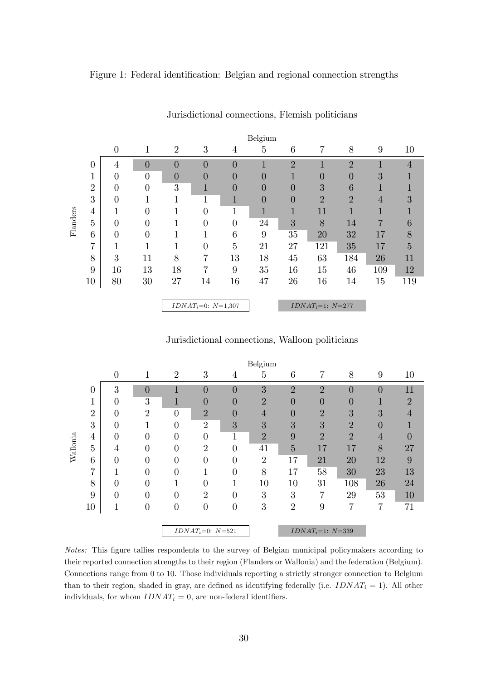#### Figure 1: Federal identification: Belgian and regional connection strengths

|          |                |                |                |                |                         |                | Belgium          |                |                    |                |              |                |
|----------|----------------|----------------|----------------|----------------|-------------------------|----------------|------------------|----------------|--------------------|----------------|--------------|----------------|
|          |                | $\overline{0}$ | 1              | $\overline{2}$ | 3                       | 4              | 5                | 6              | 7                  | 8              | 9            | 10             |
|          | 0              | 4              | $\overline{0}$ | $\overline{0}$ | $\overline{0}$          | $\overline{0}$ | 1                | $\overline{2}$ |                    | $\overline{2}$ | $\mathbf{1}$ | $\overline{4}$ |
|          |                | $\theta$       | $\theta$       | $\overline{0}$ | 0                       | $\overline{0}$ | $\overline{0}$   | 1              | $\overline{0}$     | $\overline{0}$ | 3            |                |
|          | $\overline{2}$ | $\overline{0}$ | $\theta$       | 3              | 1                       | $\overline{0}$ | $\left( \right)$ | $\overline{0}$ | 3                  | 6              | 1            |                |
|          | 3              | $\theta$       |                |                | 1                       | 1              | 0                | $\overline{0}$ | $\overline{2}$     | $\overline{2}$ | 4            | 3              |
|          | 4              | 1              | $\Omega$       |                | 0                       |                | $\mathbf{1}$     |                | 11                 | 1              |              |                |
| Flanders | 5              | $\overline{0}$ | $\theta$       |                | 0                       | $\overline{0}$ | 24               | 3              | 8                  | 14             | 7            | 6              |
|          | 6              | $\overline{0}$ | $\Omega$       |                |                         | 6              | 9                | 35             | 20                 | 32             | 17           | 8              |
|          | 7              | $\mathbf 1$    |                |                | 0                       | 5              | 21               | 27             | 121                | 35             | 17           | $\overline{5}$ |
|          | 8              | 3              | 11             | 8              | 7                       | 13             | 18               | 45             | 63                 | 184            | 26           | 11             |
|          | 9              | 16             | 13             | 18             | 7                       | 9              | 35               | 16             | 15                 | 46             | 109          | 12             |
|          | 10             | 80             | 30             | 27             | 14                      | 16             | 47               | 26             | 16                 | 14             | 15           | 119            |
|          |                |                |                |                |                         |                |                  |                |                    |                |              |                |
|          |                |                |                |                | $IDNAT_i=0$ : $N=1,307$ |                |                  |                | $IDNAT_i=1: N=277$ |                |              |                |

#### Jurisdictional connections, Flemish politicians

Jurisdictional connections, Walloon politicians

|          |                |                |                |                |                    |                  | Belgium        |                  |                       |                  |                |                |
|----------|----------------|----------------|----------------|----------------|--------------------|------------------|----------------|------------------|-----------------------|------------------|----------------|----------------|
|          |                | $\theta$       | 1              | $\overline{2}$ | 3                  | 4                | 5              | 6                | 7                     | 8                | 9              | 10             |
|          | 0              | 3              | $\overline{0}$ |                | $\overline{0}$     | $\overline{0}$   | 3              | $\overline{2}$   | $\overline{2}$        | $\overline{0}$   | $\overline{0}$ | 11             |
|          | 1              | 0              | 3              | ш              | $\left( \right)$   | $\left( \right)$ | $\overline{2}$ | 0                | $\theta$              | $\left( \right)$ | 1              | $\overline{2}$ |
|          | $\overline{2}$ | 0              | $\overline{2}$ | $\overline{0}$ | $\overline{2}$     | 0                | 4              | $\left( \right)$ | $\overline{2}$        | 3                | $\overline{3}$ | 4              |
|          | 3              | $\overline{0}$ | 1              | $\overline{0}$ | $\overline{2}$     | 3                | 3              | 3                | $\overline{3}$        | $\overline{2}$   | 0              |                |
|          | $\overline{4}$ | $\overline{0}$ | $\overline{0}$ | $\overline{0}$ | $\theta$           |                  | $\overline{2}$ | 9                | $\overline{2}$        | $\overline{2}$   | 4              |                |
| Wallonia | $\overline{5}$ | $\overline{4}$ | $\overline{0}$ | $\overline{0}$ | $\overline{2}$     | 0                | 41             | 5                | 17                    | 17               | 8              | 27             |
|          | 6              | $\overline{0}$ | $\theta$       | $\overline{0}$ | $\Omega$           | 0                | $\overline{2}$ | 17               | 21                    | 20               | 12             | 9              |
|          | 7              | 1              | $\overline{0}$ | $\overline{0}$ |                    | $\overline{0}$   | 8              | 17               | 58                    | 30               | 23             | 13             |
|          | 8              | 0              | $\theta$       | п              | $\Omega$           |                  | 10             | 10               | 31                    | 108              | 26             | 24             |
|          | 9              | $\overline{0}$ | $\theta$       | $\overline{0}$ | $\overline{2}$     | 0                | 3              | 3                | 7                     | 29               | 53             | 10             |
|          | 10             | $\mathbf 1$    | $\overline{0}$ | $\overline{0}$ | $\theta$           | $\theta$         | 3              | $\overline{2}$   | 9                     | 7                | 7              | 71             |
|          |                |                |                |                |                    |                  |                |                  |                       |                  |                |                |
|          |                |                |                |                | $IDNAT_i=0: N=521$ |                  |                |                  | $IDNAT_i=1$ : $N=339$ |                  |                |                |

Notes: This figure tallies respondents to the survey of Belgian municipal policymakers according to their reported connection strengths to their region (Flanders or Wallonia) and the federation (Belgium). Connections range from 0 to 10. Those individuals reporting a strictly stronger connection to Belgium than to their region, shaded in gray, are defined as identifying federally (i.e.  $IDNAT_i = 1$ ). All other individuals, for whom  $IDNAT_i = 0$ , are non-federal identifiers.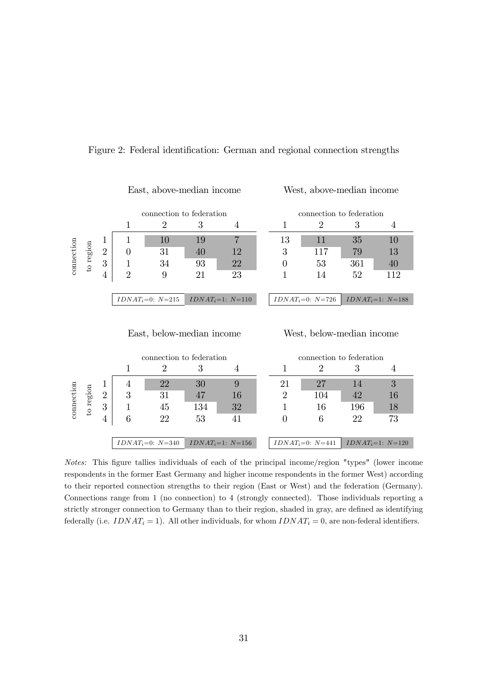|            |           |                |                | connection to federation  |    | connection to federation |  |    |                           |     |                    |
|------------|-----------|----------------|----------------|---------------------------|----|--------------------------|--|----|---------------------------|-----|--------------------|
|            |           |                |                | 2                         | 3  | 4                        |  |    | 2                         | 3   | 4                  |
|            |           | T              |                | 10                        | 19 | 7                        |  | 13 | 11                        | 35  | 10                 |
| connection | to region | $\overline{2}$ | $\theta$       | 31                        | 40 | 12                       |  | 3  | 117                       | 79  | 13                 |
|            |           | 3              |                | 34                        | 93 | 22                       |  |    | 53                        | 361 | 40                 |
|            |           | 4              | $\overline{2}$ | 9                         | 21 | 23                       |  |    | 14                        | 52  | 112                |
|            |           |                |                |                           |    |                          |  |    |                           |     |                    |
|            |           |                |                | $IDNAT_i=0$ : $N=215$     |    | $IDNAT_i=1: N=110$       |  |    | $IDNAT_i=0: N=726$        |     | $IDNAT_i=1: N=188$ |
|            |           |                |                |                           |    |                          |  |    |                           |     |                    |
|            |           |                |                | East, below-median income |    |                          |  |    | West, below-median income |     |                    |

#### Figure 2: Federal identification: German and regional connection strengths

East, above-median income West, above-median income

|            |           |                |   | connection to federation |     |                    | connection to federation |                    |     |                    |  |
|------------|-----------|----------------|---|--------------------------|-----|--------------------|--------------------------|--------------------|-----|--------------------|--|
|            |           |                |   |                          | 3   |                    |                          | ٠,                 |     |                    |  |
|            |           |                |   | 22                       | 30  |                    | 21                       | 27                 | 14  |                    |  |
|            |           | $\overline{2}$ | 3 | 31                       | 47  | 16                 |                          | 104                |     |                    |  |
| connection | to region | 3              |   | 45                       | 134 | 32                 |                          | 16                 | 196 |                    |  |
|            |           |                | 6 | 22                       | 53  |                    |                          | 6                  | 22  | 73                 |  |
|            |           |                |   |                          |     |                    |                          |                    |     |                    |  |
|            |           |                |   | $IDNAT_i=0$ : $N=340$    |     | $IDNAT_i=1: N=156$ |                          | $IDNAT_i=0: N=441$ |     | $IDNAT_i=1: N=120$ |  |

Notes: This figure tallies individuals of each of the principal income/region "types" (lower income respondents in the former East Germany and higher income respondents in the former West) according to their reported connection strengths to their region (East or West) and the federation (Germany). Connections range from 1 (no connection) to 4 (strongly connected). Those individuals reporting a strictly stronger connection to Germany than to their region, shaded in gray, are defined as identifying federally (i.e.  $IDNAT_i = 1$ ). All other individuals, for whom  $IDNAT_i = 0$ , are non-federal identifiers.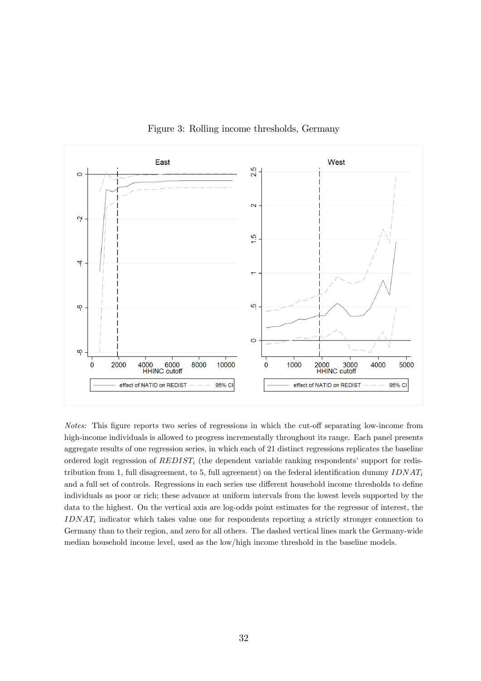

Figure 3: Rolling income thresholds, Germany

Notes: This figure reports two series of regressions in which the cut-off separating low-income from high-income individuals is allowed to progress incrementally throughout its range. Each panel presents aggregate results of one regression series, in which each of 21 distinct regressions replicates the baseline ordered logit regression of  $REDIST_i$  (the dependent variable ranking respondents' support for redistribution from 1, full disagreement, to 5, full agreement) on the federal identification dummy  $IDNAT_i$ and a full set of controls. Regressions in each series use different household income thresholds to define individuals as poor or rich; these advance at uniform intervals from the lowest levels supported by the data to the highest. On the vertical axis are log-odds point estimates for the regressor of interest, the  $IDNAT_i$  indicator which takes value one for respondents reporting a strictly stronger connection to Germany than to their region, and zero for all others. The dashed vertical lines mark the Germany-wide median household income level, used as the low/high income threshold in the baseline models.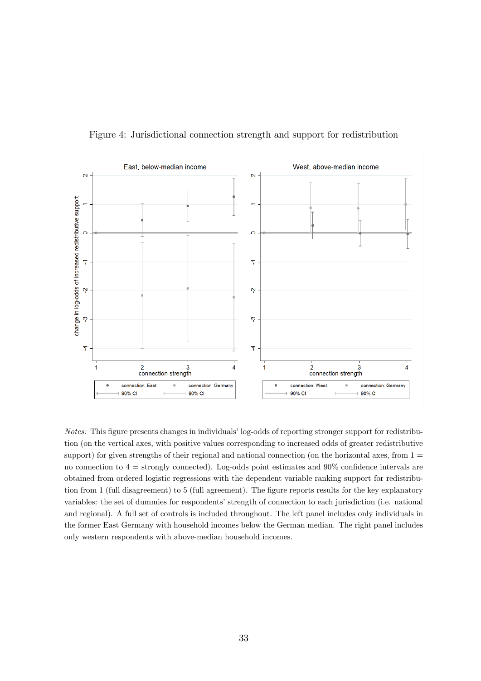

Figure 4: Jurisdictional connection strength and support for redistribution

Notes: This figure presents changes in individuals' log-odds of reporting stronger support for redistribution (on the vertical axes, with positive values corresponding to increased odds of greater redistributive support) for given strengths of their regional and national connection (on the horizontal axes, from  $1 =$ no connection to  $4 =$  strongly connected). Log-odds point estimates and 90% confidence intervals are obtained from ordered logistic regressions with the dependent variable ranking support for redistribution from 1 (full disagreement) to 5 (full agreement). The figure reports results for the key explanatory variables: the set of dummies for respondents' strength of connection to each jurisdiction (i.e. national and regional). A full set of controls is included throughout. The left panel includes only individuals in the former East Germany with household incomes below the German median. The right panel includes only western respondents with above-median household incomes.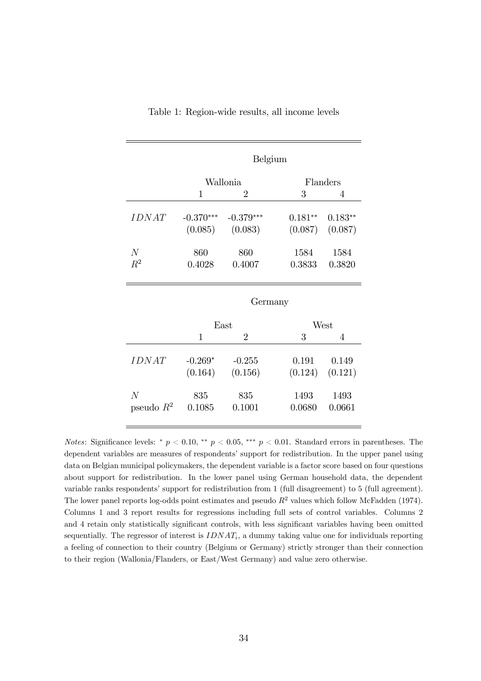|                |             | Belgium        |           |           |  |  |  |  |
|----------------|-------------|----------------|-----------|-----------|--|--|--|--|
|                |             | Wallonia       |           | Flanders  |  |  |  |  |
|                | 1           | $\overline{2}$ | 3         | 4         |  |  |  |  |
| <b>IDNAT</b>   | $-0.370***$ | $-0.379***$    | $0.181**$ | $0.183**$ |  |  |  |  |
|                | (0.085)     | (0.083)        | (0.087)   | (0.087)   |  |  |  |  |
| N              | 860         | 860            | 1584      | 1584      |  |  |  |  |
| $R^2$          | 0.4028      | 0.4007         | 0.3833    | 0.3820    |  |  |  |  |
|                |             | Germany        |           |           |  |  |  |  |
|                |             | East           |           | West      |  |  |  |  |
|                | 1           | $\overline{2}$ | 3         | 4         |  |  |  |  |
| IDNAT          | $-0.269*$   | $-0.255$       | 0.191     | 0.149     |  |  |  |  |
|                | (0.164)     | (0.156)        | (0.124)   | (0.121)   |  |  |  |  |
| $\overline{N}$ | 835         | 835            | 1493      | 1493      |  |  |  |  |

Table 1: Region-wide results, all income levels

Notes: Significance levels: \*  $p < 0.10$ , \*\*  $p < 0.05$ , \*\*\*  $p < 0.01$ . Standard errors in parentheses. The dependent variables are measures of respondents' support for redistribution. In the upper panel using data on Belgian municipal policymakers, the dependent variable is a factor score based on four questions about support for redistribution. In the lower panel using German household data, the dependent variable ranks respondents' support for redistribution from 1 (full disagreement) to 5 (full agreement). The lower panel reports log-odds point estimates and pseudo  $R^2$  values which follow McFadden (1974). Columns 1 and 3 report results for regressions including full sets of control variables. Columns 2 and 4 retain only statistically significant controls, with less significant variables having been omitted sequentially. The regressor of interest is  $IDNAT_i$ , a dummy taking value one for individuals reporting a feeling of connection to their country (Belgium or Germany) strictly stronger than their connection to their region (Wallonia/Flanders, or East/West Germany) and value zero otherwise.

pseudo  $R^2$  0.1085 0.1001 0.0680 0.0661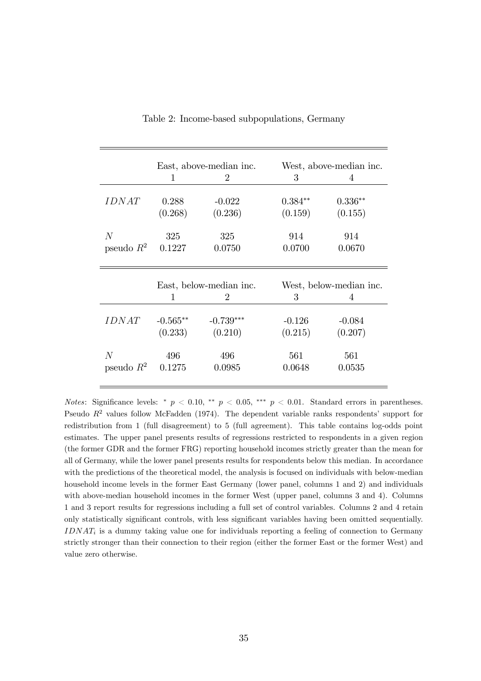|                     |                         | East, above-median inc.     | West, above-median inc.  |                     |  |
|---------------------|-------------------------|-----------------------------|--------------------------|---------------------|--|
|                     | 1                       | $\mathcal{D}_{\mathcal{L}}$ | 3                        | 4                   |  |
| <i>IDNAT</i>        | 0.288                   | $-0.022$                    | $0.384**$                | $0.336**$           |  |
|                     | (0.268)                 | (0.236)                     | (0.159)                  | (0.155)             |  |
| N<br>pseudo $R^2$   | 325<br>0.1227           | 325<br>0.0750               | 914<br>0.0700            | 914<br>0.0670       |  |
|                     | East, below-median inc. |                             | West, below-median inc.  |                     |  |
|                     | 1                       | $\overline{2}$              |                          | 4                   |  |
| <i><b>IDNAT</b></i> | $-0.565**$<br>(0.233)   | $-0.739***$<br>(0.210)      | 3<br>$-0.126$<br>(0.215) | $-0.084$<br>(0.207) |  |

Table 2: Income-based subpopulations, Germany

Notes: Significance levels: \*  $p < 0.10$ , \*\*  $p < 0.05$ , \*\*\*  $p < 0.01$ . Standard errors in parentheses. Pseudo  $R^2$  values follow McFadden (1974). The dependent variable ranks respondents' support for redistribution from 1 (full disagreement) to 5 (full agreement). This table contains log-odds point estimates. The upper panel presents results of regressions restricted to respondents in a given region (the former GDR and the former FRG) reporting household incomes strictly greater than the mean for all of Germany, while the lower panel presents results for respondents below this median. In accordance with the predictions of the theoretical model, the analysis is focused on individuals with below-median household income levels in the former East Germany (lower panel, columns 1 and 2) and individuals with above-median household incomes in the former West (upper panel, columns 3 and 4). Columns 1 and 3 report results for regressions including a full set of control variables. Columns 2 and 4 retain only statistically significant controls, with less significant variables having been omitted sequentially.  $IDNAT_i$  is a dummy taking value one for individuals reporting a feeling of connection to Germany strictly stronger than their connection to their region (either the former East or the former West) and value zero otherwise.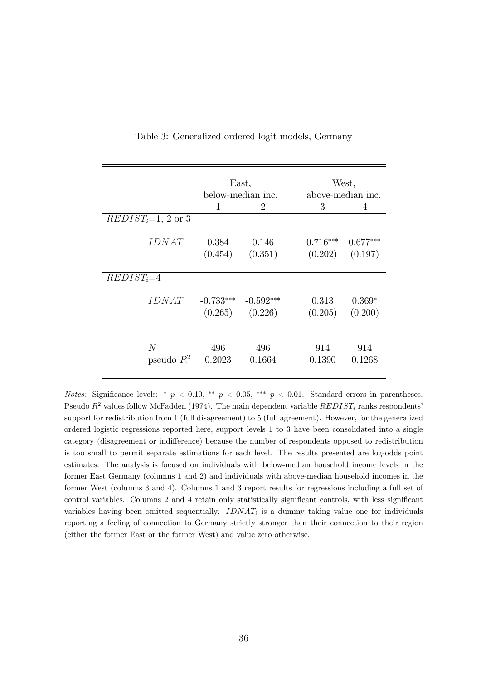|                      | East,<br>below-median inc. |                |            | West,<br>above-median inc. |
|----------------------|----------------------------|----------------|------------|----------------------------|
|                      | 1                          | $\mathfrak{D}$ | 3          | 4                          |
| $REDIST_i=1, 2$ or 3 |                            |                |            |                            |
| <i>IDNAT</i>         | 0.384                      | 0.146          | $0.716***$ | $0.677***$                 |
|                      | (0.454)                    | (0.351)        | (0.202)    | (0.197)                    |
| $REDIST_i=4$         |                            |                |            |                            |
| <i>IDNAT</i>         | $-0.733***$                | $-0.592***$    | 0.313      | $0.369*$                   |
|                      | (0.265)                    | (0.226)        | (0.205)    | (0.200)                    |
| N                    | 496                        | 496            | 914        | 914                        |
| pseudo $R^2$         | 0.2023                     | 0.1664         | 0.1390     | 0.1268                     |

#### Table 3: Generalized ordered logit models, Germany

Notes: Significance levels: \*  $p < 0.10$ , \*\*  $p < 0.05$ , \*\*\*  $p < 0.01$ . Standard errors in parentheses. Pseudo  $R^2$  values follow McFadden (1974). The main dependent variable  $REDIST_i$  ranks respondents<sup>'</sup> support for redistribution from 1 (full disagreement) to 5 (full agreement). However, for the generalized ordered logistic regressions reported here, support levels 1 to 3 have been consolidated into a single category (disagreement or indifference) because the number of respondents opposed to redistribution is too small to permit separate estimations for each level. The results presented are log-odds point estimates. The analysis is focused on individuals with below-median household income levels in the former East Germany (columns 1 and 2) and individuals with above-median household incomes in the former West (columns 3 and 4). Columns 1 and 3 report results for regressions including a full set of control variables. Columns 2 and 4 retain only statistically significant controls, with less significant variables having been omitted sequentially.  $IDNAT_i$  is a dummy taking value one for individuals reporting a feeling of connection to Germany strictly stronger than their connection to their region (either the former East or the former West) and value zero otherwise.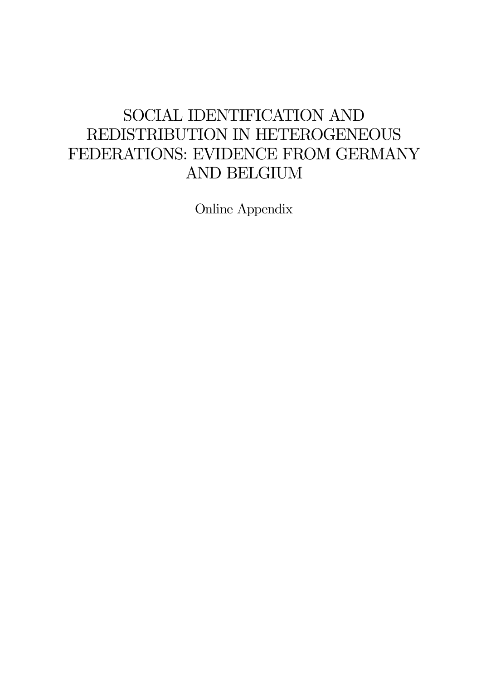# SOCIAL IDENTIFICATION AND REDISTRIBUTION IN HETEROGENEOUS FEDERATIONS: EVIDENCE FROM GERMANY AND BELGIUM

Online Appendix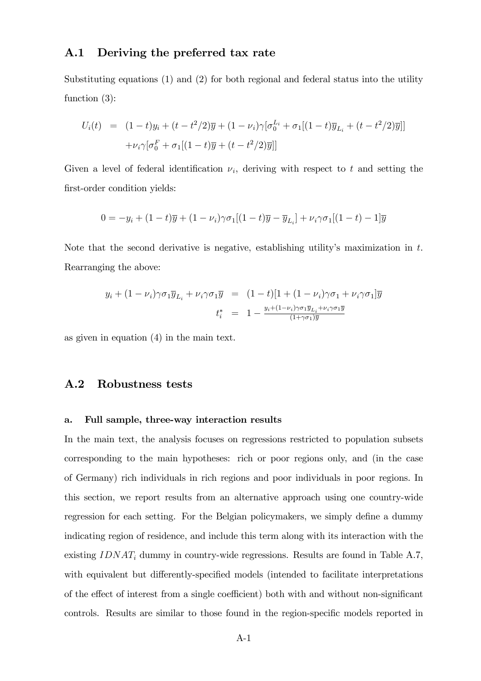### A.1 Deriving the preferred tax rate

Substituting equations (1) and (2) for both regional and federal status into the utility function (3):

$$
U_i(t) = (1-t)y_i + (t - t^2/2)\overline{y} + (1 - \nu_i)\gamma[\sigma_0^{L_i} + \sigma_1[(1-t)\overline{y}_{L_i} + (t - t^2/2)\overline{y}]]
$$
  
+
$$
\nu_i\gamma[\sigma_0^F + \sigma_1[(1-t)\overline{y} + (t - t^2/2)\overline{y}]]
$$

Given a level of federal identification  $\nu_i$ , deriving with respect to t and setting the first-order condition yields:

$$
0 = -y_i + (1-t)\overline{y} + (1-\nu_i)\gamma \sigma_1[(1-t)\overline{y} - \overline{y}_{L_i}] + \nu_i \gamma \sigma_1[(1-t) - 1]\overline{y}
$$

Note that the second derivative is negative, establishing utility's maximization in  $t$ . Rearranging the above:

$$
y_i + (1 - \nu_i)\gamma \sigma_1 \overline{y}_{L_i} + \nu_i \gamma \sigma_1 \overline{y} = (1 - t)[1 + (1 - \nu_i)\gamma \sigma_1 + \nu_i \gamma \sigma_1] \overline{y}
$$
  

$$
t_i^* = 1 - \frac{y_i + (1 - \nu_i)\gamma \sigma_1 \overline{y}_{L_i} + \nu_i \gamma \sigma_1 \overline{y}}{(1 + \gamma \sigma_1) \overline{y}}
$$

as given in equation (4) in the main text.

## A.2 Robustness tests

#### a. Full sample, three-way interaction results

In the main text, the analysis focuses on regressions restricted to population subsets corresponding to the main hypotheses: rich or poor regions only, and (in the case of Germany) rich individuals in rich regions and poor individuals in poor regions. In this section, we report results from an alternative approach using one country-wide regression for each setting. For the Belgian policymakers, we simply define a dummy indicating region of residence, and include this term along with its interaction with the existing  $IDNAT_i$  dummy in country-wide regressions. Results are found in Table A.7, with equivalent but differently-specified models (intended to facilitate interpretations of the effect of interest from a single coefficient) both with and without non-significant controls. Results are similar to those found in the region-specific models reported in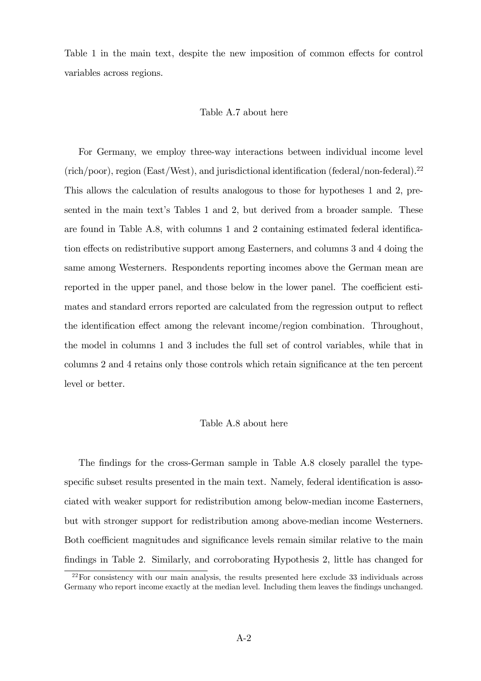Table 1 in the main text, despite the new imposition of common effects for control variables across regions.

#### Table A.7 about here

For Germany, we employ three-way interactions between individual income level  $(\text{rich}/\text{poor})$ , region (East/West), and jurisdictional identification (federal/non-federal).<sup>22</sup> This allows the calculation of results analogous to those for hypotheses 1 and 2, presented in the main text's Tables 1 and 2, but derived from a broader sample. These are found in Table A.8, with columns  $1$  and  $2$  containing estimated federal identification effects on redistributive support among Easterners, and columns 3 and 4 doing the same among Westerners. Respondents reporting incomes above the German mean are reported in the upper panel, and those below in the lower panel. The coefficient estimates and standard errors reported are calculated from the regression output to reflect the identification effect among the relevant income/region combination. Throughout, the model in columns 1 and 3 includes the full set of control variables, while that in columns 2 and 4 retains only those controls which retain significance at the ten percent level or better.

#### Table A.8 about here

The findings for the cross-German sample in Table A.8 closely parallel the typespecific subset results presented in the main text. Namely, federal identification is associated with weaker support for redistribution among below-median income Easterners, but with stronger support for redistribution among above-median income Westerners. Both coefficient magnitudes and significance levels remain similar relative to the main findings in Table 2. Similarly, and corroborating Hypothesis 2, little has changed for

 $^{22}$ For consistency with our main analysis, the results presented here exclude 33 individuals across Germany who report income exactly at the median level. Including them leaves the findings unchanged.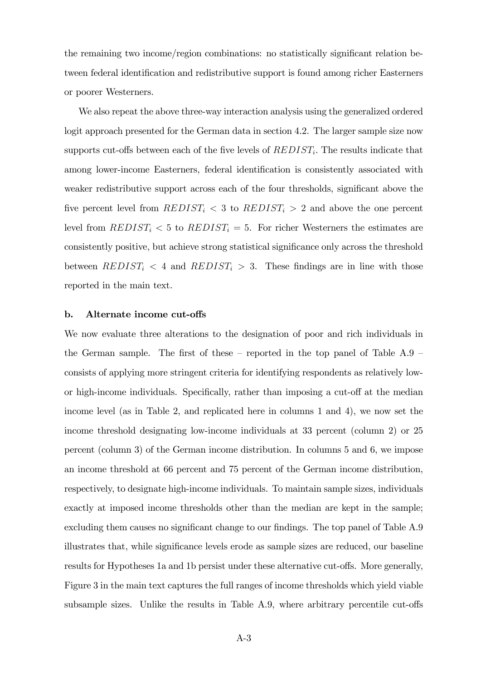the remaining two income/region combinations: no statistically significant relation between federal identification and redistributive support is found among richer Easterners or poorer Westerners.

We also repeat the above three-way interaction analysis using the generalized ordered logit approach presented for the German data in section 4.2. The larger sample size now supports cut-offs between each of the five levels of  $REDIST_i$ . The results indicate that among lower-income Easterners, federal identification is consistently associated with weaker redistributive support across each of the four thresholds, significant above the five percent level from  $REDIST_i < 3$  to  $REDIST_i > 2$  and above the one percent level from  $REDIST_i < 5$  to  $REDIST_i = 5$ . For richer Westerners the estimates are consistently positive, but achieve strong statistical significance only across the threshold between  $REDIST_i < 4$  and  $REDIST_i > 3$ . These findings are in line with those reported in the main text.

#### b. Alternate income cut-offs

We now evaluate three alterations to the designation of poor and rich individuals in the German sample. The first of these  $-$  reported in the top panel of Table A.9  $$ consists of applying more stringent criteria for identifying respondents as relatively lowor high-income individuals. Specifically, rather than imposing a cut-off at the median income level (as in Table 2, and replicated here in columns 1 and 4), we now set the income threshold designating low-income individuals at 33 percent (column 2) or 25 percent (column 3) of the German income distribution. In columns 5 and 6, we impose an income threshold at 66 percent and 75 percent of the German income distribution, respectively, to designate high-income individuals. To maintain sample sizes, individuals exactly at imposed income thresholds other than the median are kept in the sample; excluding them causes no significant change to our findings. The top panel of Table A.9 illustrates that, while significance levels erode as sample sizes are reduced, our baseline results for Hypotheses 1a and 1b persist under these alternative cut-offs. More generally, Figure 3 in the main text captures the full ranges of income thresholds which yield viable subsample sizes. Unlike the results in Table A.9, where arbitrary percentile cut-offs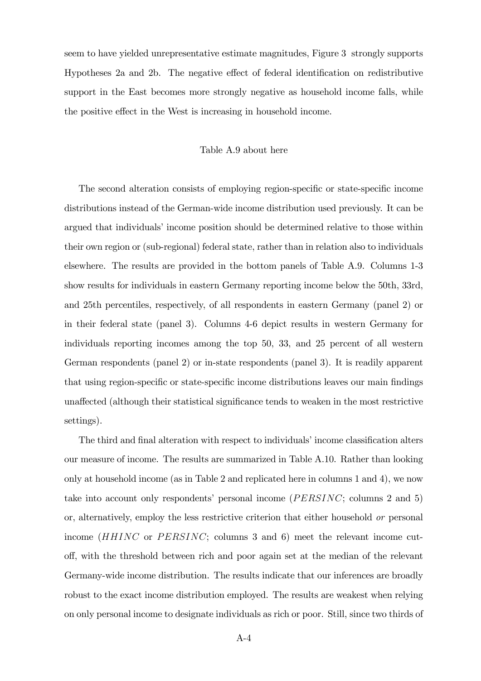seem to have yielded unrepresentative estimate magnitudes, Figure 3 strongly supports Hypotheses 2a and 2b. The negative effect of federal identification on redistributive support in the East becomes more strongly negative as household income falls, while the positive effect in the West is increasing in household income.

#### Table A.9 about here

The second alteration consists of employing region-specific or state-specific income distributions instead of the German-wide income distribution used previously. It can be argued that individuals' income position should be determined relative to those within their own region or (sub-regional) federal state, rather than in relation also to individuals elsewhere. The results are provided in the bottom panels of Table A.9. Columns 1-3 show results for individuals in eastern Germany reporting income below the 50th, 33rd, and 25th percentiles, respectively, of all respondents in eastern Germany (panel 2) or in their federal state (panel 3). Columns 4-6 depict results in western Germany for individuals reporting incomes among the top 50, 33, and 25 percent of all western German respondents (panel 2) or in-state respondents (panel 3). It is readily apparent that using region-specific or state-specific income distributions leaves our main findings unaffected (although their statistical significance tends to weaken in the most restrictive settings).

The third and final alteration with respect to individuals' income classification alters our measure of income. The results are summarized in Table A.10. Rather than looking only at household income (as in Table 2 and replicated here in columns 1 and 4), we now take into account only respondents' personal income ( $PERSINC$ ; columns 2 and 5) or, alternatively, employ the less restrictive criterion that either household or personal income  $(HHINC \t{or } PERSINC; \t{columns } 3 \t{and } 6)$  meet the relevant income cuto§, with the threshold between rich and poor again set at the median of the relevant Germany-wide income distribution. The results indicate that our inferences are broadly robust to the exact income distribution employed. The results are weakest when relying on only personal income to designate individuals as rich or poor. Still, since two thirds of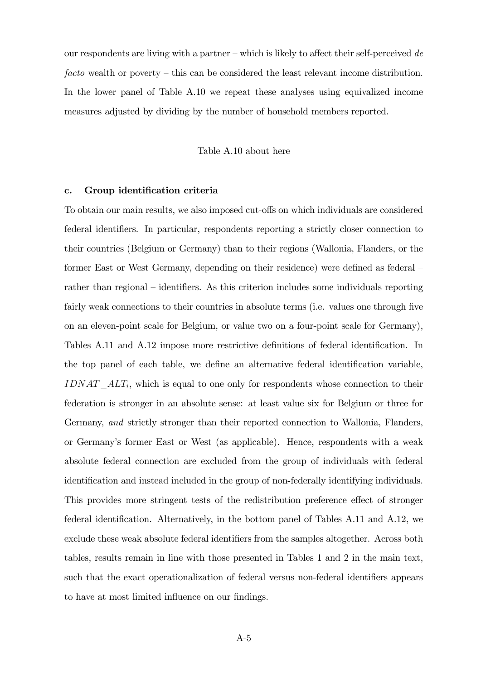our respondents are living with a partner – which is likely to affect their self-perceived de facto wealth or poverty  $-\text{this}$  can be considered the least relevant income distribution. In the lower panel of Table A.10 we repeat these analyses using equivalized income measures adjusted by dividing by the number of household members reported.

#### Table A.10 about here

#### c. Group identification criteria

To obtain our main results, we also imposed cut-offs on which individuals are considered federal identifiers. In particular, respondents reporting a strictly closer connection to their countries (Belgium or Germany) than to their regions (Wallonia, Flanders, or the former East or West Germany, depending on their residence) were defined as federal  $$ rather than regional – identifiers. As this criterion includes some individuals reporting fairly weak connections to their countries in absolute terms (i.e. values one through five on an eleven-point scale for Belgium, or value two on a four-point scale for Germany), Tables A.11 and A.12 impose more restrictive definitions of federal identification. In the top panel of each table, we define an alternative federal identification variable,  $IDNAT\_ALT_i$ , which is equal to one only for respondents whose connection to their federation is stronger in an absolute sense: at least value six for Belgium or three for Germany, and strictly stronger than their reported connection to Wallonia, Flanders, or Germanyís former East or West (as applicable). Hence, respondents with a weak absolute federal connection are excluded from the group of individuals with federal identification and instead included in the group of non-federally identifying individuals. This provides more stringent tests of the redistribution preference effect of stronger federal identification. Alternatively, in the bottom panel of Tables A.11 and A.12, we exclude these weak absolute federal identifiers from the samples altogether. Across both tables, results remain in line with those presented in Tables 1 and 2 in the main text, such that the exact operationalization of federal versus non-federal identifiers appears to have at most limited influence on our findings.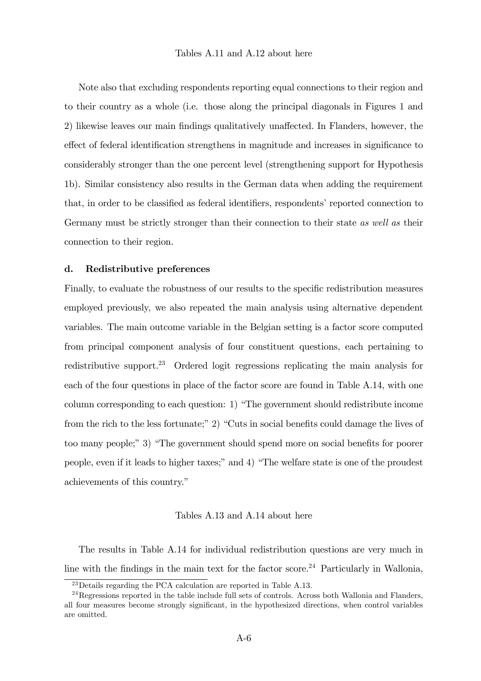Note also that excluding respondents reporting equal connections to their region and to their country as a whole (i.e. those along the principal diagonals in Figures 1 and 2) likewise leaves our main findings qualitatively unaffected. In Flanders, however, the effect of federal identification strengthens in magnitude and increases in significance to considerably stronger than the one percent level (strengthening support for Hypothesis 1b). Similar consistency also results in the German data when adding the requirement that, in order to be classified as federal identifiers, respondents' reported connection to Germany must be strictly stronger than their connection to their state as well as their connection to their region.

#### d. Redistributive preferences

Finally, to evaluate the robustness of our results to the specific redistribution measures employed previously, we also repeated the main analysis using alternative dependent variables. The main outcome variable in the Belgian setting is a factor score computed from principal component analysis of four constituent questions, each pertaining to redistributive support.<sup>23</sup> Ordered logit regressions replicating the main analysis for each of the four questions in place of the factor score are found in Table A.14, with one column corresponding to each question: 1) "The government should redistribute income from the rich to the less fortunate;" 2) "Cuts in social benefits could damage the lives of too many people;" 3) "The government should spend more on social benefits for poorer people, even if it leads to higher taxes;" and 4) "The welfare state is one of the proudest achievements of this country."

#### Tables A.13 and A.14 about here

The results in Table A.14 for individual redistribution questions are very much in line with the findings in the main text for the factor score.<sup>24</sup> Particularly in Wallonia,

<sup>23</sup>Details regarding the PCA calculation are reported in Table A.13.

 $^{24}$ Regressions reported in the table include full sets of controls. Across both Wallonia and Flanders, all four measures become strongly significant, in the hypothesized directions, when control variables are omitted.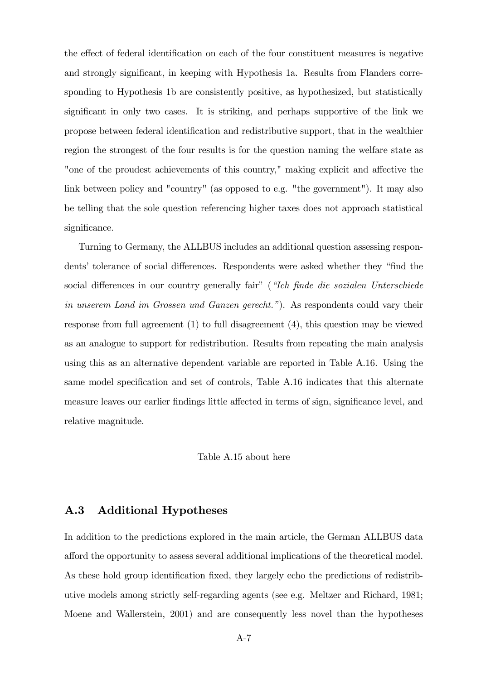the effect of federal identification on each of the four constituent measures is negative and strongly significant, in keeping with Hypothesis 1a. Results from Flanders corresponding to Hypothesis 1b are consistently positive, as hypothesized, but statistically significant in only two cases. It is striking, and perhaps supportive of the link we propose between federal identification and redistributive support, that in the wealthier region the strongest of the four results is for the question naming the welfare state as "one of the proudest achievements of this country," making explicit and affective the link between policy and "country" (as opposed to e.g. "the government"). It may also be telling that the sole question referencing higher taxes does not approach statistical significance.

Turning to Germany, the ALLBUS includes an additional question assessing respondents' tolerance of social differences. Respondents were asked whether they "find the social differences in our country generally fair" (*"Ich finde die sozialen Unterschiede* in unserem Land im Grossen und Ganzen gerecht."). As respondents could vary their response from full agreement (1) to full disagreement (4), this question may be viewed as an analogue to support for redistribution. Results from repeating the main analysis using this as an alternative dependent variable are reported in Table A.16. Using the same model specification and set of controls, Table A.16 indicates that this alternate measure leaves our earlier findings little affected in terms of sign, significance level, and relative magnitude.

Table A.15 about here

## A.3 Additional Hypotheses

In addition to the predictions explored in the main article, the German ALLBUS data afford the opportunity to assess several additional implications of the theoretical model. As these hold group identification fixed, they largely echo the predictions of redistributive models among strictly self-regarding agents (see e.g. Meltzer and Richard, 1981; Moene and Wallerstein, 2001) and are consequently less novel than the hypotheses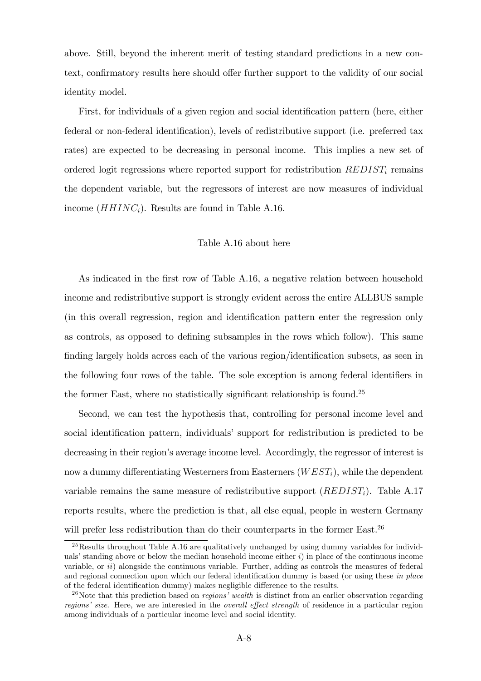above. Still, beyond the inherent merit of testing standard predictions in a new context, confirmatory results here should offer further support to the validity of our social identity model.

First, for individuals of a given region and social identification pattern (here, either federal or non-federal identification), levels of redistributive support (i.e. preferred tax rates) are expected to be decreasing in personal income. This implies a new set of ordered logit regressions where reported support for redistribution  $REDIST_i$  remains the dependent variable, but the regressors of interest are now measures of individual income  $(HHINC<sub>i</sub>)$ . Results are found in Table A.16.

#### Table A.16 about here

As indicated in the first row of Table A.16, a negative relation between household income and redistributive support is strongly evident across the entire ALLBUS sample (in this overall regression, region and identification pattern enter the regression only as controls, as opposed to defining subsamples in the rows which follow). This same finding largely holds across each of the various region/identification subsets, as seen in the following four rows of the table. The sole exception is among federal identifiers in the former East, where no statistically significant relationship is found.<sup>25</sup>

Second, we can test the hypothesis that, controlling for personal income level and social identification pattern, individuals' support for redistribution is predicted to be decreasing in their region's average income level. Accordingly, the regressor of interest is now a dummy differentiating Westerners from Easterners  $(WEST_i)$ , while the dependent variable remains the same measure of redistributive support  $(REDIST_i)$ . Table A.17 reports results, where the prediction is that, all else equal, people in western Germany will prefer less redistribution than do their counterparts in the former East.<sup>26</sup>

<sup>&</sup>lt;sup>25</sup>Results throughout Table A.16 are qualitatively unchanged by using dummy variables for individuals' standing above or below the median household income either  $i$ ) in place of the continuous income variable, or  $ii)$  alongside the continuous variable. Further, adding as controls the measures of federal and regional connection upon which our federal identification dummy is based (or using these in place of the federal identification dummy) makes negligible difference to the results.

<sup>&</sup>lt;sup>26</sup>Note that this prediction based on *regions' wealth* is distinct from an earlier observation regarding regions' size. Here, we are interested in the *overall effect strength* of residence in a particular region among individuals of a particular income level and social identity.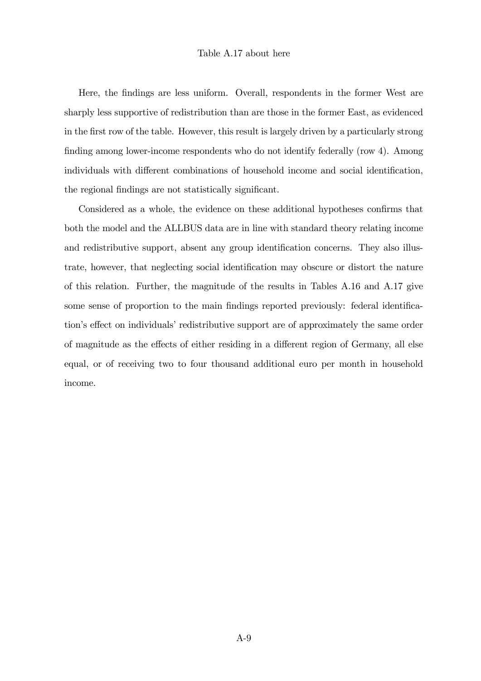#### Table A.17 about here

Here, the Öndings are less uniform. Overall, respondents in the former West are sharply less supportive of redistribution than are those in the former East, as evidenced in the Örst row of the table. However, this result is largely driven by a particularly strong finding among lower-income respondents who do not identify federally (row 4). Among individuals with different combinations of household income and social identification, the regional findings are not statistically significant.

Considered as a whole, the evidence on these additional hypotheses confirms that both the model and the ALLBUS data are in line with standard theory relating income and redistributive support, absent any group identification concerns. They also illustrate, however, that neglecting social identification may obscure or distort the nature of this relation. Further, the magnitude of the results in Tables A.16 and A.17 give some sense of proportion to the main findings reported previously: federal identification's effect on individuals' redistributive support are of approximately the same order of magnitude as the effects of either residing in a different region of Germany, all else equal, or of receiving two to four thousand additional euro per month in household income.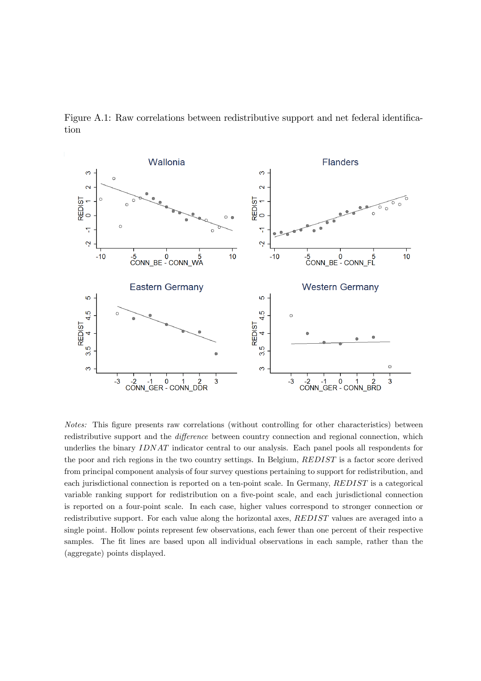



Notes: This figure presents raw correlations (without controlling for other characteristics) between redistributive support and the *difference* between country connection and regional connection, which underlies the binary IDNAT indicator central to our analysis. Each panel pools all respondents for the poor and rich regions in the two country settings. In Belgium, REDIST is a factor score derived from principal component analysis of four survey questions pertaining to support for redistribution, and each jurisdictional connection is reported on a ten-point scale. In Germany, REDIST is a categorical variable ranking support for redistribution on a five-point scale, and each jurisdictional connection is reported on a four-point scale. In each case, higher values correspond to stronger connection or redistributive support. For each value along the horizontal axes, REDIST values are averaged into a single point. Hollow points represent few observations, each fewer than one percent of their respective samples. The fit lines are based upon all individual observations in each sample, rather than the (aggregate) points displayed.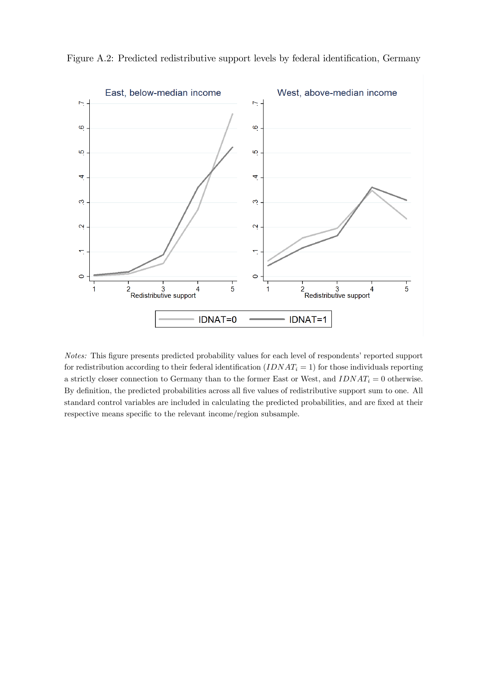

Figure A.2: Predicted redistributive support levels by federal identification, Germany

Notes: This figure presents predicted probability values for each level of respondents' reported support for redistribution according to their federal identification  $(IDMAT_i = 1)$  for those individuals reporting a strictly closer connection to Germany than to the former East or West, and  $IDNAT_i = 0$  otherwise. By definition, the predicted probabilities across all five values of redistributive support sum to one. All standard control variables are included in calculating the predicted probabilities, and are fixed at their respective means specific to the relevant income/region subsample.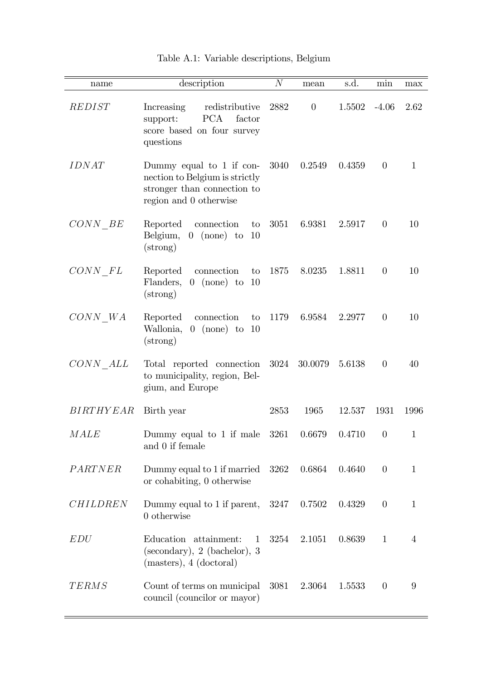| name              | description                                                                                                           | $\cal N$ | mean     | s.d.   | min            | max            |
|-------------------|-----------------------------------------------------------------------------------------------------------------------|----------|----------|--------|----------------|----------------|
| REDIST            | redistributive<br>Increasing<br><b>PCA</b><br>factor<br>support:<br>score based on four survey<br>questions           | 2882     | $\theta$ | 1.5502 | $-4.06$        | 2.62           |
| <b>IDNAT</b>      | Dummy equal to $1$ if con-<br>nection to Belgium is strictly<br>stronger than connection to<br>region and 0 otherwise | 3040     | 0.2549   | 0.4359 | $\overline{0}$ | $\mathbf{1}$   |
| CONN BE           | Reported<br>connection<br>to<br>Belgium,<br>$0 \text{ (none)} to$<br>10<br>$(\text{strong})$                          | 3051     | 6.9381   | 2.5917 | $\theta$       | 10             |
| $CONN$ $\;FL$     | Reported<br>connection<br>to<br>$0 \text{ (none)} to 10$<br>Flanders,<br>$(\text{strong})$                            | 1875     | 8.0235   | 1.8811 | $\theta$       | 10             |
| CONN WA           | Reported<br>connection<br>to<br>Wallonia,<br>$0 \text{ (none)} to$<br>-10<br>$(\text{strong})$                        | 1179     | 6.9584   | 2.2977 | $\overline{0}$ | 10             |
| CONN ALL          | Total reported connection<br>to municipality, region, Bel-<br>gium, and Europe                                        | 3024     | 30.0079  | 5.6138 | $\theta$       | 40             |
| <i>BIRTHY EAR</i> | Birth year                                                                                                            | 2853     | 1965     | 12.537 | 1931           | 1996           |
| <b>MALE</b>       | Dummy equal to 1 if male 3261<br>and 0 if female                                                                      |          | 0.6679   | 0.4710 | $\theta$       | $\mathbf{1}$   |
| PARTNER           | Dummy equal to 1 if married<br>or cohabiting, 0 otherwise                                                             | 3262     | 0.6864   | 0.4640 | $\overline{0}$ | $\mathbf{1}$   |
| <b>CHILDREN</b>   | Dummy equal to 1 if parent,<br>$0$ otherwise                                                                          | 3247     | 0.7502   | 0.4329 | $\theta$       | $\mathbf{1}$   |
| EDU               | Education attainment:<br>$\mathbf 1$<br>(secondary), 2 (bachelor), 3<br>(masters), 4 (doctoral)                       | 3254     | 2.1051   | 0.8639 | $\mathbf{1}$   | $\overline{4}$ |
| <b>TERMS</b>      | Count of terms on municipal<br>council (councilor or mayor)                                                           | 3081     | 2.3064   | 1.5533 | $\overline{0}$ | $9\,$          |

| Table A.1: Variable descriptions, Belgium |  |  |  |
|-------------------------------------------|--|--|--|
|-------------------------------------------|--|--|--|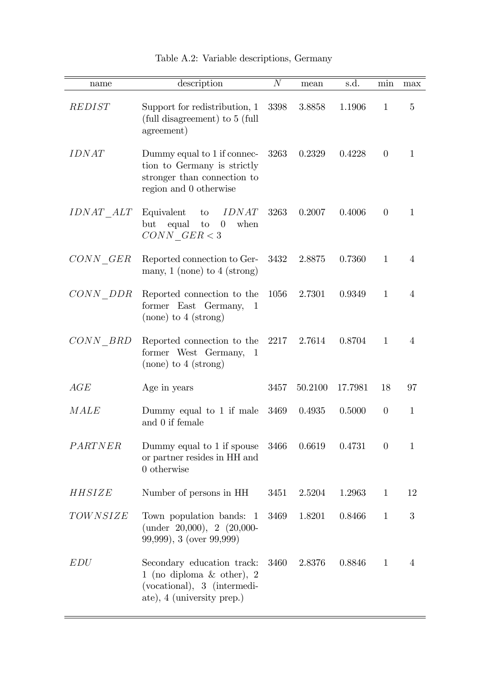| name             | description                                                                                                              | $\boldsymbol{N}$ | mean    | s.d.    | min          | max            |
|------------------|--------------------------------------------------------------------------------------------------------------------------|------------------|---------|---------|--------------|----------------|
| REDIST           | Support for redistribution, 1<br>(full disagreement) to 5 (full<br>agreement)                                            | 3398             | 3.8858  | 1.1906  | $\mathbf{1}$ | 5              |
| <i>IDNAT</i>     | Dummy equal to 1 if connec-<br>tion to Germany is strictly<br>stronger than connection to<br>region and 0 otherwise      | 3263             | 0.2329  | 0.4228  | $\theta$     | 1              |
| <i>IDNAT ALT</i> | <i>IDNAT</i><br>Equivalent<br>$\mathop{\mathrm{to}}$<br>but<br>equal<br>when<br>to<br>$\overline{0}$<br>$CONN \tGER < 3$ | 3263             | 0.2007  | 0.4006  | $\theta$     | $\mathbf{1}$   |
| CONN GER         | Reported connection to Ger-<br>many, $1 \text{ (none) to } 4 \text{ (strong)}$                                           | 3432             | 2.8875  | 0.7360  | $\mathbf{1}$ | $\overline{4}$ |
| CONN DDR         | Reported connection to the<br>former East Germany,<br>-1<br>$(none)$ to 4 (strong)                                       | 1056             | 2.7301  | 0.9349  | $\mathbf{1}$ | $\overline{4}$ |
| $CONN$ $BRD$     | Reported connection to the<br>former West Germany, 1<br>$(none)$ to 4 (strong)                                           | 2217             | 2.7614  | 0.8704  | 1            | 4              |
| AGE              | Age in years                                                                                                             | 3457             | 50.2100 | 17.7981 | 18           | 97             |
| <b>MALE</b>      | Dummy equal to 1 if male<br>and 0 if female                                                                              | 3469             | 0.4935  | 0.5000  | $\theta$     | $\mathbf{1}$   |
| PARTNER          | Dummy equal to 1 if spouse<br>or partner resides in HH and<br>$0$ otherwise                                              | 3466             | 0.6619  | 0.4731  | $\theta$     | $\mathbf{1}$   |
| HHSIZE           | Number of persons in HH                                                                                                  | 3451             | 2.5204  | 1.2963  | $\mathbf{1}$ | 12             |
| TOWNSIZE         | Town population bands:<br>-1<br>(under $20,000$ ), $2(20,000)$<br>99,999), 3 (over 99,999)                               | 3469             | 1.8201  | 0.8466  | $\mathbf 1$  | 3              |
| EDU              | Secondary education track:<br>1 (no diploma $\&$ other), 2<br>(vocational), 3 (intermedi-<br>ate), 4 (university prep.)  | 3460             | 2.8376  | 0.8846  | $\mathbf{1}$ | $\overline{4}$ |

## Table A.2: Variable descriptions, Germany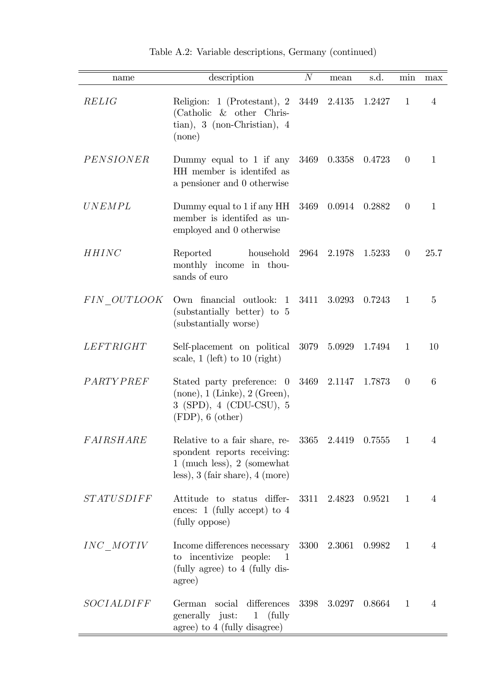| name              | description                                                                                                                                                  | $\overline{N}$ | mean               | s.d.   | min          | max            |
|-------------------|--------------------------------------------------------------------------------------------------------------------------------------------------------------|----------------|--------------------|--------|--------------|----------------|
| RELIG             | Religion: 1 (Protestant), 2<br>(Catholic $&$ other Chris-<br>$\{$ tian), 3 (non-Christian), 4<br>$(\text{none})$                                             | 3449           | 2.4135             | 1.2427 | $\mathbf{1}$ | 4              |
| PENSIONER         | Dummy equal to 1 if any<br>HH member is identifed as<br>a pensioner and 0 otherwise                                                                          | 3469           | 0.3358             | 0.4723 | $\theta$     | $\mathbf{1}$   |
| <b>UNEMPL</b>     | Dummy equal to 1 if any HH<br>member is identifed as un-<br>employed and 0 otherwise                                                                         | 3469           | 0.0914             | 0.2882 | $\theta$     | $\mathbf{1}$   |
| <b>HHINC</b>      | household<br>Reported<br>monthly income in thou-<br>sands of euro                                                                                            | 2964           | 2.1978             | 1.5233 | $\theta$     | 25.7           |
| FIN OUTLOOK       | Own financial outlook:<br>-1<br>(substantially better) to 5<br>(substantially worse)                                                                         | 3411           | 3.0293             | 0.7243 | $\mathbf{1}$ | 5              |
| <i>LEFTRIGHT</i>  | Self-placement on political<br>scale, $1$ (left) to $10$ (right)                                                                                             | 3079           | 5.0929             | 1.7494 | $\mathbf{1}$ | 10             |
| PARTYPREF         | Stated party preference: 0<br>$(\text{none}), 1 \text{ (Linked)}, 2 \text{ (Green)},$<br>3 (SPD), 4 (CDU-CSU), 5<br>$(FDP)$ , 6 (other)                      | 3469           | 2.1147             | 1.7873 | $\theta$     | 6              |
| FAIRSHARE         | Relative to a fair share, re-<br>spondent reports receiving:<br>$1 \text{ (much less)}, 2 \text{ (somewhat)}$<br>less), $3$ (fair share), $4 \text{ (more)}$ |                | 3365 2.4419 0.7555 |        | $\mathbf{1}$ | 4              |
| <i>STATUSDIFF</i> | Attitude to status differ-<br>ences: 1 (fully accept) to $4$<br>(fully oppose)                                                                               | 3311           | 2.4823             | 0.9521 | 1            | $\overline{4}$ |
| INC MOTIV         | Income differences necessary<br>to incentivize people:<br>1<br>(fully agree) to 4 (fully dis-<br>agree)                                                      | 3300           | 2.3061             | 0.9982 | $\mathbf{1}$ | 4              |
| SOCIALDIFF        | differences<br>social<br>German<br>generally just:<br>(fully)<br>$\mathbf{1}$<br>agree) to 4 (fully disagree)                                                | 3398           | 3.0297             | 0.8664 | $\mathbf{1}$ | 4              |

Table A.2: Variable descriptions, Germany (continued)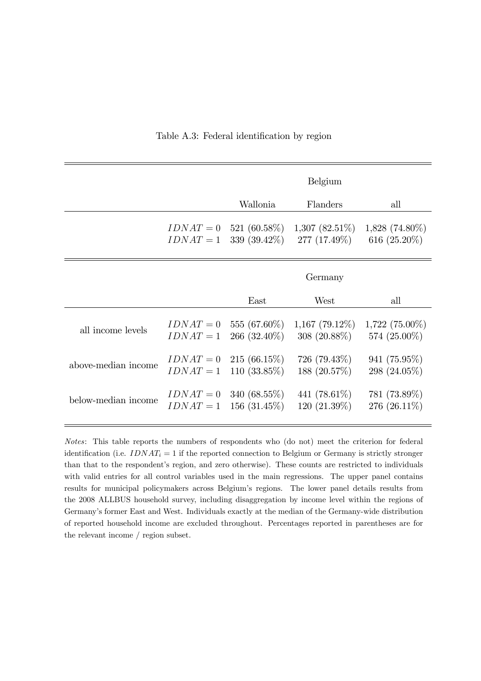|                     |             |                 | Belgium          |                  |
|---------------------|-------------|-----------------|------------------|------------------|
|                     |             | Wallonia        | Flanders         | all              |
|                     | $IDNAT = 0$ | 521 (60.58%)    | $1,307(82.51\%)$ | $1,828$ (74.80%) |
|                     | $IDNAT = 1$ | 339 $(39.42\%)$ | 277 (17.49%)     | 616 $(25.20\%)$  |
|                     |             |                 | Germany          |                  |
|                     |             | East            | West             | all              |
| all income levels   | $IDNAT = 0$ | 555 (67.60%)    | $1,167$ (79.12%) | $1,722$ (75.00%) |
|                     | $IDNAT = 1$ | $266~(32.40\%)$ | $308 (20.88\%)$  | 574 (25.00%)     |
| above-median income | $IDNAT = 0$ | $215(66.15\%)$  | $726~(79.43\%)$  | $941(75.95\%)$   |
|                     | $IDNAT = 1$ | $110(33.85\%)$  | 188 (20.57%)     | 298 (24.05%)     |
| below-median income | $IDNAT = 0$ | 340 $(68.55\%)$ | 441 $(78.61\%)$  | 781 (73.89%)     |
|                     | $IDNAT = 1$ | $156(31.45\%)$  | $120(21.39\%)$   | 276 (26.11\%)    |

#### Table A.3: Federal identification by region

Notes: This table reports the numbers of respondents who (do not) meet the criterion for federal identification (i.e.  $IDNAT_i = 1$  if the reported connection to Belgium or Germany is strictly stronger than that to the respondent's region, and zero otherwise). These counts are restricted to individuals with valid entries for all control variables used in the main regressions. The upper panel contains results for municipal policymakers across Belgium's regions. The lower panel details results from the 2008 ALLBUS household survey, including disaggregation by income level within the regions of Germanyís former East and West. Individuals exactly at the median of the Germany-wide distribution of reported household income are excluded throughout. Percentages reported in parentheses are for the relevant income / region subset.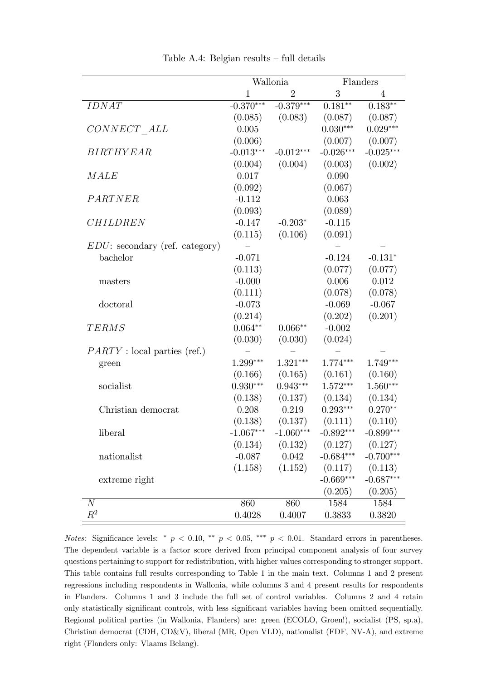|                                        |              | Wallonia       |             | Flanders       |
|----------------------------------------|--------------|----------------|-------------|----------------|
|                                        | $\mathbf{1}$ | $\overline{2}$ | 3           | $\overline{4}$ |
| <b>IDNAT</b>                           | $-0.370***$  | $-0.379***$    | $0.181**$   | $0.183**$      |
|                                        | (0.085)      | (0.083)        | (0.087)     | (0.087)        |
| $CONNET$ $ALL$                         | 0.005        |                | $0.030***$  | $0.029***$     |
|                                        | (0.006)      |                | (0.007)     | (0.007)        |
| <b>BIRTHYEAR</b>                       | $-0.013***$  | $-0.012***$    | $-0.026***$ | $-0.025***$    |
|                                        | (0.004)      | (0.004)        | (0.003)     | (0.002)        |
| MALE                                   | 0.017        |                | 0.090       |                |
|                                        | (0.092)      |                | (0.067)     |                |
| PARTNER                                | $-0.112$     |                | 0.063       |                |
|                                        | (0.093)      |                | (0.089)     |                |
| <b>CHILDREN</b>                        | $-0.147$     | $-0.203*$      | $-0.115$    |                |
|                                        | (0.115)      | (0.106)        | (0.091)     |                |
| <i>EDU</i> : secondary (ref. category) |              |                |             |                |
| bachelor                               | $-0.071$     |                | $-0.124$    | $-0.131*$      |
|                                        | (0.113)      |                | (0.077)     | (0.077)        |
| masters                                | $-0.000$     |                | 0.006       | 0.012          |
|                                        | (0.111)      |                | (0.078)     | (0.078)        |
| doctoral                               | $-0.073$     |                | $-0.069$    | $-0.067$       |
|                                        | (0.214)      |                | (0.202)     | (0.201)        |
| <b>TERMS</b>                           | $0.064**$    | $0.066**$      | $-0.002$    |                |
|                                        | (0.030)      | (0.030)        | (0.024)     |                |
| PARTY : local parties (ref.)           |              |                |             |                |
| green                                  | 1.299***     | $1.321***$     | $1.774***$  | 1.749***       |
|                                        | (0.166)      | (0.165)        | (0.161)     | (0.160)        |
| socialist                              | $0.930***$   | $0.943***$     | $1.572***$  | $1.560***$     |
|                                        | (0.138)      | (0.137)        | (0.134)     | (0.134)        |
| Christian democrat                     | 0.208        | 0.219          | $0.293***$  | $0.270**$      |
|                                        | (0.138)      | (0.137)        | (0.111)     | (0.110)        |
| liberal                                | $-1.067***$  | $-1.060***$    | $-0.892***$ | $-0.899***$    |
|                                        | (0.134)      | (0.132)        | (0.127)     | (0.127)        |
| nationalist                            | $-0.087$     | 0.042          | $-0.684***$ | $-0.700***$    |
|                                        | (1.158)      | (1.152)        | (0.117)     | (0.113)        |
| extreme right                          |              |                | $-0.669***$ | $-0.687***$    |
|                                        |              |                | (0.205)     | (0.205)        |
| $\boldsymbol{N}$                       | 860          | 860            | 1584        | 1584           |
| $\mathbb{R}^2$                         | 0.4028       | 0.4007         | 0.3833      | 0.3820         |

Table A.4: Belgian results  $-$  full details

Notes: Significance levels: \*  $p < 0.10$ , \*\*  $p < 0.05$ , \*\*\*  $p < 0.01$ . Standard errors in parentheses. The dependent variable is a factor score derived from principal component analysis of four survey questions pertaining to support for redistribution, with higher values corresponding to stronger support. This table contains full results corresponding to Table 1 in the main text. Columns 1 and 2 present regressions including respondents in Wallonia, while columns 3 and 4 present results for respondents in Flanders. Columns 1 and 3 include the full set of control variables. Columns 2 and 4 retain only statistically significant controls, with less significant variables having been omitted sequentially. Regional political parties (in Wallonia, Flanders) are: green (ECOLO, Groen!), socialist (PS, sp.a), Christian democrat (CDH, CD&V), liberal (MR, Open VLD), nationalist (FDF, NV-A), and extreme right (Flanders only: Vlaams Belang).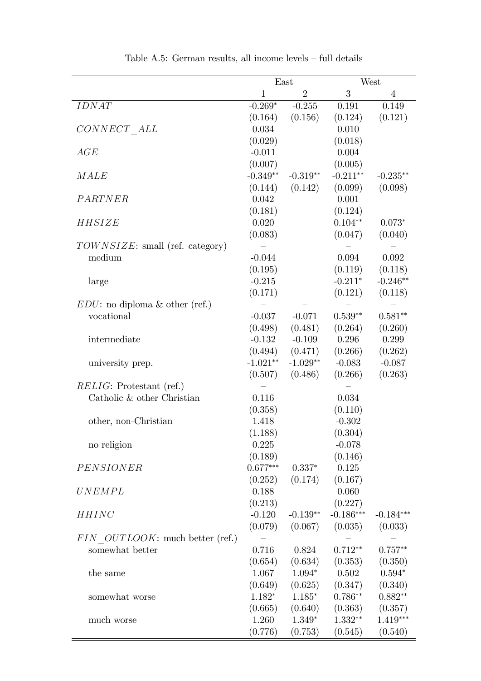|                                    | East         |                |             | West           |
|------------------------------------|--------------|----------------|-------------|----------------|
|                                    | $\mathbf{1}$ | $\overline{2}$ | 3           | $\overline{4}$ |
| <b>IDNAT</b>                       | $-0.269*$    | $-0.255$       | 0.191       | 0.149          |
|                                    | (0.164)      | (0.156)        | (0.124)     | (0.121)        |
| CONNECT ALL                        | 0.034        |                | 0.010       |                |
|                                    | (0.029)      |                | (0.018)     |                |
| AGE                                | $-0.011$     |                | 0.004       |                |
|                                    | (0.007)      |                | (0.005)     |                |
| MALE                               | $-0.349**$   | $-0.319**$     | $-0.211**$  | $-0.235**$     |
|                                    | (0.144)      | (0.142)        | (0.099)     | (0.098)        |
| PARTNER                            | 0.042        |                | 0.001       |                |
|                                    | (0.181)      |                | (0.124)     |                |
| HHSIZE                             | 0.020        |                | $0.104**$   | $0.073*$       |
|                                    | (0.083)      |                | (0.047)     | (0.040)        |
| $TOWNSIZE$ : small (ref. category) |              |                |             |                |
| medium                             | $-0.044$     |                | 0.094       | 0.092          |
|                                    | (0.195)      |                | (0.119)     | (0.118)        |
| large                              | $-0.215$     |                | $-0.211*$   | $-0.246**$     |
|                                    | (0.171)      |                | (0.121)     | (0.118)        |
| $EDU$ : no diploma & other (ref.)  |              |                |             |                |
| vocational                         | $-0.037$     | $-0.071$       | $0.539**$   | $0.581**$      |
|                                    | (0.498)      | (0.481)        | (0.264)     | (0.260)        |
| intermediate                       | $-0.132$     | $-0.109$       | 0.296       | 0.299          |
|                                    | (0.494)      | (0.471)        | (0.266)     | (0.262)        |
| university prep.                   | $-1.021**$   | $-1.029**$     | $-0.083$    | $-0.087$       |
|                                    | (0.507)      | (0.486)        | (0.266)     | (0.263)        |
| $RELIG:$ Protestant (ref.)         |              |                |             |                |
| Catholic & other Christian         | 0.116        |                | 0.034       |                |
|                                    | (0.358)      |                | (0.110)     |                |
| other, non-Christian               | 1.418        |                | $-0.302$    |                |
|                                    | (1.188)      |                | (0.304)     |                |
| no religion                        | 0.225        |                | $-0.078$    |                |
|                                    | (0.189)      |                | (0.146)     |                |
| PENSIONER                          | $0.677***$   | $0.337*$       | 0.125       |                |
|                                    | (0.252)      | (0.174)        | (0.167)     |                |
| UNEMPL                             | 0.188        |                | 0.060       |                |
|                                    | (0.213)      |                | (0.227)     |                |
| <b>HHINC</b>                       | $-0.120$     | $-0.139**$     | $-0.186***$ | $-0.184***$    |
|                                    | (0.079)      | (0.067)        | (0.035)     | (0.033)        |
| FIN OUTLOOK: much better (ref.)    |              |                |             |                |
| somewhat better                    | 0.716        | 0.824          | $0.712**$   | $0.757**$      |
|                                    | (0.654)      | (0.634)        | (0.353)     | (0.350)        |
| the same                           | 1.067        | $1.094*$       | 0.502       | $0.594*$       |
|                                    | (0.649)      | (0.625)        | (0.347)     | (0.340)        |
| somewhat worse                     | $1.182*$     | $1.185*$       | $0.786**$   | $0.882**$      |
|                                    | (0.665)      | (0.640)        | (0.363)     | (0.357)        |
| much worse                         | 1.260        | $1.349*$       | $1.332**$   | $1.419***$     |
|                                    | (0.776)      | (0.753)        | (0.545)     | (0.540)        |

Table A.5: German results, all income levels  $-$  full details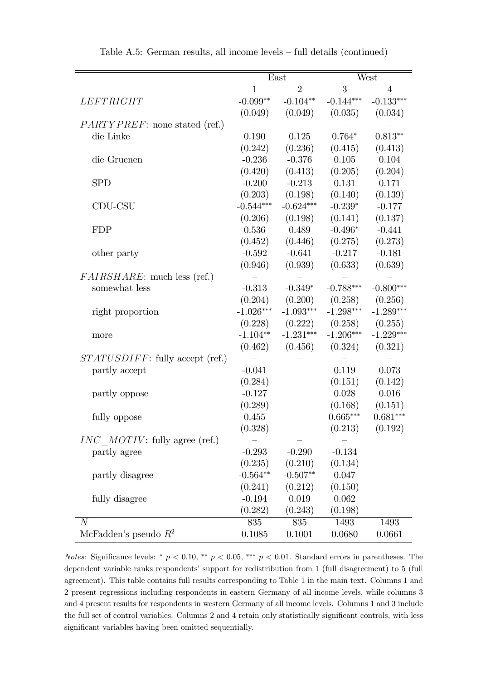|                                       |             | East           | West             |                |
|---------------------------------------|-------------|----------------|------------------|----------------|
|                                       | 1           | $\overline{2}$ | $\boldsymbol{3}$ | $\overline{4}$ |
| LEFTRIGHT                             | $-0.099**$  | $-0.104**$     | $-0.144***$      | $-0.133***$    |
|                                       | (0.049)     | (0.049)        | (0.035)          | (0.034)        |
| <i>PARTYPREF</i> : none stated (ref.) |             |                |                  |                |
| die Linke                             | 0.190       | 0.125          | $0.764*$         | $0.813**$      |
|                                       | (0.242)     | (0.236)        | (0.415)          | (0.413)        |
| die Gruenen                           | $-0.236$    | $-0.376$       | 0.105            | 0.104          |
|                                       | (0.420)     | (0.413)        | (0.205)          | (0.204)        |
| <b>SPD</b>                            | $-0.200$    | $-0.213$       | 0.131            | 0.171          |
|                                       | (0.203)     | (0.198)        | (0.140)          | (0.139)        |
| CDU-CSU                               | $-0.544***$ | $-0.624***$    | $-0.239*$        | $-0.177$       |
|                                       | (0.206)     | (0.198)        | (0.141)          | (0.137)        |
| <b>FDP</b>                            | 0.536       | 0.489          | $-0.496*$        | $-0.441$       |
|                                       | (0.452)     | (0.446)        | (0.275)          | (0.273)        |
| other party                           | $-0.592$    | $-0.641$       | $-0.217$         | $-0.181$       |
|                                       | (0.946)     | (0.939)        | (0.633)          | (0.639)        |
| <i>FAIRSHARE</i> : much less (ref.)   |             |                |                  |                |
| somewhat less                         | $-0.313$    | $-0.349*$      | $-0.788***$      | $-0.800***$    |
|                                       | (0.204)     | (0.200)        | (0.258)          | (0.256)        |
| right proportion                      | $-1.026***$ | $-1.093***$    | $-1.298***$      | $-1.289***$    |
|                                       | (0.228)     | (0.222)        | (0.258)          | (0.255)        |
| more                                  | $-1.104**$  | $-1.231***$    | $-1.206***$      | $-1.229***$    |
|                                       | (0.462)     | (0.456)        | (0.324)          | (0.321)        |
| $STATUSDIFF:$ fully accept (ref.)     |             |                |                  |                |
| partly accept                         | $-0.041$    |                | 0.119            | 0.073          |
|                                       | (0.284)     |                | (0.151)          | (0.142)        |
| partly oppose                         | $-0.127$    |                | 0.028            | 0.016          |
|                                       | (0.289)     |                | (0.168)          | (0.151)        |
| fully oppose                          | 0.455       |                | $0.665***$       | $0.681***$     |
|                                       | (0.328)     |                | (0.213)          | (0.192)        |
| $INC$ MOTIV: fully agree (ref.)       |             |                |                  |                |
| partly agree                          | $-0.293$    | $-0.290$       | $-0.134$         |                |
|                                       | (0.235)     | (0.210)        | (0.134)          |                |
| partly disagree                       | $-0.564**$  | $-0.507**$     | 0.047            |                |
|                                       | (0.241)     | (0.212)        | (0.150)          |                |
| fully disagree                        | $-0.194$    | 0.019          | 0.062            |                |
|                                       | (0.282)     | (0.243)        | (0.198)          |                |
| $\overline{N}$                        | 835         | 835            | 1493             | 1493           |
| McFadden's pseudo $R^2$               | 0.1085      | 0.1001         | 0.0680           | 0.0661         |

Table A.5: German results, all income levels  $-$  full details (continued)

Notes: Significance levels: \*  $p < 0.10$ , \*\*  $p < 0.05$ , \*\*\*  $p < 0.01$ . Standard errors in parentheses. The dependent variable ranks respondents' support for redistribution from 1 (full disagreement) to 5 (full agreement). This table contains full results corresponding to Table 1 in the main text. Columns 1 and 2 present regressions including respondents in eastern Germany of all income levels, while columns 3 and 4 present results for respondents in western Germany of all income levels. Columns 1 and 3 include the full set of control variables. Columns 2 and 4 retain only statistically significant controls, with less significant variables having been omitted sequentially.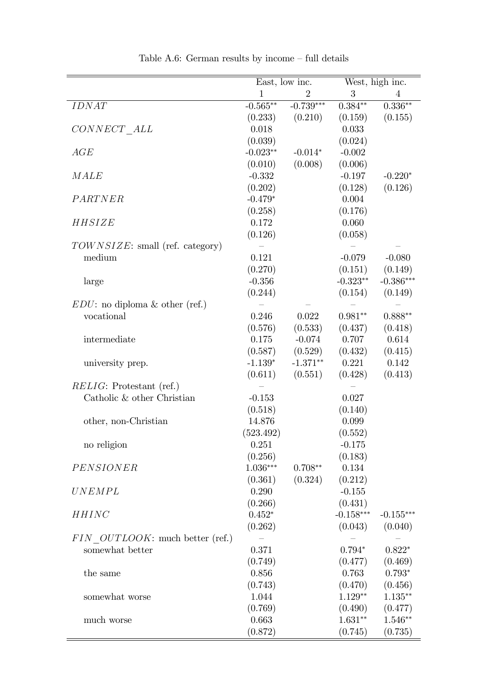|                                       | East, low inc.   |                | West, high inc. |                |
|---------------------------------------|------------------|----------------|-----------------|----------------|
|                                       | $\mathbf{1}$     | $\overline{2}$ | 3               | $\overline{4}$ |
| <b>IDNAT</b>                          | $-0.565**$       | $-0.739***$    | $0.384**$       | $0.336**$      |
|                                       |                  | (0.210)        | (0.159)         |                |
|                                       | (0.233)<br>0.018 |                | 0.033           | (0.155)        |
| $CONNET\_ALL$                         |                  |                |                 |                |
|                                       | (0.039)          |                | (0.024)         |                |
| AGE                                   | $-0.023**$       | $-0.014*$      | $-0.002$        |                |
|                                       | (0.010)          | (0.008)        | (0.006)         |                |
| MALE                                  | $-0.332$         |                | $-0.197$        | $-0.220*$      |
|                                       | (0.202)          |                | (0.128)         | (0.126)        |
| PARTNER                               | $-0.479*$        |                | 0.004           |                |
|                                       | (0.258)          |                | (0.176)         |                |
| HHSIZE                                | 0.172            |                | 0.060           |                |
|                                       | (0.126)          |                | (0.058)         |                |
| $TOWNSIZE$ : small (ref. category)    |                  |                |                 |                |
| medium                                | 0.121            |                | $-0.079$        | $-0.080$       |
|                                       | (0.270)          |                | (0.151)         | (0.149)        |
| large                                 | $-0.356$         |                | $-0.323**$      | $-0.386***$    |
|                                       | (0.244)          |                | (0.154)         | (0.149)        |
| $EDU$ : no diploma & other (ref.)     |                  |                |                 |                |
| vocational                            | 0.246            | 0.022          | $0.981**$       | $0.888**$      |
|                                       | (0.576)          | (0.533)        | (0.437)         | (0.418)        |
| intermediate                          | 0.175            | $-0.074$       | 0.707           | 0.614          |
|                                       | (0.587)          | (0.529)        | (0.432)         | (0.415)        |
| university prep.                      | $-1.139*$        | $-1.371**$     | 0.221           | 0.142          |
|                                       | (0.611)          | (0.551)        | (0.428)         | (0.413)        |
| <i>RELIG</i> : Protestant (ref.)      |                  |                |                 |                |
| Catholic & other Christian            | $-0.153$         |                | 0.027           |                |
|                                       | (0.518)          |                | (0.140)         |                |
| other, non-Christian                  | 14.876           |                | 0.099           |                |
|                                       | (523.492)        |                | (0.552)         |                |
| no religion                           | 0.251            |                | $-0.175$        |                |
|                                       | (0.256)          |                | (0.183)         |                |
| PENSIONER                             | $1.036***$       | $0.708**$      | 0.134           |                |
|                                       | (0.361)          | (0.324)        | (0.212)         |                |
| $\begin{array}{c} UNEMPL \end{array}$ | 0.290            |                | $-0.155$        |                |
|                                       | (0.266)          |                | (0.431)         |                |
| <b>HHINC</b>                          | $0.452*$         |                | $-0.158***$     | $-0.155***$    |
|                                       | (0.262)          |                | (0.043)         | (0.040)        |
| FIN OUTLOOK: much better (ref.)       |                  |                |                 |                |
| somewhat better                       | 0.371            |                | $0.794*$        | $0.822*$       |
|                                       | (0.749)          |                | (0.477)         | (0.469)        |
| the same                              | 0.856            |                | 0.763           | $0.793*$       |
|                                       | (0.743)          |                | (0.470)         | (0.456)        |
| somewhat worse                        | 1.044            |                | $1.129**$       | $1.135***$     |
|                                       | (0.769)          |                | (0.490)         | (0.477)        |
| much worse                            | 0.663            |                | $1.631**$       | $1.546**$      |
|                                       | (0.872)          |                | (0.745)         | (0.735)        |

÷

Table A.6: German results by income  $-$  full details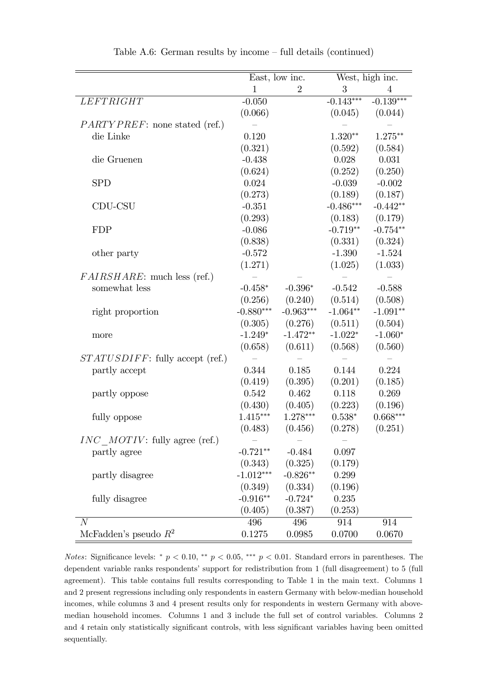|                                       |             | East, low inc.   |                  | West, high inc. |  |
|---------------------------------------|-------------|------------------|------------------|-----------------|--|
|                                       | 1           | $\boldsymbol{2}$ | $\boldsymbol{3}$ | 4               |  |
| LEFTRIGHT                             | $-0.050$    |                  | $-0.143***$      | $-0.139***$     |  |
|                                       | (0.066)     |                  | (0.045)          | (0.044)         |  |
| <i>PARTYPREF</i> : none stated (ref.) |             |                  |                  |                 |  |
| die Linke                             | 0.120       |                  | $1.320**$        | $1.275**$       |  |
|                                       | (0.321)     |                  | (0.592)          | (0.584)         |  |
| die Gruenen                           | $-0.438$    |                  | 0.028            | 0.031           |  |
|                                       | (0.624)     |                  | (0.252)          | (0.250)         |  |
| <b>SPD</b>                            | 0.024       |                  | $-0.039$         | $-0.002$        |  |
|                                       | (0.273)     |                  | (0.189)          | (0.187)         |  |
| CDU-CSU                               | $-0.351$    |                  | $-0.486***$      | $-0.442**$      |  |
|                                       | (0.293)     |                  | (0.183)          | (0.179)         |  |
| <b>FDP</b>                            | $-0.086$    |                  | $-0.719**$       | $-0.754**$      |  |
|                                       | (0.838)     |                  | (0.331)          | (0.324)         |  |
| other party                           | $-0.572$    |                  | $-1.390$         | $-1.524$        |  |
|                                       | (1.271)     |                  | (1.025)          | (1.033)         |  |
| <i>FAIRSHARE</i> : much less (ref.)   |             |                  |                  |                 |  |
| somewhat less                         | $-0.458*$   | $-0.396*$        | $-0.542$         | $-0.588$        |  |
|                                       | (0.256)     | (0.240)          | (0.514)          | (0.508)         |  |
| right proportion                      | $-0.880***$ | $-0.963***$      | $-1.064**$       | $-1.091**$      |  |
|                                       | (0.305)     | (0.276)          | (0.511)          | (0.504)         |  |
| more                                  | $-1.249*$   | $-1.472**$       | $-1.022*$        | $-1.060*$       |  |
|                                       | (0.658)     | (0.611)          | (0.568)          | (0.560)         |  |
| $STATUSDIFF:$ fully accept (ref.)     |             |                  |                  |                 |  |
| partly accept                         | 0.344       | 0.185            | 0.144            | 0.224           |  |
|                                       | (0.419)     | (0.395)          | (0.201)          | (0.185)         |  |
| partly oppose                         | 0.542       | 0.462            | 0.118            | 0.269           |  |
|                                       | (0.430)     | (0.405)          | (0.223)          | (0.196)         |  |
| fully oppose                          | $1.415***$  | 1.278***         | $0.538*$         | $0.668***$      |  |
|                                       | (0.483)     | (0.456)          | (0.278)          | (0.251)         |  |
| $INC$ MOTIV: fully agree (ref.)       |             |                  |                  |                 |  |
| partly agree                          | $-0.721**$  | $-0.484$         | 0.097            |                 |  |
|                                       | (0.343)     | (0.325)          | (0.179)          |                 |  |
| partly disagree                       | $-1.012***$ | $-0.826**$       | 0.299            |                 |  |
|                                       | (0.349)     | (0.334)          | (0.196)          |                 |  |
| fully disagree                        | $-0.916**$  | $-0.724*$        | 0.235            |                 |  |
|                                       | (0.405)     | (0.387)          | (0.253)          |                 |  |
| $\overline{N}$                        | 496         | 496              | 914              | 914             |  |
| McFadden's pseudo $R^2$               | 0.1275      | 0.0985           | 0.0700           | 0.0670          |  |

Table A.6: German results by income  $-$  full details (continued)

Notes: Significance levels: \*  $p < 0.10$ , \*\*  $p < 0.05$ , \*\*\*  $p < 0.01$ . Standard errors in parentheses. The dependent variable ranks respondents' support for redistribution from 1 (full disagreement) to 5 (full agreement). This table contains full results corresponding to Table 1 in the main text. Columns 1 and 2 present regressions including only respondents in eastern Germany with below-median household incomes, while columns 3 and 4 present results only for respondents in western Germany with abovemedian household incomes. Columns 1 and 3 include the full set of control variables. Columns 2 and 4 retain only statistically significant controls, with less significant variables having been omitted sequentially.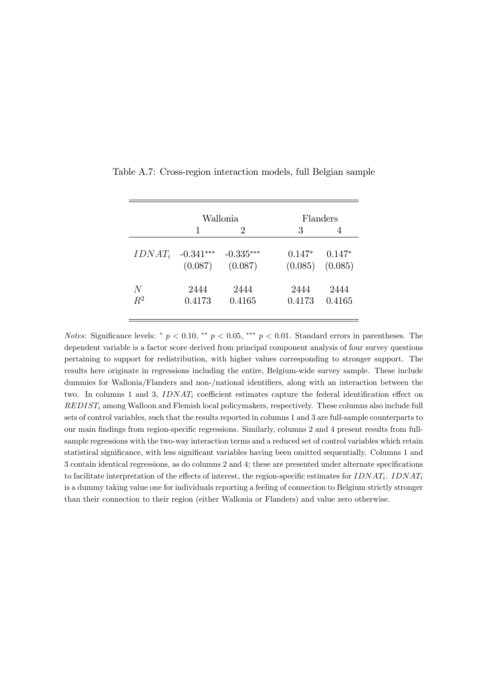|           |             | Wallonia    |          | Flanders |
|-----------|-------------|-------------|----------|----------|
|           |             | 2           | 3        |          |
| $IDNAT_i$ | $-0.341***$ | $-0.335***$ | $0.147*$ | $0.147*$ |
|           | (0.087)     | (0.087)     | (0.085)  | (0.085)  |
| N         | 2444        | 2444        | 2444     | 2444     |
| $R^2$     | 0.4173      | 0.4165      | 0.4173   | 0.4165   |

Table A.7: Cross-region interaction models, full Belgian sample

Notes: Significance levels: \*  $p < 0.10$ , \*\*  $p < 0.05$ , \*\*\*  $p < 0.01$ . Standard errors in parentheses. The dependent variable is a factor score derived from principal component analysis of four survey questions pertaining to support for redistribution, with higher values corresponding to stronger support. The results here originate in regressions including the entire, Belgium-wide survey sample. These include dummies for Wallonia/Flanders and non-/national identifiers, along with an interaction between the two. In columns 1 and 3,  $IDNAT_i$  coefficient estimates capture the federal identification effect on  $REDIST_i$  among Walloon and Flemish local policymakers, respectively. These columns also include full sets of control variables, such that the results reported in columns 1 and 3 are full-sample counterparts to our main Öndings from region-speciÖc regressions. Similarly, columns 2 and 4 present results from fullsample regressions with the two-way interaction terms and a reduced set of control variables which retain statistical significance, with less significant variables having been omitted sequentially. Columns 1 and 3 contain identical regressions, as do columns 2 and 4; these are presented under alternate specifications to facilitate interpretation of the effects of interest, the region-specific estimates for  $IDNAT_i$ .  $IDNAT_i$ is a dummy taking value one for individuals reporting a feeling of connection to Belgium strictly stronger than their connection to their region (either Wallonia or Flanders) and value zero otherwise.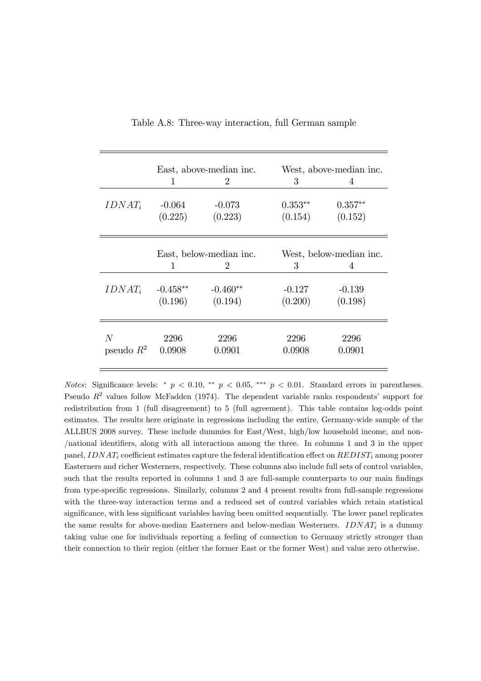|                   |                         | East, above-median inc.     | West, above-median inc. |                      |  |
|-------------------|-------------------------|-----------------------------|-------------------------|----------------------|--|
|                   | 1                       | $\mathcal{D}_{\mathcal{L}}$ | 3                       | 4                    |  |
| $IDNAT_i$         | $-0.064$<br>(0.225)     | $-0.073$<br>(0.223)         | $0.353**$<br>(0.154)    | $0.357**$<br>(0.152) |  |
|                   | East, below-median inc. |                             | West, below-median inc. |                      |  |
|                   | 1                       | $\mathfrak{D}$              | 3                       | 4                    |  |
| $IDNAT_i$         | $-0.458**$<br>(0.196)   | $-0.460**$<br>(0.194)       | $-0.127$<br>(0.200)     | $-0.139$<br>(0.198)  |  |
| N<br>pseudo $R^2$ | 2296<br>0.0908          | 2296<br>0.0901              | 2296<br>0.0908          | 2296<br>0.0901       |  |

Table A.8: Three-way interaction, full German sample

Notes: Significance levels: \*  $p < 0.10$ , \*\*  $p < 0.05$ , \*\*\*  $p < 0.01$ . Standard errors in parentheses. Pseudo  $R^2$  values follow McFadden (1974). The dependent variable ranks respondents' support for redistribution from 1 (full disagreement) to 5 (full agreement). This table contains log-odds point estimates. The results here originate in regressions including the entire, Germany-wide sample of the ALLBUS 2008 survey. These include dummies for East/West, high/low household income, and non- /national identifiers, along with all interactions among the three. In columns 1 and 3 in the upper panel,  $IDNAT_i$  coefficient estimates capture the federal identification effect on  $REDIST_i$  among poorer Easterners and richer Westerners, respectively. These columns also include full sets of control variables, such that the results reported in columns 1 and 3 are full-sample counterparts to our main findings from type-specific regressions. Similarly, columns 2 and 4 present results from full-sample regressions with the three-way interaction terms and a reduced set of control variables which retain statistical significance, with less significant variables having been omitted sequentially. The lower panel replicates the same results for above-median Easterners and below-median Westerners.  $IDNAT_i$  is a dummy taking value one for individuals reporting a feeling of connection to Germany strictly stronger than their connection to their region (either the former East or the former West) and value zero otherwise.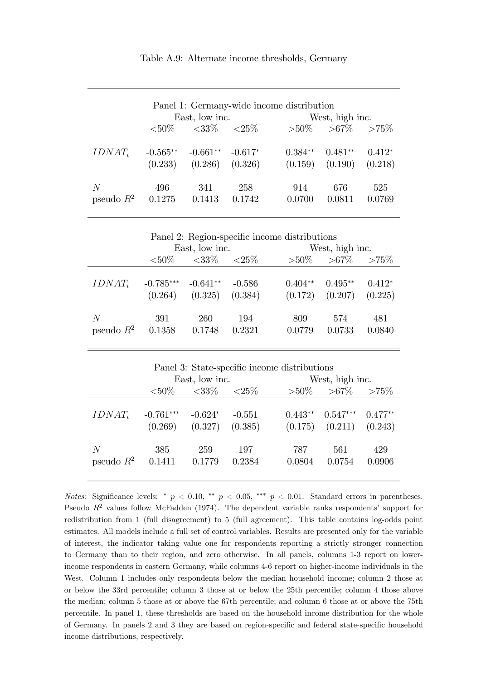| Panel 1: Germany-wide income distribution |                       |                       |                      |                      |                         |                     |  |
|-------------------------------------------|-----------------------|-----------------------|----------------------|----------------------|-------------------------|---------------------|--|
|                                           |                       | East, low inc.        |                      |                      | West, high inc.         |                     |  |
|                                           | ${<}50\%$             | $<33\%$ $<25\%$       |                      |                      | $>50\%$ $>67\%$ $>75\%$ |                     |  |
| $IDNAT_i$                                 | $-0.565**$<br>(0.233) | $-0.661**$<br>(0.286) | $-0.617*$<br>(0.326) | $0.384**$<br>(0.159) | $0.481**$<br>(0.190)    | $0.412*$<br>(0.218) |  |
| N<br>pseudo $R^2$                         | 496<br>0.1275         | 341<br>0.1413         | 258<br>0.1742        | 914<br>0.0700        | 676<br>0.0811           | 525<br>0.0769       |  |

Table A.9: Alternate income thresholds, Germany

| Panel 2: Region-specific income distributions |                                   |                      |                     |               |                                            |               |  |
|-----------------------------------------------|-----------------------------------|----------------------|---------------------|---------------|--------------------------------------------|---------------|--|
|                                               |                                   | East, low inc.       |                     |               | West, high inc.                            |               |  |
|                                               | ${<}50\%$                         | $<$ 33\% $<$ 25\%    |                     |               | $>50\%$ $>67\%$ $>75\%$                    |               |  |
| $IDNAT_i$                                     | $-0.785***$ $-0.641**$<br>(0.264) | (0.325)              | $-0.586$<br>(0.384) | $0.404**$     | $0.495**$<br>$(0.172)$ $(0.207)$ $(0.225)$ | $0.412*$      |  |
| N<br>pseudo $R^2$                             | 391<br>0.1358                     | <b>260</b><br>0.1748 | 194<br>0.2321       | 809<br>0.0779 | 574<br>0.0733                              | 481<br>0.0840 |  |

|                   | Panel 3: State-specific income distributions<br>East, low inc. |                      |                     |               | West, high inc.                   |                      |  |
|-------------------|----------------------------------------------------------------|----------------------|---------------------|---------------|-----------------------------------|----------------------|--|
|                   | ${<}50\%$                                                      | ${<}33\%$            | ${<}25\%$           |               | $>50\%$ $>67\%$ $>75\%$           |                      |  |
| $IDNAT_i$         | $-0.761***$<br>(0.269)                                         | $-0.624*$<br>(0.327) | $-0.551$<br>(0.385) | $0.443**$     | $0.547***$<br>$(0.175)$ $(0.211)$ | $0.477**$<br>(0.243) |  |
| N<br>pseudo $R^2$ | 385<br>0.1411                                                  | 259<br>0.1779        | 197<br>0.2384       | 787<br>0.0804 | 561<br>0.0754                     | 429<br>0.0906        |  |

Notes: Significance levels: \*  $p < 0.10$ , \*\*  $p < 0.05$ , \*\*\*  $p < 0.01$ . Standard errors in parentheses. Pseudo  $R^2$  values follow McFadden (1974). The dependent variable ranks respondents' support for redistribution from 1 (full disagreement) to 5 (full agreement). This table contains log-odds point estimates. All models include a full set of control variables. Results are presented only for the variable of interest, the indicator taking value one for respondents reporting a strictly stronger connection to Germany than to their region, and zero otherwise. In all panels, columns 1-3 report on lowerincome respondents in eastern Germany, while columns 4-6 report on higher-income individuals in the West. Column 1 includes only respondents below the median household income; column 2 those at or below the 33rd percentile; column 3 those at or below the 25th percentile; column 4 those above the median; column 5 those at or above the 67th percentile; and column 6 those at or above the 75th percentile. In panel 1, these thresholds are based on the household income distribution for the whole of Germany. In panels 2 and 3 they are based on region-specific and federal state-specific household income distributions, respectively.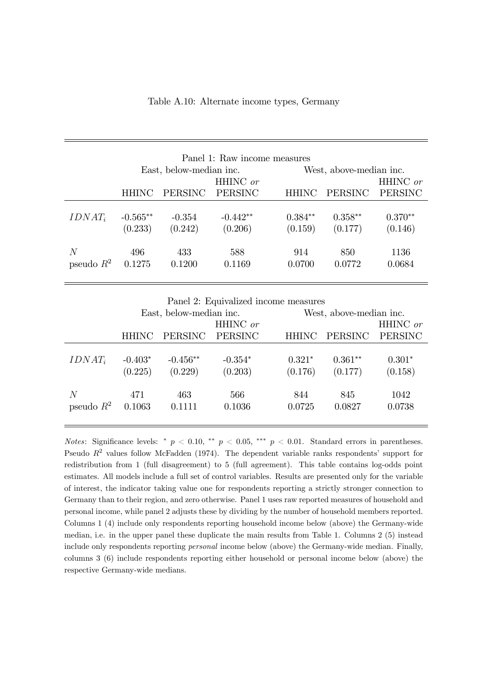|              | Panel 1: Raw income measures<br>East, below-median inc. |                |                            |              | West, above-median inc. |                            |  |
|--------------|---------------------------------------------------------|----------------|----------------------------|--------------|-------------------------|----------------------------|--|
|              | <b>HHINC</b>                                            | <b>PERSINC</b> | HHINC or<br><b>PERSINC</b> | <b>HHINC</b> | <b>PERSINC</b>          | HHINC or<br><b>PERSINC</b> |  |
| $IDNAT_i$    | $-0.565**$                                              | $-0.354$       | $-0.442**$                 | $0.384**$    | $0.358**$               | $0.370**$                  |  |
|              | (0.233)                                                 | (0.242)        | (0.206)                    | (0.159)      | (0.177)                 | (0.146)                    |  |
| N            | 496                                                     | 433            | 588                        | 914          | 850                     | 1136                       |  |
| pseudo $R^2$ | 0.1275                                                  | 0.1200         | 0.1169                     | 0.0700       | 0.0772                  | 0.0684                     |  |

Panel 2: Equivalized income measures

|                   | East, below-median inc. |                       |                      |                     | West, above-median inc. |                     |  |
|-------------------|-------------------------|-----------------------|----------------------|---------------------|-------------------------|---------------------|--|
|                   |                         |                       | HHINC or             |                     |                         | HHINC or            |  |
|                   | <b>HHINC</b>            | PERSINC               | PERSINC              | <b>HHINC</b>        | PERSINC                 | PERSINC             |  |
| $IDNAT_i$         | $-0.403*$<br>(0.225)    | $-0.456**$<br>(0.229) | $-0.354*$<br>(0.203) | $0.321*$<br>(0.176) | $0.361**$<br>(0.177)    | $0.301*$<br>(0.158) |  |
| N<br>pseudo $R^2$ | 471<br>0.1063           | 463<br>0.1111         | 566<br>0.1036        | 844<br>0.0725       | 845<br>0.0827           | 1042<br>0.0738      |  |

Notes: Significance levels: \*  $p < 0.10$ , \*\*  $p < 0.05$ , \*\*\*  $p < 0.01$ . Standard errors in parentheses. Pseudo  $R^2$  values follow McFadden (1974). The dependent variable ranks respondents' support for redistribution from 1 (full disagreement) to 5 (full agreement). This table contains log-odds point estimates. All models include a full set of control variables. Results are presented only for the variable of interest, the indicator taking value one for respondents reporting a strictly stronger connection to Germany than to their region, and zero otherwise. Panel 1 uses raw reported measures of household and personal income, while panel 2 adjusts these by dividing by the number of household members reported. Columns 1 (4) include only respondents reporting household income below (above) the Germany-wide median, i.e. in the upper panel these duplicate the main results from Table 1. Columns 2 (5) instead include only respondents reporting personal income below (above) the Germany-wide median. Finally, columns 3 (6) include respondents reporting either household or personal income below (above) the respective Germany-wide medians.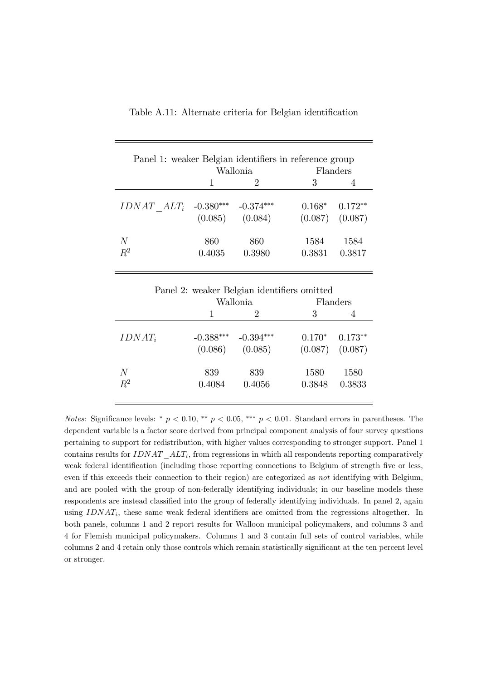| Panel 1: weaker Belgian identifiers in reference group |                        |                        |                |                                  |
|--------------------------------------------------------|------------------------|------------------------|----------------|----------------------------------|
|                                                        |                        | Wallonia               |                | Flanders                         |
|                                                        |                        |                        | 3              |                                  |
| $IDNAT$ $ALT_i$                                        | $-0.380***$<br>(0.085) | $-0.374***$<br>(0.084) | $0.168*$       | $0.172**$<br>$(0.087)$ $(0.087)$ |
| N<br>$R^2$                                             | 860<br>0.4035          | 860<br>0.3980          | 1584<br>0.3831 | 1584<br>0.3817                   |

| Table A.11: Alternate criteria for Belgian identification |  |  |  |
|-----------------------------------------------------------|--|--|--|
|-----------------------------------------------------------|--|--|--|

| Panel 2: weaker Belgian identifiers omitted |                        |                        |                |                                               |
|---------------------------------------------|------------------------|------------------------|----------------|-----------------------------------------------|
|                                             |                        | Wallonia               |                | Flanders                                      |
|                                             |                        | $\cdot$                | 3              |                                               |
| $IDNAT_i$                                   | $-0.388***$<br>(0.086) | $-0.394***$<br>(0.085) |                | $0.170^*$ $0.173^{**}$<br>$(0.087)$ $(0.087)$ |
| N<br>$R^2$                                  | 839<br>0.4084          | 839<br>0.4056          | 1580<br>0.3848 | 1580<br>0.3833                                |

Notes: Significance levels: \*  $p < 0.10$ , \*\*  $p < 0.05$ , \*\*\*  $p < 0.01$ . Standard errors in parentheses. The dependent variable is a factor score derived from principal component analysis of four survey questions pertaining to support for redistribution, with higher values corresponding to stronger support. Panel 1 contains results for  $IDNAT\_ALT_i$ , from regressions in which all respondents reporting comparatively weak federal identification (including those reporting connections to Belgium of strength five or less, even if this exceeds their connection to their region) are categorized as not identifying with Belgium, and are pooled with the group of non-federally identifying individuals; in our baseline models these respondents are instead classified into the group of federally identifying individuals. In panel 2, again using  $IDNAT_i$ , these same weak federal identifiers are omitted from the regressions altogether. In both panels, columns 1 and 2 report results for Walloon municipal policymakers, and columns 3 and 4 for Flemish municipal policymakers. Columns 1 and 3 contain full sets of control variables, while columns 2 and 4 retain only those controls which remain statistically significant at the ten percent level or stronger.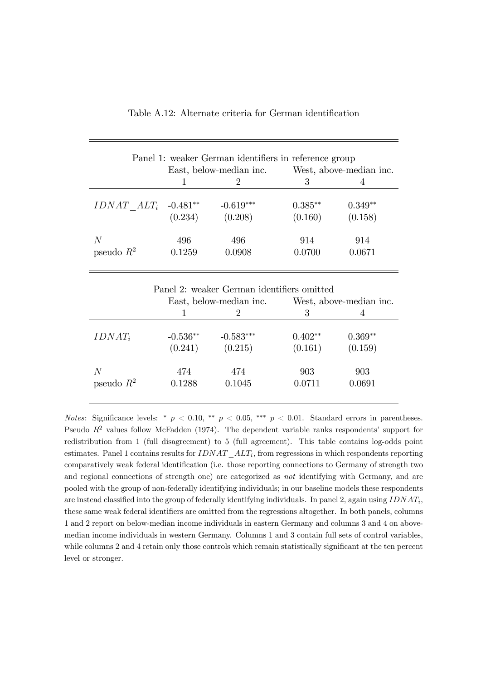|                 |            | Panel 1: weaker German identifiers in reference group |           |           |
|-----------------|------------|-------------------------------------------------------|-----------|-----------|
|                 |            | East, below-median inc. West, above-median inc.       |           |           |
|                 | 1          | 2                                                     | 3         | 4         |
| $IDNAT$ $ALT_i$ | $-0.481**$ | $-0.619***$                                           | $0.385**$ | $0.349**$ |
|                 | (0.234)    | (0.208)                                               | (0.160)   | (0.158)   |
|                 |            |                                                       |           |           |
| N               | 496        | 496                                                   | 914       | 914       |
| pseudo $R^2$    | 0.1259     | 0.0908                                                | 0.0700    | 0.0671    |
|                 |            |                                                       |           |           |
|                 |            | Panel 2: weaker German identifiers omitted            |           |           |
|                 |            | East, below-median inc. West, above-median inc.       |           |           |
|                 | 1          | $\mathcal{D}_{\mathcal{L}}$                           | 3         | 4         |
|                 |            |                                                       |           |           |
| $IDNAT_i$       | $-0.536**$ | $-0.583***$                                           | $0.402**$ | $0.369**$ |
|                 | (0.241)    | (0.215)                                               | (0.161)   | (0.159)   |
|                 |            |                                                       |           |           |
|                 |            |                                                       |           |           |
| $\overline{N}$  | 474        | 474                                                   | 903       | 903       |
| pseudo $R^2$    | 0.1288     | 0.1045                                                | 0.0711    | 0.0691    |

Notes: Significance levels: \*  $p < 0.10$ , \*\*  $p < 0.05$ , \*\*\*  $p < 0.01$ . Standard errors in parentheses. Pseudo  $R^2$  values follow McFadden (1974). The dependent variable ranks respondents' support for redistribution from 1 (full disagreement) to 5 (full agreement). This table contains log-odds point estimates. Panel 1 contains results for  $IDNAT\_ALT_i$ , from regressions in which respondents reporting comparatively weak federal identification (i.e. those reporting connections to Germany of strength two and regional connections of strength one) are categorized as not identifying with Germany, and are pooled with the group of non-federally identifying individuals; in our baseline models these respondents are instead classified into the group of federally identifying individuals. In panel 2, again using  $IDNAT_i$ these same weak federal identifiers are omitted from the regressions altogether. In both panels, columns 1 and 2 report on below-median income individuals in eastern Germany and columns 3 and 4 on abovemedian income individuals in western Germany. Columns 1 and 3 contain full sets of control variables, while columns 2 and 4 retain only those controls which remain statistically significant at the ten percent level or stronger.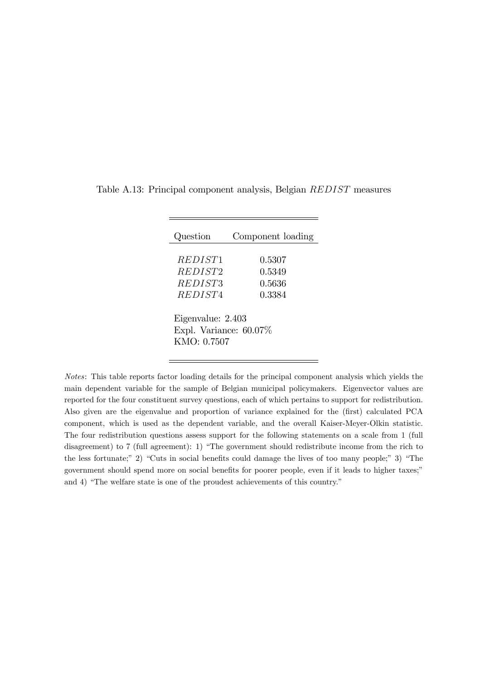| Question                                                      | Component loading                    |
|---------------------------------------------------------------|--------------------------------------|
| <i>REDIST1</i><br>REDIST2<br><i>REDIST3</i><br><i>REDIST4</i> | 0.5307<br>0.5349<br>0.5636<br>0.3384 |
| Eigenvalue: 2.403<br>Expl. Variance: $60.07\%$<br>KMO: 0.7507 |                                      |

Table A.13: Principal component analysis, Belgian REDIST measures

Notes: This table reports factor loading details for the principal component analysis which yields the main dependent variable for the sample of Belgian municipal policymakers. Eigenvector values are reported for the four constituent survey questions, each of which pertains to support for redistribution. Also given are the eigenvalue and proportion of variance explained for the (Örst) calculated PCA component, which is used as the dependent variable, and the overall Kaiser-Meyer-Olkin statistic. The four redistribution questions assess support for the following statements on a scale from 1 (full disagreement) to 7 (full agreement): 1) "The government should redistribute income from the rich to the less fortunate;" 2) "Cuts in social benefits could damage the lives of too many people;" 3) "The government should spend more on social benefits for poorer people, even if it leads to higher taxes;" and  $4)$  "The welfare state is one of the proudest achievements of this country."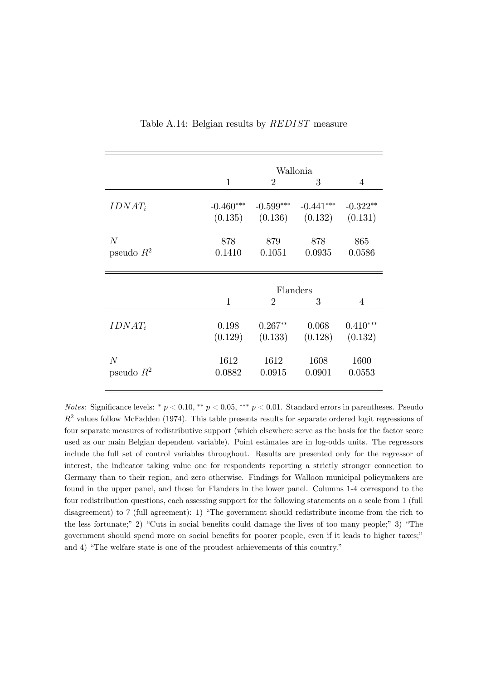|                | Wallonia    |                |             |            |
|----------------|-------------|----------------|-------------|------------|
|                | 1           | $\overline{2}$ | 3           | 4          |
| $IDNAT_i$      | $-0.460***$ | $-0.599***$    | $-0.441***$ | $-0.322**$ |
|                | (0.135)     | (0.136)        | (0.132)     | (0.131)    |
| $\overline{N}$ | 878         | 879            | 878         | 865        |
| pseudo $R^2$   | 0.1410      | 0.1051         | 0.0935      | 0.0586     |
|                | Flanders    |                |             |            |
|                | 1           | $\overline{2}$ | 3           | 4          |
| $IDNAT_i$      | 0.198       | $0.267**$      | 0.068       | $0.410***$ |
|                | (0.129)     | (0.133)        | (0.128)     | (0.132)    |
| $\overline{N}$ | 1612        | 1612           | 1608        | 1600       |
| pseudo $R^2$   | 0.0882      | 0.0915         | 0.0901      | 0.0553     |

Table A.14: Belgian results by REDIST measure

Notes: Significance levels: \*  $p < 0.10$ , \*\*  $p < 0.05$ , \*\*\*  $p < 0.01$ . Standard errors in parentheses. Pseudo  $R<sup>2</sup>$  values follow McFadden (1974). This table presents results for separate ordered logit regressions of four separate measures of redistributive support (which elsewhere serve as the basis for the factor score used as our main Belgian dependent variable). Point estimates are in log-odds units. The regressors include the full set of control variables throughout. Results are presented only for the regressor of interest, the indicator taking value one for respondents reporting a strictly stronger connection to Germany than to their region, and zero otherwise. Findings for Walloon municipal policymakers are found in the upper panel, and those for Flanders in the lower panel. Columns 1-4 correspond to the four redistribution questions, each assessing support for the following statements on a scale from 1 (full disagreement) to 7 (full agreement): 1) "The government should redistribute income from the rich to the less fortunate;" 2) "Cuts in social benefits could damage the lives of too many people;" 3) "The government should spend more on social benefits for poorer people, even if it leads to higher taxes;" and 4) "The welfare state is one of the proudest achievements of this country."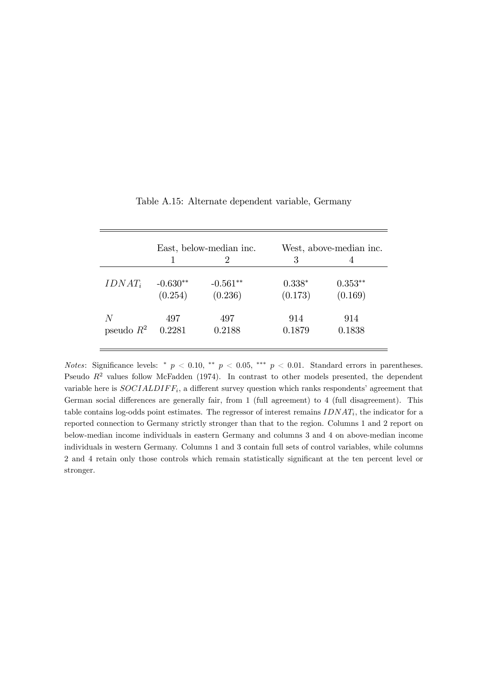|              |            | East, below-median inc. |          | West, above-median inc. |
|--------------|------------|-------------------------|----------|-------------------------|
|              |            | $\mathcal{D}$           | 3        |                         |
| $IDNAT_i$    | $-0.630**$ | $-0.561**$              | $0.338*$ | $0.353**$               |
|              | (0.254)    | (0.236)                 | (0.173)  | (0.169)                 |
| N            | 497        | 497                     | 914      | 914                     |
| pseudo $R^2$ | 0.2281     | 0.2188                  | 0.1879   | 0.1838                  |

Table A.15: Alternate dependent variable, Germany

Notes: Significance levels: \*  $p < 0.10$ , \*\*  $p < 0.05$ , \*\*\*  $p < 0.01$ . Standard errors in parentheses. Pseudo  $R^2$  values follow McFadden (1974). In contrast to other models presented, the dependent variable here is  $SOCIALDIFF_i$ , a different survey question which ranks respondents' agreement that German social differences are generally fair, from 1 (full agreement) to 4 (full disagreement). This table contains log-odds point estimates. The regressor of interest remains  $IDNAT_i$ , the indicator for a reported connection to Germany strictly stronger than that to the region. Columns 1 and 2 report on below-median income individuals in eastern Germany and columns 3 and 4 on above-median income individuals in western Germany. Columns 1 and 3 contain full sets of control variables, while columns 2 and 4 retain only those controls which remain statistically significant at the ten percent level or stronger.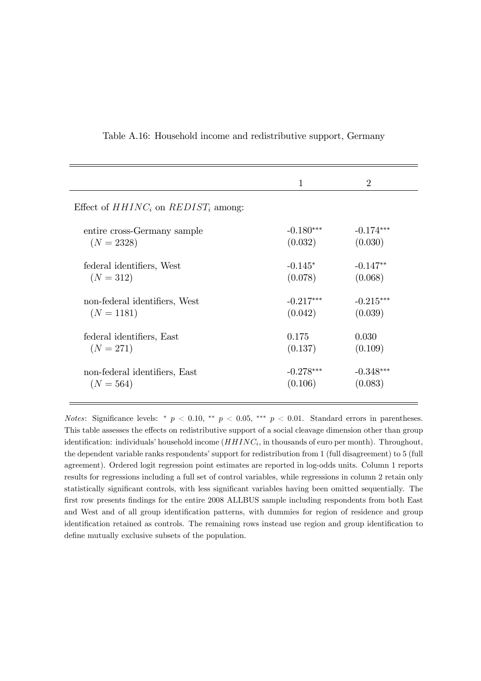|                                          | $\mathbf{1}$ | $\overline{2}$ |
|------------------------------------------|--------------|----------------|
| Effect of $HHINC_i$ on $REDIST_i$ among: |              |                |
| entire cross-Germany sample              | $-0.180***$  | $-0.174***$    |
| $(N = 2328)$                             | (0.032)      | (0.030)        |
| federal identifiers, West                | $-0.145*$    | $-0.147**$     |
| $(N = 312)$                              | (0.078)      | (0.068)        |
| non-federal identifiers, West            | $-0.217***$  | $-0.215***$    |
| $(N = 1181)$                             | (0.042)      | (0.039)        |
| federal identifiers, East                | 0.175        | 0.030          |
| $(N = 271)$                              | (0.137)      | (0.109)        |
| non-federal identifiers, East            | $-0.278***$  | $-0.348***$    |
| $(N = 564)$                              | (0.106)      | (0.083)        |

Table A.16: Household income and redistributive support, Germany

Notes: Significance levels: \*  $p < 0.10$ , \*\*  $p < 0.05$ , \*\*\*  $p < 0.01$ . Standard errors in parentheses. This table assesses the effects on redistributive support of a social cleavage dimension other than group identification: individuals' household income  $(HHINC_i, \text{in}$  thousands of euro per month). Throughout, the dependent variable ranks respondents' support for redistribution from 1 (full disagreement) to 5 (full agreement). Ordered logit regression point estimates are reported in log-odds units. Column 1 reports results for regressions including a full set of control variables, while regressions in column 2 retain only statistically significant controls, with less significant variables having been omitted sequentially. The first row presents findings for the entire 2008 ALLBUS sample including respondents from both East and West and of all group identification patterns, with dummies for region of residence and group identification retained as controls. The remaining rows instead use region and group identification to define mutually exclusive subsets of the population.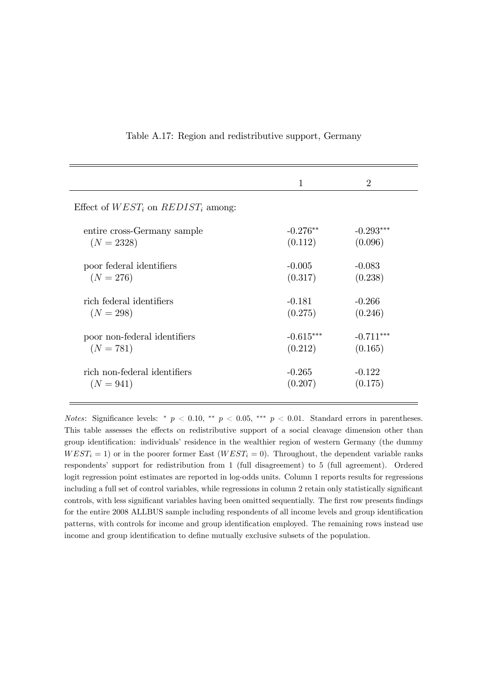|                                         | $\mathbf{1}$ | $\overline{2}$ |
|-----------------------------------------|--------------|----------------|
| Effect of $WEST_i$ on $REDIST_i$ among: |              |                |
| entire cross-Germany sample             | $-0.276**$   | $-0.293***$    |
| $(N = 2328)$                            | (0.112)      | (0.096)        |
| poor federal identifiers                | $-0.005$     | $-0.083$       |
| $(N = 276)$                             | (0.317)      | (0.238)        |
| rich federal identifiers                | -0.181       | $-0.266$       |
| $(N = 298)$                             | (0.275)      | (0.246)        |
| poor non-federal identifiers            | $-0.615***$  | $-0.711***$    |
| $(N = 781)$                             | (0.212)      | (0.165)        |
| rich non-federal identifiers            | $-0.265$     | $-0.122$       |
| $(N = 941)$                             | (0.207)      | (0.175)        |

#### Table A.17: Region and redistributive support, Germany

Notes: Significance levels: \*  $p < 0.10$ , \*\*  $p < 0.05$ , \*\*\*  $p < 0.01$ . Standard errors in parentheses. This table assesses the effects on redistributive support of a social cleavage dimension other than group identification: individuals' residence in the wealthier region of western Germany (the dummy  $WEST_i = 1$  or in the poorer former East ( $WEST_i = 0$ ). Throughout, the dependent variable ranks respondentsí support for redistribution from 1 (full disagreement) to 5 (full agreement). Ordered logit regression point estimates are reported in log-odds units. Column 1 reports results for regressions including a full set of control variables, while regressions in column 2 retain only statistically significant controls, with less significant variables having been omitted sequentially. The first row presents findings for the entire 2008 ALLBUS sample including respondents of all income levels and group identification patterns, with controls for income and group identification employed. The remaining rows instead use income and group identification to define mutually exclusive subsets of the population.